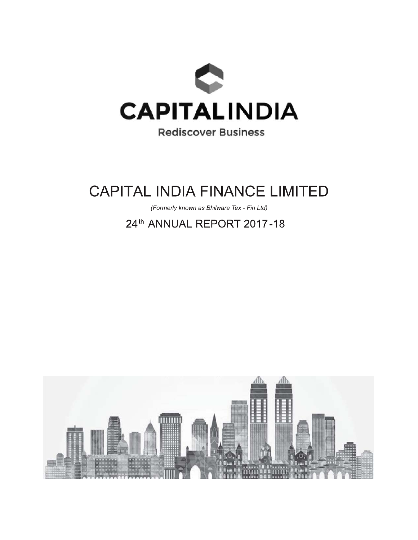

*(Formerly known as Bhilwara Tex - Fin Ltd)*

# 24th ANNUAL REPORT 2017-18

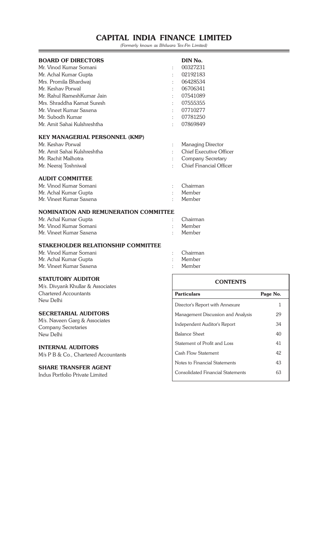*(Formerly known as Bhilwara Tex-Fin Limited)*

| <b>BOARD OF DIRECTORS</b>                    | DIN No.                                  |              |  |  |
|----------------------------------------------|------------------------------------------|--------------|--|--|
| Mr. Vinod Kumar Somani                       | 00327231<br>$\ddot{\cdot}$               |              |  |  |
| Mr. Achal Kumar Gupta                        | 02192183                                 |              |  |  |
| Mrs. Promila Bhardwaj                        | 06428534                                 |              |  |  |
| Mr. Keshav Porwal                            | 06706341                                 |              |  |  |
| Mr. Rahul RameshKumar Jain                   | 07541089                                 |              |  |  |
| Mrs. Shraddha Kamat Suresh                   | 07555355                                 |              |  |  |
| Mr. Vineet Kumar Saxena                      | 07710277                                 |              |  |  |
| Mr. Subodh Kumar                             | 07781250                                 |              |  |  |
| Mr. Amit Sahai Kulshreshtha                  | 07869849                                 |              |  |  |
| <b>KEY MANAGERIAL PERSONNEL (KMP)</b>        |                                          |              |  |  |
| Mr. Keshav Porwal                            | <b>Managing Director</b><br>÷            |              |  |  |
| Mr. Amit Sahai Kulshreshtha                  | <b>Chief Executive Officer</b>           |              |  |  |
| Mr. Rachit Malhotra                          | Company Secretary                        |              |  |  |
| Mr. Neeraj Toshniwal                         | <b>Chief Financial Officer</b><br>÷      |              |  |  |
| <b>AUDIT COMMITTEE</b>                       |                                          |              |  |  |
| Mr. Vinod Kumar Somani                       | Chairman                                 |              |  |  |
| Mr. Achal Kumar Gupta                        | Member                                   |              |  |  |
| Mr. Vineet Kumar Saxena                      | Member                                   |              |  |  |
| <b>NOMINATION AND REMUNERATION COMMITTEE</b> |                                          |              |  |  |
| Mr. Achal Kumar Gupta                        | Chairman                                 |              |  |  |
| Mr. Vinod Kumar Somani                       | Member                                   |              |  |  |
| Mr. Vineet Kumar Saxena                      | Member                                   |              |  |  |
| STAKEHOLDER RELATIONSHIP COMMITTEE           |                                          |              |  |  |
| Mr. Vinod Kumar Somani                       | Chairman                                 |              |  |  |
| Mr. Achal Kumar Gupta                        | Member                                   |              |  |  |
| Mr. Vineet Kumar Saxena                      | Member                                   |              |  |  |
| <b>STATUTORY AUDITOR</b>                     | <b>CONTENTS</b>                          |              |  |  |
| M/s. Divyank Khullar & Associates            |                                          |              |  |  |
| <b>Chartered Accountants</b><br>New Delhi    | <b>Particulars</b>                       | Page No.     |  |  |
|                                              | Director's Report with Annexure          | $\mathbf{1}$ |  |  |
| <b>SECRETARIAL AUDITORS</b>                  | Management Discussion and Analysis       | 29           |  |  |
| M/s. Naveen Garg & Associates                | Independent Auditor's Report             | 34           |  |  |
| <b>Company Secretaries</b><br>New Delhi      | <b>Balance Sheet</b>                     | 40           |  |  |
|                                              | Statement of Profit and Loss             | 41           |  |  |
| <b>INTERNAL AUDITORS</b>                     | Cash Flow Statement                      | 42           |  |  |
| M/s P B & Co., Chartered Accountants         | Notes to Financial Statements            | 43           |  |  |
| <b>SHARE TRANSFER AGENT</b>                  |                                          |              |  |  |
| Indus Portfolio Private Limited              | <b>Consolidated Financial Statements</b> | 63           |  |  |
|                                              |                                          |              |  |  |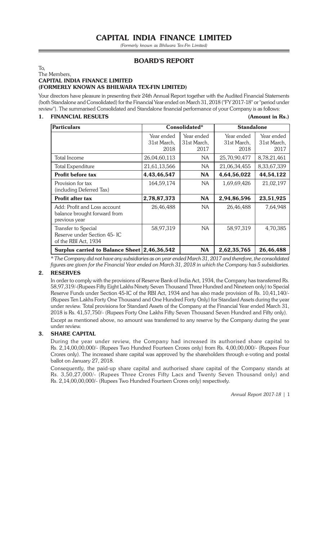*(Formerly known as Bhilwara Tex-Fin Limited)*

# BOARD'S REPORT

#### To,

### The Members, CAPITAL INDIA FINANCE LIMITED (FORMERLY KNOWN AS BHILWARA TEX-FIN LIMITED)

Your directors have pleasure in presenting their 24th Annual Report together with the Audited Financial Statements (both Standalone and Consolidated) for the Financial Year ended on March 31, 2018 ("FY 2017-18" or "period under review"). The summarised Consolidated and Standalone financial performance of your Company is as follows:

#### 1. FINANCIAL RESULTS (Amount in Rs.)

| <b>Particulars</b>                                                            |                                   | Consolidated*                     | <b>Standalone</b>                 |                                   |  |
|-------------------------------------------------------------------------------|-----------------------------------|-----------------------------------|-----------------------------------|-----------------------------------|--|
|                                                                               | Year ended<br>31st March,<br>2018 | Year ended<br>31st March,<br>2017 | Year ended<br>31st March,<br>2018 | Year ended<br>31st March,<br>2017 |  |
| Total Income                                                                  | 26,04,60,113                      | NA                                | 25,70,90,477                      | 8,78,21,461                       |  |
| <b>Total Expenditure</b>                                                      | 21,61,13,566                      | <b>NA</b>                         | 21,06,34,455                      | 8,33,67,339                       |  |
| <b>Profit before tax</b>                                                      | 4,43,46,547                       | <b>NA</b>                         | 4,64,56,022                       | 44,54,122                         |  |
| Provision for tax<br>(including Deferred Tax)                                 | 164,59,174                        | NA                                | 1,69,69,426                       | 21,02,197                         |  |
| <b>Profit after tax</b>                                                       | 2,78,87,373                       | <b>NA</b>                         | 2,94,86,596                       | 23,51,925                         |  |
| Add: Profit and Loss account<br>balance brought forward from<br>previous year | 26,46,488                         | NA                                | 26,46,488                         | 7,64,948                          |  |
| Transfer to Special<br>Reserve under Section 45-IC<br>of the RBI Act, 1934    | 58,97,319                         | <b>NA</b>                         | 58,97,319                         | 4,70,385                          |  |
| Surplus carried to Balance Sheet 2,46,36,542                                  |                                   | <b>NA</b>                         | 2,62,35,765                       | 26,46,488                         |  |

*\* The Company did not have any subsidiaries as on year ended March 31, 2017 and therefore, the consolidated figures are given for the Financial Year ended on March 31, 2018 in which the Company has 5 subsidiaries.*

# 2. RESERVES

In order to comply with the provisions of Reserve Bank of India Act, 1934, the Company has transferred Rs. 58,97,319/-(Rupees Fifty Eight Lakhs Ninety Seven Thousand Three Hundred and Nineteen only) to Special Reserve Funds under Section 45-IC of the RBI Act, 1934 and has also made provision of Rs. 10,41,140/- (Rupees Ten Lakhs Forty One Thousand and One Hundred Forty Only) for Standard Assets during the year under review. Total provisions for Standard Assets of the Company at the Financial Year ended March 31, 2018 is Rs. 41,57,750/- (Rupees Forty One Lakhs Fifty Seven Thousand Seven Hundred and Fifty only). Except as mentioned above, no amount was transferred to any reserve by the Company during the year under review.

# 3. SHARE CAPITAL

During the year under review, the Company had increased its authorised share capital to Rs. 2,14,00,00,000/- (Rupees Two Hundred Fourteen Crores only) from Rs. 4,00,00,000/- (Rupees Four Crores only). The increased share capital was approved by the shareholders through e-voting and postal ballot on January 27, 2018.

Consequently, the paid-up share capital and authorised share capital of the Company stands at Rs. 3,50,27,000/- (Rupees Three Crores Fifty Lacs and Twenty Seven Thousand only) and Rs. 2,14,00,00,000/- (Rupees Two Hundred Fourteen Crores only) respectively.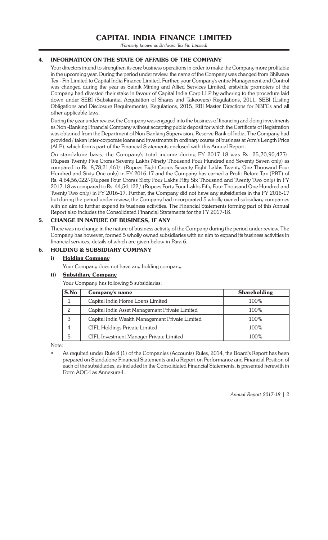*(Formerly known as Bhilwara Tex-Fin Limited)*

# 4. INFORMATION ON THE STATE OF AFFAIRS OF THE COMPANY

Your directors intend to strengthen its core business operations in order to make the Company more profitable in the upcoming year. During the period under review, the name of the Company was changed from Bhilwara Tex - Fin Limited to Capital India Finance Limited. Further, your Company's entire Management and Control was changed during the year as Sainik Mining and Allied Services Limited, erstwhile promoters of the Company had divested their stake in favour of Capital India Corp LLP by adhering to the procedure laid down under SEBI (Substantial Acquisition of Shares and Takeovers) Regulations, 2011, SEBI (Listing Obligations and Disclosure Requirements), Regulations, 2015, RBI Master Directions for NBFCs and all other applicable laws.

During the year under review, the Company was engaged into the business of financing and doing investments as Non -Banking Financial Company without accepting public deposit for which the Certificate of Registration was obtained from the Department of Non-Banking Supervision, Reserve Bank of India. The Company had provided / taken inter-corporate loans and investments in ordinary course of business at Arm's Length Price (ALP), which forms part of the Financial Statements enclosed with this Annual Report.

On standalone basis, the Company's total income during FY 2017-18 was Rs. 25,70,90,477/- (Rupees Twenty Five Crores Seventy Lakhs Ninety Thousand Four Hundred and Seventy Seven only) as compared to Rs. 8,78,21,461/- (Rupees Eight Crores Seventy Eight Lakhs Twenty One Thousand Four Hundred and Sixty One only) in FY 2016-17 and the Company has earned a Profit Before Tax (PBT) of Rs. 4,64,56,022/-(Rupees Four Crores Sixty Four Lakhs Fifty Six Thousand and Twenty Two only) in FY 2017-18 as compared to Rs. 44,54,122 /-(Rupees Forty Four Lakhs Fifty Four Thousand One Hundred and Twenty Two only) in FY 2016-17. Further, the Company did not have any subsidiaries in the FY 2016-17 but during the period under review, the Company had incorporated 5 wholly owned subsidiary companies with an aim to further expand its business activities. The Financial Statements forming part of this Annual Report also includes the Consolidated Financial Statements for the FY 2017-18.

# 5. CHANGE IN NATURE OF BUSINESS, IF ANY

There was no change in the nature of business activity of the Company during the period under review. The Company has however, formed 5 wholly owned subsidiaries with an aim to expand its business activities in financial services, details of which are given below in Para 6.

### 6. HOLDING & SUBSIDIARY COMPANY

### i) Holding Company

Your Company does not have any holding company.

#### ii) Subsidiary Company

Your Company has following 5 subsidiaries:

| S.No | <b>Company's name</b>                           | Shareholding |
|------|-------------------------------------------------|--------------|
|      | Capital India Home Loans Limited                | 100\%        |
| 9    | Capital India Asset Management Private Limited  | 100\%        |
| 3    | Capital India Wealth Management Private Limited | 100\%        |
| 4    | CIFL Holdings Private Limited                   | $100\%$      |
| h.   | CIFL Investment Manager Private Limited         | 100%         |

Note:

• As required under Rule 8 (1) of the Companies (Accounts) Rules, 2014, the Board's Report has been prepared on Standalone Financial Statements and a Report on Performance and Financial Position of each of the subsidiaries, as included in the Consolidated Financial Statements, is presented herewith in Form AOC-I as Annexure-I.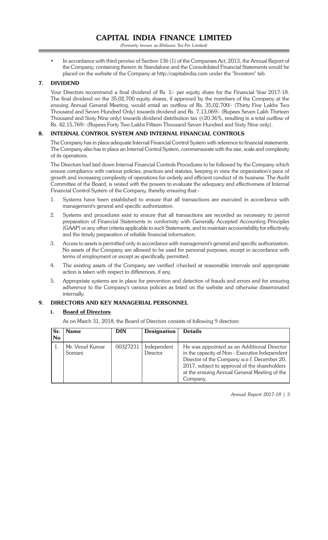*(Formerly known as Bhilwara Tex-Fin Limited)*

• In accordance with third proviso of Section 136 (1) of the Companies Act, 2013, the Annual Report of the Company, containing therein its Standalone and the Consolidated Financial Statements would be placed on the website of the Company at http://capitalindia.com under the "Investors" tab.

# 7. DIVIDEND

Your Directors recommend a final dividend of Rs. 1/- per equity share for the Financial Year 2017-18. The final dividend on the 35,02,700 equity shares, if approved by the members of the Company at the ensuing Annual General Meeting, would entail an outflow of Rs. 35,02,700/- (Thirty Five Lakhs Two Thousand and Seven Hundred Only) towards dividend and Rs. 7,13,069/- (Rupees Seven Lakh Thirteen Thousand and Sixty Nine only) towards dividend distribution tax @20.36%, resulting in a total outflow of Rs. 42,15,769/- (Rupees Forty Two Lakhs Fifteen Thousand Seven Hundred and Sixty Nine only).

# 8. INTERNAL CONTROL SYSTEM AND INTERNAL FINANCIAL CONTROLS

The Company has in place adequate Internal Financial Control System with reference to financial statements. The Company also has in place an Internal Control System, commensurate with the size, scale and complexity of its operations.

The Directors had laid down Internal Financial Controls Procedures to be followed by the Company which ensure compliance with various policies, practices and statutes, keeping in view the organization's pace of growth and increasing complexity of operations for orderly and efficient conduct of its business. The Audit Committee of the Board, is vested with the powers to evaluate the adequacy and effectiveness of Internal Financial Control System of the Company, thereby ensuring that:-

- 1. Systems have been established to ensure that all transactions are executed in accordance with management's general and specific authorization.
- 2. Systems and procedures exist to ensure that all transactions are recorded as necessary to permit preparation of Financial Statements in conformity with Generally Accepted Accounting Principles (GAAP) or any other criteria applicable to such Statements, and to maintain accountability for effectively and the timely preparation of reliable financial information.
- 3. Access to assets is permitted only in accordance with management's general and specific authorization. No assets of the Company are allowed to be used for personal purposes, except in accordance with terms of employment or except as specifically permitted.
- 4. The existing assets of the Company are verified /checked at reasonable intervals and appropriate action is taken with respect to differences, if any.
- 5. Appropriate systems are in place for prevention and detection of frauds and errors and for ensuring adherence to the Company's various policies as listed on the website and otherwise disseminated internally.

### 9. DIRECTORS AND KEY MANAGERIAL PERSONNEL

### i. Board of Directors

As on March 31, 2018, the Board of Directors consists of following 9 directors:

| <b>No</b> | <b>Name</b>               | <b>DIN</b> | <b>Designation</b>      | <b>Details</b>                                                                                                                                                                                                                                           |
|-----------|---------------------------|------------|-------------------------|----------------------------------------------------------------------------------------------------------------------------------------------------------------------------------------------------------------------------------------------------------|
|           | Mr. Vinod Kumar<br>Somani | 00327231   | Independent<br>Director | He was appointed as an Additional Director<br>in the capacity of Non - Executive Independent<br>Director of the Company w.e.f. December 20,<br>2017, subject to approval of the shareholders<br>at the ensuing Annual General Meeting of the<br>Company. |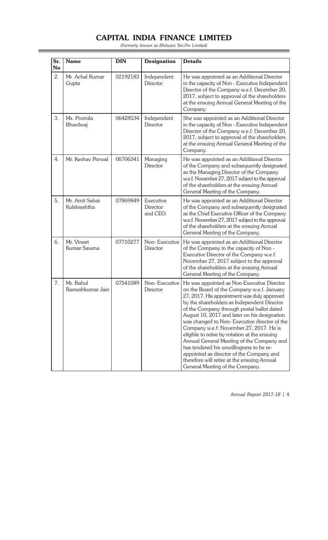*(Formerly known as Bhilwara Tex-Fin Limited)*

| Sr.<br>No | <b>Name</b>                    | <b>DIN</b> | <b>Designation</b>               | <b>Details</b>                                                                                                                                                                                                                                                                                                                                                                                                                                                                                                                                                                                                                                          |
|-----------|--------------------------------|------------|----------------------------------|---------------------------------------------------------------------------------------------------------------------------------------------------------------------------------------------------------------------------------------------------------------------------------------------------------------------------------------------------------------------------------------------------------------------------------------------------------------------------------------------------------------------------------------------------------------------------------------------------------------------------------------------------------|
| 2.        | Mr. Achal Kumar<br>Gupta       | 02192183   | Independent<br>Director          | He was appointed as an Additional Director<br>in the capacity of Non - Executive Independent<br>Director of the Company w.e.f. December 20,<br>2017, subject to approval of the shareholders<br>at the ensuing Annual General Meeting of the<br>Company.                                                                                                                                                                                                                                                                                                                                                                                                |
| 3.        | Ms. Promila<br>Bhardwaj        | 06428534   | Independent<br>Director          | She was appointed as an Additional Director<br>in the capacity of Non - Executive Independent<br>Director of the Company w.e.f. December 20,<br>2017, subject to approval of the shareholders<br>at the ensuing Annual General Meeting of the<br>Company.                                                                                                                                                                                                                                                                                                                                                                                               |
| 4.        | Mr. Keshav Porwal              | 06706341   | Managing<br>Director             | He was appointed as an Additional Director<br>of the Company and subsequently designated<br>as the Managing Director of the Company<br>w.e.f. November 27, 2017 subject to the approval<br>of the shareholders at the ensuing Annual<br>General Meeting of the Company.                                                                                                                                                                                                                                                                                                                                                                                 |
| 5.        | Mr. Amit Sahai<br>Kulshreshtha | 07869849   | Executive<br>Director<br>and CEO | He was appointed as an Additional Director<br>of the Company and subsequently designated<br>as the Chief Executive Officer of the Company<br>w.e.f. November 27, 2017 subject to the approval<br>of the shareholders at the ensuing Annual<br>General Meeting of the Company.                                                                                                                                                                                                                                                                                                                                                                           |
| 6.        | Mr. Vineet<br>Kumar Saxena     | 07710277   | Non-Executive<br>Director        | He was appointed as an Additional Director<br>of the Company in the capacity of Non -<br>Executive Director of the Company w.e.f.<br>November 27, 2017 subject to the approval<br>of the shareholders at the ensuing Annual<br>General Meeting of the Company.                                                                                                                                                                                                                                                                                                                                                                                          |
| 7.        | Mr. Rahul<br>Rameshkumar Jain  | 07541089   | Non-Executive<br>Director        | He was appointed as Non-Executive Director<br>on the Board of the Company w.e.f. January<br>27, 2017. His appointment was duly approved<br>by the shareholders as Independent Director<br>of the Company through postal ballot dated<br>August 10, 2017 and later on his designation<br>was changed to Non-Executive director of the<br>Company w.e.f. November 27, 2017. He is<br>eligible to retire by rotation at the ensuing<br>Annual General Meeting of the Company and<br>has tendered his unwillingness to be re-<br>appointed as director of the Company and<br>therefore will retire at the ensuing Annual<br>General Meeting of the Company. |

<u> 1980 - Andrea Barbara, amerikan personal di personal dengan personal dengan personal dengan personal dengan </u>

 $\equiv$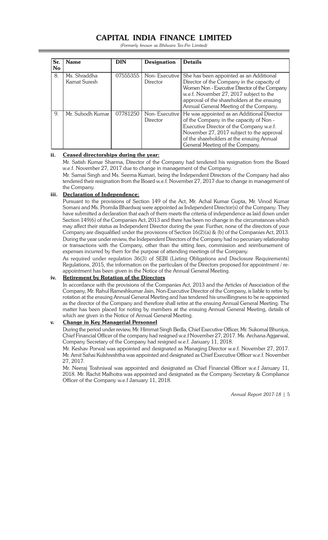*(Formerly known as Bhilwara Tex-Fin Limited)*

| Sr.<br><b>No</b> | <b>Name</b>                  | <b>DIN</b> | <b>Designation</b>        | <b>Details</b>                                                                                                                                                                                                                                                                 |
|------------------|------------------------------|------------|---------------------------|--------------------------------------------------------------------------------------------------------------------------------------------------------------------------------------------------------------------------------------------------------------------------------|
| 8.               | Ms. Shraddha<br>Kamat Suresh | 07555355   | Non-Executive<br>Director | She has been appointed as an Additional<br>Director of the Company in the capacity of<br>Women Non - Executive Director of the Company<br>w.e.f. November 27, 2017 subject to the<br>approval of the shareholders at the ensuing<br>Annual General Meeting of the Company.     |
| 9.               | Mr. Subodh Kumar             | 07781250   | Director                  | Non-Executive   He was appointed as an Additional Director<br>of the Company in the capacity of Non -<br>Executive Director of the Company w.e.f.<br>November 27, 2017 subject to the approval<br>of the shareholders at the ensuing Annual<br>General Meeting of the Company. |

#### ii. Ceased directorships during the year:

Mr. Satish Kumar Sharma, Director of the Company had tendered his resignation from the Board w.e.f. November 27, 2017 due to change in management of the Company.

Mr. Samai Singh and Ms. Seema Kumari, being the Independent Directors of the Company had also tendered their resignation from the Board w.e.f. November 27, 2017 due to change in management of the Company.

### iii. Declaration of Independence:

Pursuant to the provisions of Section 149 of the Act, Mr. Achal Kumar Gupta, Mr. Vinod Kumar Somani and Ms. Promila Bhardwaj were appointed as Independent Director(s) of the Company. They have submitted a declaration that each of them meets the criteria of independence as laid down under Section 149(6) of the Companies Act, 2013 and there has been no change in the circumstances which may affect their status as Independent Director during the year. Further, none of the directors of your Company are disqualified under the provisions of Section 16(2)(a) & (b) of the Companies Act, 2013. During the year under review, the Independent Directors of the Company had no pecuniary relationship or transactions with the Company, other than the sitting fees, commission and reimbursement of expenses incurred by them for the purpose of attending meetings of the Company.

As required under regulation 36(3) of SEBI (Listing Obligations and Disclosure Requirements) Regulations, 2015, the information on the particulars of the Directors proposed for appointment / reappointment has been given in the Notice of the Annual General Meeting.

### iv. Retirement by Rotation of the Directors

In accordance with the provisions of the Companies Act, 2013 and the Articles of Association of the Company, Mr. Rahul Rameshkumar Jain, Non-Executive Director of the Company, is liable to retire by rotation at the ensuing Annual General Meeting and has tendered his unwillingness to be re-appointed as the director of the Company and therefore shall retire at the ensuing Annual General Meeting. The matter has been placed for noting by members at the ensuing Annual General Meeting, details of which are given in the Notice of Annual General Meeting.

#### v. Change in Key Managerial Personnel

During the period under review, Mr. Himmat Singh Bedla, Chief Executive Officer, Mr. Sukomal Bhuniya, Chief Financial Officer of the company had resigned w.e.f November 27, 2017. Ms. Archana Aggarwal, Company Secretary of the Company had resigned w.e.f. January 11, 2018.

Mr. Keshav Porwal was appointed and designated as Managing Director w.e.f. November 27, 2017. Mr. Amit Sahai Kulshreshtha was appointed and designated as Chief Executive Officer w.e.f. November 27, 2017.

Mr. Neeraj Toshniwal was appointed and designated as Chief Financial Officer w.e.f January 11, 2018. Mr. Rachit Malhotra was appointed and designated as the Company Secretary & Compliance Officer of the Company w.e.f January 11, 2018.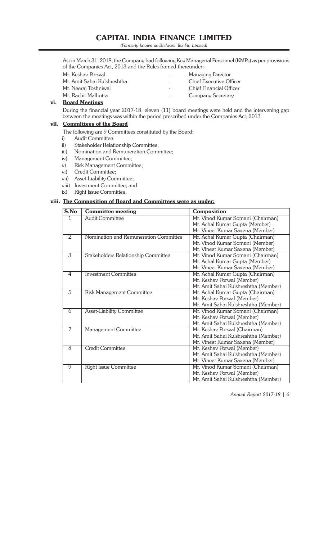*(Formerly known as Bhilwara Tex-Fin Limited)*

As on March 31, 2018, the Company had following Key Managerial Personnel (KMPs) as per provisions of the Companies Act, 2013 and the Rules framed thereunder:-

Managing Director

- Mr. Amit Sahai Kulshreshtha  **Chief Executive Officer**
- Mr. Neeraj Toshniwal **Mr. Neeraj Toshniwal** Chief Financial Officer
- Mr. Rachit Malhotra  **Company Secretary**

#### vi. Board Meetings

During the financial year 2017-18, eleven (11) board meetings were held and the intervening gap between the meetings was within the period prescribed under the Companies Act, 2013.

# vii. Committees of the Board

The following are 9 Committees constituted by the Board:

- i) Audit Committee;
- ii) Stakeholder Relationship Committee;
- iii) Nomination and Remuneration Committee;
- iv) Management Committee;
- v) Risk Management Committee;
- vi) Credit Committee;
- vii) Asset-Liability Committee;
- viii) Investment Committee; and
- ix) Right Issue Committee.

# viii. The Composition of Board and Committees were as under:

| S.No           | <b>Committee meeting</b>              | <b>Composition</b>                   |
|----------------|---------------------------------------|--------------------------------------|
| 1              | <b>Audit Committee</b>                | Mr. Vinod Kumar Somani (Chairman)    |
|                |                                       | Mr. Achal Kumar Gupta (Member)       |
|                |                                       | Mr. Vineet Kumar Saxena (Member)     |
| $\overline{2}$ | Nomination and Remuneration Committee | Mr. Achal Kumar Gupta (Chairman)     |
|                |                                       | Mr. Vinod Kumar Somani (Member)      |
|                |                                       | Mr. Vineet Kumar Saxena (Member)     |
| $\overline{3}$ | Stakeholders Relationship Committee   | Mr. Vinod Kumar Somani (Chairman)    |
|                |                                       | Mr. Achal Kumar Gupta (Member)       |
|                |                                       | Mr. Vineet Kumar Saxena (Member)     |
| $\overline{4}$ | Investment Committee                  | Mr. Achal Kumar Gupta (Chairman)     |
|                |                                       | Mr. Keshav Porwal (Member)           |
|                |                                       | Mr. Amit Sahai Kulshreshtha (Member) |
| $\overline{5}$ | <b>Risk Management Committee</b>      | Mr. Achal Kumar Gupta (Chairman)     |
|                |                                       | Mr. Keshav Porwal (Member)           |
|                |                                       | Mr. Amit Sahai Kulshreshtha (Member) |
| 6              | <b>Asset-Liability Committee</b>      | Mr. Vinod Kumar Somani (Chairman)    |
|                |                                       | Mr. Keshav Porwal (Member)           |
|                |                                       | Mr. Amit Sahai Kulshreshtha (Member) |
| 7              | Management Committee                  | Mr. Keshav Porwal (Chairman)         |
|                |                                       | Mr. Amit Sahai Kulshreshtha (Member) |
|                |                                       | Mr. Vineet Kumar Saxena (Member)     |
| $\overline{8}$ | Credit Committee                      | Mr. Keshav Porwal (Member)           |
|                |                                       | Mr. Amit Sahai Kulshreshtha (Member) |
|                |                                       | Mr. Vineet Kumar Saxena (Member)     |
| 9              | <b>Right Issue Committee</b>          | Mr. Vinod Kumar Somani (Chairman)    |
|                |                                       | Mr. Keshav Porwal (Member)           |
|                |                                       | Mr. Amit Sahai Kulshreshtha (Member) |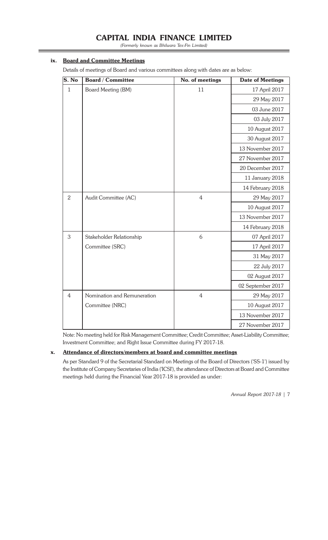*(Formerly known as Bhilwara Tex-Fin Limited)*

### ix. Board and Committee Meetings

Details of meetings of Board and various committees along with dates are as below:

| S. No          | <b>Board / Committee</b>    | No. of meetings | <b>Date of Meetings</b> |
|----------------|-----------------------------|-----------------|-------------------------|
| $\mathbf{1}$   | Board Meeting (BM)          | 11              | 17 April 2017           |
|                |                             |                 | 29 May 2017             |
|                |                             |                 | 03 June 2017            |
|                |                             |                 | 03 July 2017            |
|                |                             |                 | 10 August 2017          |
|                |                             |                 | 30 August 2017          |
|                |                             |                 | 13 November 2017        |
|                |                             |                 | 27 November 2017        |
|                |                             |                 | 20 December 2017        |
|                |                             |                 | 11 January 2018         |
|                |                             |                 | 14 February 2018        |
| $\overline{2}$ | Audit Committee (AC)        | $\overline{4}$  | 29 May 2017             |
|                |                             |                 | 10 August 2017          |
|                |                             |                 | 13 November 2017        |
|                |                             |                 | 14 February 2018        |
| 3              | Stakeholder Relationship    | 6               | 07 April 2017           |
|                | Committee (SRC)             |                 | 17 April 2017           |
|                |                             |                 | 31 May 2017             |
|                |                             |                 | 22 July 2017            |
|                |                             |                 | 02 August 2017          |
|                |                             |                 | 02 September 2017       |
| $\overline{4}$ | Nomination and Remuneration | $\overline{4}$  | 29 May 2017             |
|                | Committee (NRC)             |                 | 10 August 2017          |
|                |                             |                 | 13 November 2017        |
|                |                             |                 | 27 November 2017        |

Note: No meeting held for Risk Management Committee; Credit Committee; Asset-Liability Committee; Investment Committee; and Right Issue Committee during FY 2017-18.

### x. Attendance of directors/members at board and committee meetings

As per Standard 9 of the Secretarial Standard on Meetings of the Board of Directors ('SS-1') issued by the Institute of Company Secretaries of India ('ICSI'), the attendance of Directors at Board and Committee meetings held during the Financial Year 2017-18 is provided as under: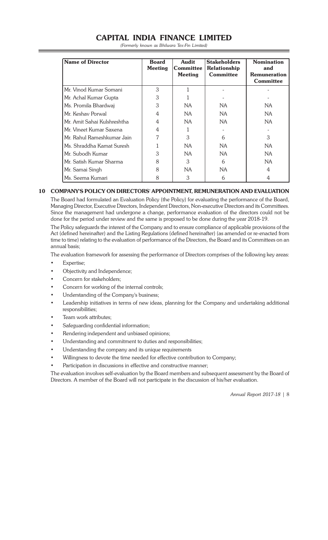| <b>Name of Director</b>     | <b>Board</b><br><b>Meeting</b> | <b>Audit</b><br><b>Committee</b><br><b>Meeting</b> | <b>Stakeholders</b><br><b>Relationship</b><br><b>Committee</b> | <b>Nomination</b><br>and<br><b>Remuneration</b><br><b>Committee</b> |
|-----------------------------|--------------------------------|----------------------------------------------------|----------------------------------------------------------------|---------------------------------------------------------------------|
| Mr. Vinod Kumar Somani      | 3                              | 1                                                  |                                                                |                                                                     |
| Mr. Achal Kumar Gupta       | 3                              |                                                    |                                                                |                                                                     |
| Ms. Promila Bhardwaj        | 3                              | NA.                                                | NA.                                                            | NA.                                                                 |
| Mr. Keshay Porwal           | 4                              | NA.                                                | NA.                                                            | NA.                                                                 |
| Mr. Amit Sahai Kulshreshtha | 4                              | <b>NA</b>                                          | NA.                                                            | NA.                                                                 |
| Mr. Vineet Kumar Saxena     | 4                              |                                                    |                                                                |                                                                     |
| Mr. Rahul Rameshkumar Jain  |                                | 3                                                  | 6                                                              | 3                                                                   |
| Ms. Shraddha Kamat Suresh   |                                | NA.                                                | NA.                                                            | NA.                                                                 |
| Mr. Subodh Kumar            | 3                              | NA.                                                | NA.                                                            | NA.                                                                 |
| Mr. Satish Kumar Sharma     | 8                              | 3                                                  | 6                                                              | NA.                                                                 |
| Mr. Samai Singh             | 8                              | NA.                                                | NA.                                                            | 4                                                                   |
| Ms. Seema Kumari            | 8                              | 3                                                  | 6                                                              | 4                                                                   |

*(Formerly known as Bhilwara Tex-Fin Limited)*

### 10 COMPANY'S POLICY ON DIRECTORS' APPOINTMENT, REMUNERATION AND EVALUATION

The Board had formulated an Evaluation Policy (the Policy) for evaluating the performance of the Board, Managing Director, Executive Directors, Independent Directors, Non-executive Directors and its Committees. Since the management had undergone a change, performance evaluation of the directors could not be done for the period under review and the same is proposed to be done during the year 2018-19.

The Policy safeguards the interest of the Company and to ensure compliance of applicable provisions of the Act (defined hereinafter) and the Listing Regulations (defined hereinafter) (as amended or re-enacted from time to time) relating to the evaluation of performance of the Directors, the Board and its Committees on an annual basis;

The evaluation framework for assessing the performance of Directors comprises of the following key areas:

- Expertise;
- Objectivity and Independence;
- Concern for stakeholders:
- Concern for working of the internal controls;
- Understanding of the Company's business;
- Leadership initiatives in terms of new ideas, planning for the Company and undertaking additional responsibilities;
- Team work attributes;
- Safeguarding confidential information;
- Rendering independent and unbiased opinions;
- Understanding and commitment to duties and responsibilities;
- Understanding the company and its unique requirements
- Willingness to devote the time needed for effective contribution to Company;
- Participation in discussions in effective and constructive manner;

The evaluation involves self-evaluation by the Board members and subsequent assessment by the Board of Directors. A member of the Board will not participate in the discussion of his/her evaluation.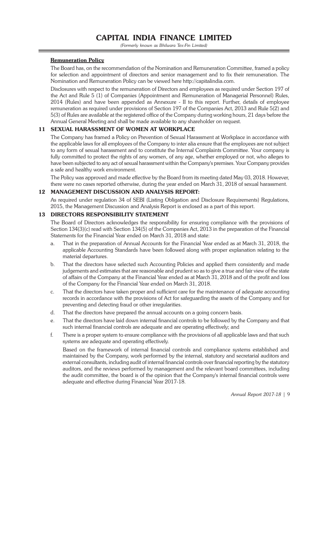*(Formerly known as Bhilwara Tex-Fin Limited)*

#### Remuneration Policy

The Board has, on the recommendation of the Nomination and Remuneration Committee, framed a policy for selection and appointment of directors and senior management and to fix their remuneration. The Nomination and Remuneration Policy can be viewed here http://capitalindia.com.

Disclosures with respect to the remuneration of Directors and employees as required under Section 197 of the Act and Rule 5 (1) of Companies (Appointment and Remuneration of Managerial Personnel) Rules, 2014 (Rules) and have been appended as Annexure - II to this report. Further, details of employee remuneration as required under provisions of Section 197 of the Companies Act, 2013 and Rule 5(2) and 5(3) of Rules are available at the registered office of the Company during working hours, 21 days before the Annual General Meeting and shall be made available to any shareholder on request.

# 11 SEXUAL HARASSMENT OF WOMEN AT WORKPLACE

The Company has framed a Policy on Prevention of Sexual Harassment at Workplace in accordance with the applicable laws for all employees of the Company to inter alia ensure that the employees are not subject to any form of sexual harassment and to constitute the Internal Complaints Committee. Your company is fully committed to protect the rights of any women, of any age, whether employed or not, who alleges to have been subjected to any act of sexual harassment within the Company's premises. Your Company provides a safe and healthy work environment.

The Policy was approved and made effective by the Board from its meeting dated May 03, 2018. However, there were no cases reported otherwise, during the year ended on March 31, 2018 of sexual harassment.

#### 12 MANAGEMENT DISCUSSION AND ANALYSIS REPORT:

As required under regulation 34 of SEBI (Listing Obligation and Disclosure Requirements) Regulations, 2015, the Management Discussion and Analysis Report is enclosed as a part of this report.

#### 13 DIRECTORS RESPONSIBILITY STATEMENT

The Board of Directors acknowledges the responsibility for ensuring compliance with the provisions of Section  $134(3)(c)$  read with Section  $134(5)$  of the Companies Act, 2013 in the preparation of the Financial Statements for the Financial Year ended on March 31, 2018 and state:

- a. That in the preparation of Annual Accounts for the Financial Year ended as at March 31, 2018, the applicable Accounting Standards have been followed along with proper explanation relating to the material departures.
- b. That the directors have selected such Accounting Policies and applied them consistently and made judgements and estimates that are reasonable and prudent so as to give a true and fair view of the state of affairs of the Company at the Financial Year ended as at March 31, 2018 and of the profit and loss of the Company for the Financial Year ended on March 31, 2018.
- c. That the directors have taken proper and sufficient care for the maintenance of adequate accounting records in accordance with the provisions of Act for safeguarding the assets of the Company and for preventing and detecting fraud or other irregularities.
- d. That the directors have prepared the annual accounts on a going concern basis.
- e. That the directors have laid down internal financial controls to be followed by the Company and that such internal financial controls are adequate and are operating effectively; and
- f. There is a proper system to ensure compliance with the provisions of all applicable laws and that such systems are adequate and operating effectively.

Based on the framework of internal financial controls and compliance systems established and maintained by the Company, work performed by the internal, statutory and secretarial auditors and external consultants, including audit of internal financial controls over financial reporting by the statutory auditors, and the reviews performed by management and the relevant board committees, including the audit committee, the board is of the opinion that the Company's internal financial controls were adequate and effective during Financial Year 2017-18.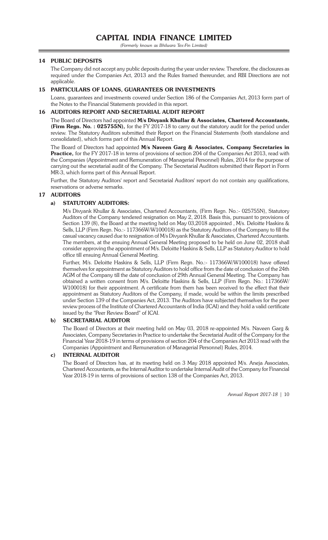*(Formerly known as Bhilwara Tex-Fin Limited)*

### 14 PUBLIC DEPOSITS

The Company did not accept any public deposits during the year under review. Therefore, the disclosures as required under the Companies Act, 2013 and the Rules framed thereunder, and RBI Directions are not applicable.

### 15 PARTICULARS OF LOANS, GUARANTEES OR INVESTMENTS

Loans, guarantees and investments covered under Section 186 of the Companies Act, 2013 form part of the Notes to the Financial Statements provided in this report.

# 16 AUDITORS REPORT AND SECRETARIAL AUDIT REPORT

The Board of Directors had appointed M/s Divyank Khullar & Associates, Chartered Accountants, (Firm Regn. No.: 025755N), for the FY 2017-18 to carry out the statutory audit for the period under review. The Statutory Auditors submitted their Report on the Financial Statements (both standalone and consolidated), which forms part of this Annual Report.

The Board of Directors had appointed M/s Naveen Garg & Associates, Company Secretaries in **Practice**, for the FY 2017-18 in terms of provisions of section 204 of the Companies Act 2013, read with the Companies (Appointment and Remuneration of Managerial Personnel) Rules, 2014 for the purpose of carrying out the secretarial audit of the Company. The Secretarial Auditors submitted their Report in Form MR-3, which forms part of this Annual Report.

Further, the Statutory Auditors' report and Secretarial Auditors' report do not contain any qualifications, reservations or adverse remarks.

### 17 AUDITORS

### a) STATUTORY AUDITORS:

M/s Divyank Khullar & Associates, Chartered Accountants, (Firm Regn. No.:- 025755N), Statutory Auditors of the Company tendered resignation on May 2, 2018. Basis this, pursuant to provisions of Section 139 (8), the Board at the meeting held on May 03,2018 appointed , M/s. Deloitte Haskins & Sells, LLP (Firm Regn. No.:- 117366W/W100018) as the Statutory Auditors of the Company to fill the casual vacancy caused due to resignation of M/s Divyank Khullar & Associates, Chartered Accountants. The members, at the ensuing Annual General Meeting proposed to be held on June 02, 2018 shall consider approving the appointment of M/s. Deloitte Haskins & Sells, LLP as Statutory Auditor to hold office till ensuing Annual General Meeting.

Further, M/s. Deloitte Haskins & Sells, LLP (Firm Regn. No.:- 117366W/W100018) have offered themselves for appointment as Statutory Auditors to hold office from the date of conclusion of the 24th AGM of the Company till the date of conclusion of 29th Annual General Meeting. The Company has obtained a written consent from M/s. Deloitte Haskins & Sells, LLP (Firm Regn. No.: 117366W/ W100018) for their appointment. A certificate from them has been received to the effect that their appointment as Statutory Auditors of the Company, if made, would be within the limits prescribed under Section 139 of the Companies Act, 2013. The Auditors have subjected themselves for the peer review process of the Institute of Chartered Accountants of India (ICAI) and they hold a valid certificate issued by the "Peer Review Board" of ICAI.

### b) SECRETARIAL AUDITOR

The Board of Directors at their meeting held on May 03, 2018 re-appointed M/s. Naveen Garg & Associates, Company Secretaries in Practice to undertake the Secretarial Audit of the Company for the Financial Year 2018-19 in terms of provisions of section 204 of the Companies Act 2013 read with the Companies (Appointment and Remuneration of Managerial Personnel) Rules, 2014.

### c) INTERNAL AUDITOR

The Board of Directors has, at its meeting held on 3 May 2018 appointed M/s. Aneja Associates, Chartered Accountants, as the Internal Auditor to undertake Internal Audit of the Company for Financial Year 2018-19 in terms of provisions of section 138 of the Companies Act, 2013.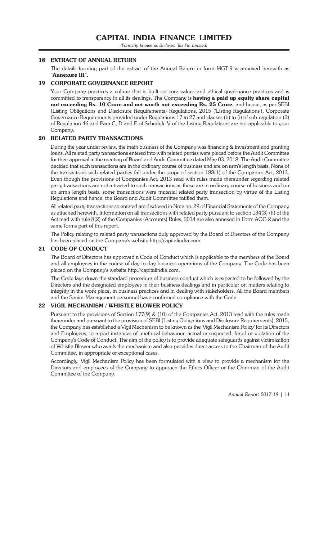*(Formerly known as Bhilwara Tex-Fin Limited)*

#### 18 EXTRACT OF ANNUAL RETURN

The details forming part of the extract of the Annual Return in form MGT-9 is annexed herewith as "Annexure III".

### 19 CORPORATE GOVERNANCE REPORT

Your Company practices a culture that is built on core values and ethical governance practices and is committed to transparency in all its dealings. The Company is **having a paid up equity share capital** not exceeding Rs. 10 Crore and net worth not exceeding Rs. 25 Crore, and hence, as per SEBI (Listing Obligations and Disclosure Requirements) Regulations, 2015 ('Listing Regulations'), Corporate Governance Requirements provided under Regulations 17 to 27 and clauses (b) to (i) of sub-regulation (2) of Regulation 46 and Para C, D and E of Schedule V of the Listing Regulations are not applicable to your Company.

# 20 RELATED PARTY TRANSACTIONS

During the year under review, the main business of the Company was financing & investment and granting loans. All related party transactions entered into with related parties were placed before the Audit Committee for their approval in the meeting of Board and Audit Committee dated May 03, 2018. The Audit Committee decided that such transactions are in the ordinary course of business and are on arm's length basis. None of the transactions with related parties fall under the scope of section 188(1) of the Companies Act, 2013. Even though the provisions of Companies Act, 2013 read with rules made thereunder regarding related party transactions are not attracted to such transactions as these are in ordinary course of business and on an arm's length basis, some transactions were material related party transaction by virtue of the Listing Regulations and hence, the Board and Audit Committee ratified them.

All related party transactions so entered are disclosed in Note no. 29 of Financial Statements of the Company as attached herewith. Information on all transactions with related party pursuant to section 134(3) (h) of the Act read with rule 8(2) of the Companies (Accounts) Rules, 2014 are also annexed in Form AOC-2 and the same forms part of this report.

The Policy relating to related party transactions duly approved by the Board of Directors of the Company has been placed on the Company's website http://capitalindia.com.

### 21 CODE OF CONDUCT

The Board of Directors has approved a Code of Conduct which is applicable to the members of the Board and all employees in the course of day to day business operations of the Company. The Code has been placed on the Company's website http://capitalindia.com.

The Code lays down the standard procedure of business conduct which is expected to be followed by the Directors and the designated employees in their business dealings and in particular on matters relating to integrity in the work place, in business practices and in dealing with stakeholders. All the Board members and the Senior Management personnel have confirmed compliance with the Code.

### 22 VIGIL MECHANISM / WHISTLE BLOWER POLICY

Pursuant to the provisions of Section 177(9) & (10) of the Companies Act, 2013 read with the rules made thereunder and pursuant to the provision of SEBI (Listing Obligations and Disclosure Requirements), 2015, the Company has established a Vigil Mechanism to be known as the 'Vigil Mechanism Policy' for its Directors and Employees, to report instances of unethical behaviour, actual or suspected, fraud or violation of the Company's Code of Conduct. The aim of the policy is to provide adequate safeguards against victimization of Whistle Blower who avails the mechanism and also provides direct access to the Chairman of the Audit Committee, in appropriate or exceptional cases.

Accordingly, Vigil Mechanism Policy has been formulated with a view to provide a mechanism for the Directors and employees of the Company to approach the Ethics Officer or the Chairman of the Audit Committee of the Company.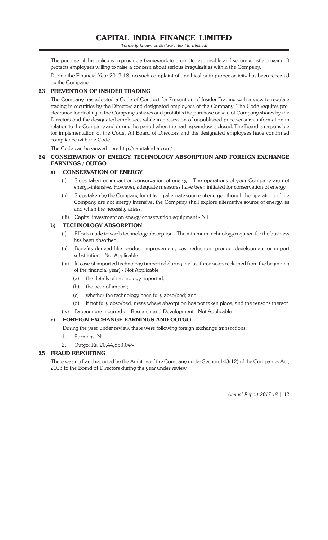*(Formerly known as Bhilwara Tex-Fin Limited)*

The purpose of this policy is to provide a framework to promote responsible and secure whistle blowing. It protects employees willing to raise a concern about serious irregularities within the Company.

During the Financial Year 2017-18, no such complaint of unethical or improper activity has been received by the Company

# 23 PREVENTION OF INSIDER TRADING

The Company has adopted a Code of Conduct for Prevention of Insider Trading with a view to regulate trading in securities by the Directors and designated employees of the Company. The Code requires preclearance for dealing in the Company's shares and prohibits the purchase or sale of Company shares by the Directors and the designated employees while in possession of unpublished price sensitive information in relation to the Company and during the period when the trading window is closed. The Board is responsible for implementation of the Code. All Board of Directors and the designated employees have confirmed compliance with the Code.

The Code can be viewed here http://capitalindia.com/ .

# 24 CONSERVATION OF ENERGY, TECHNOLOGY ABSORPTION AND FOREIGN EXCHANGE EARNINGS / OUTGO

### a) CONSERVATION OF ENERGY

- (i) Steps taken or impact on conservation of energy The operations of your Company are not energy-intensive. However, adequate measures have been initiated for conservation of energy.
- (ii) Steps taken by the Company for utilising alternate source of energy though the operations of the Company are not energy intensive, the Company shall explore alternative source of energy, as and when the necessity arises.
- (iii) Capital investment on energy conservation equipment Nil

### b) TECHNOLOGY ABSORPTION

- (i) Efforts made towards technology absorption The minimum technology required for the business has been absorbed.
- (ii) Benefits derived like product improvement, cost reduction, product development or import substitution - Not Applicable
- (iii) In case of imported technology (imported during the last three years reckoned from the beginning of the financial year) - Not Applicable
	- (a) the details of technology imported;
	- (b) the year of import;
	- (c) whether the technology been fully absorbed; and
	- (d) if not fully absorbed, areas where absorption has not taken place, and the reasons thereof
- (iv) Expenditure incurred on Research and Development Not Applicable

# c) FOREIGN EXCHANGE EARNINGS AND OUTGO

During the year under review, there were following foreign exchange transactions:

- 1. Earnings: Nil
- 2. Outgo: Rs. 20,44,853.04/-

# 25 FRAUD REPORTING

There was no fraud reported by the Auditors of the Company under Section 143(12) of the Companies Act, 2013 to the Board of Directors during the year under review.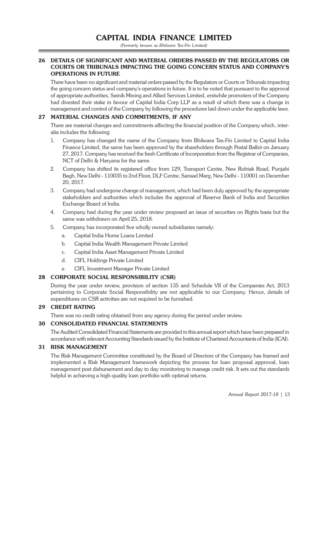*(Formerly known as Bhilwara Tex-Fin Limited)*

### 26 DETAILS OF SIGNIFICANT AND MATERIAL ORDERS PASSED BY THE REGULATORS OR COURTS OR TRIBUNALS IMPACTING THE GOING CONCERN STATUS AND COMPANY'S OPERATIONS IN FUTURE

There have been no significant and material orders passed by the Regulators or Courts or Tribunals impacting the going concern status and company's operations in future. It is to be noted that pursuant to the approval of appropriate authorities, Sainik Mining and Allied Services Limited, erstwhile promoters of the Company had divested their stake in favour of Capital India Corp LLP as a result of which there was a change in management and control of the Company by following the procedures laid down under the applicable laws.

### 27 MATERIAL CHANGES AND COMMITMENTS, IF ANY

There are material changes and commitments affecting the financial position of the Company which, interalia includes the following:

- 1. Company has changed the name of the Company from Bhilwara Tex-Fin Limited to Capital India Finance Limited, the same has been approved by the shareholders through Postal Ballot on January 27, 2017. Company has received the fresh Certificate of Incorporation from the Registrar of Companies, NCT of Delhi & Haryana for the same.
- 2. Company has shifted its registered office from 129, Transport Centre, New Rohtak Road, Punjabi Bagh, New Delhi - 110035 to 2nd Floor, DLF Centre, Sansad Marg, New Delhi - 110001 on December 20, 2017.
- 3. Company had undergone change of management, which had been duly approved by the appropriate stakeholders and authorities which includes the approval of Reserve Bank of India and Securities Exchange Board of India.
- 4. Company had during the year under review proposed an issue of securities on Rights basis but the same was withdrawn on April 25, 2018.
- 5. Company has incorporated five wholly owned subsidiaries namely:
	- a. Capital India Home Loans Limited
	- b. Capital India Wealth Management Private Limited
	- c. Capital India Asset Management Private Limited
	- d. CIFL Holdings Private Limited
	- e. CIFL Investment Manager Private Limited

### 28 CORPORATE SOCIAL RESPONSIBILITY (CSR)

During the year under review, provision of section 135 and Schedule VII of the Companies Act, 2013 pertaining to Corporate Social Responsibility are not applicable to our Company. Hence, details of expenditures on CSR activities are not required to be furnished.

#### 29 CREDIT RATING

There was no credit rating obtained from any agency during the period under review.

#### 30 CONSOLIDATED FINANCIAL STATEMENTS

The Audited Consolidated Financial Statements are provided in this annual report which have been prepared in accordance with relevant Accounting Standards issued by the Institute of Chartered Accountants of India (ICAI).

#### 31 RISK MANAGEMENT

The Risk Management Committee constituted by the Board of Directors of the Company has framed and implemented a Risk Management framework depicting the process for loan proposal approval, loan management post disbursement and day to day monitoring to manage credit risk. It sets out the standards helpful in achieving a high-quality loan portfolio with optimal returns.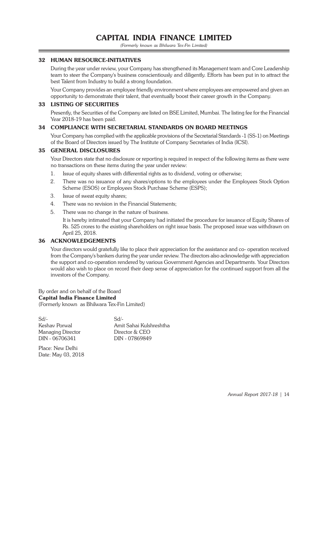*(Formerly known as Bhilwara Tex-Fin Limited)*

### 32 HUMAN RESOURCE-INITIATIVES

During the year under review, your Company has strengthened its Management team and Core Leadership team to steer the Company's business conscientiously and diligently. Efforts has been put in to attract the best Talent from Industry to build a strong foundation.

Your Company provides an employee friendly environment where employees are empowered and given an opportunity to demonstrate their talent, that eventually boost their career growth in the Company.

#### 33 LISTING OF SECURITIES

Presently, the Securities of the Company are listed on BSE Limited, Mumbai. The listing fee for the Financial Year 2018-19 has been paid.

#### 34 COMPLIANCE WITH SECRETARIAL STANDARDS ON BOARD MEETINGS

Your Company has complied with the applicable provisions of the Secretarial Standards -1 (SS-1) on Meetings of the Board of Directors issued by The Institute of Company Secretaries of India (ICSI).

#### 35 GENERAL DISCLOSURES

Your Directors state that no disclosure or reporting is required in respect of the following items as there were no transactions on these items during the year under review:

- 1. Issue of equity shares with differential rights as to dividend, voting or otherwise;
- 2. There was no issuance of any shares/options to the employees under the Employees Stock Option Scheme (ESOS) or Employees Stock Purchase Scheme (ESPS);
- 3. Issue of sweat equity shares;
- 4. There was no revision in the Financial Statements;
- 5. There was no change in the nature of business.

It is hereby intimated that your Company had initiated the procedure for issuance of Equity Shares of Rs. 525 crores to the existing shareholders on right issue basis. The proposed issue was withdrawn on April 25, 2018.

#### 36 ACKNOWLEDGEMENTS

Your directors would gratefully like to place their appreciation for the assistance and co- operation received from the Company's bankers during the year under review. The directors also acknowledge with appreciation the support and co-operation rendered by various Government Agencies and Departments. Your Directors would also wish to place on record their deep sense of appreciation for the continued support from all the investors of the Company.

#### By order and on behalf of the Board Capital India Finance Limited (Formerly known as Bhilwara Tex-Fin Limited)

 $Sd$   $\sim$   $Sd$   $\sim$ Managing Director Director & CEO DIN - 06706341 DIN - 07869849

Keshav Porwal **Amit Sahai Kulshreshtha** 

Place: New Delhi Date: May 03, 2018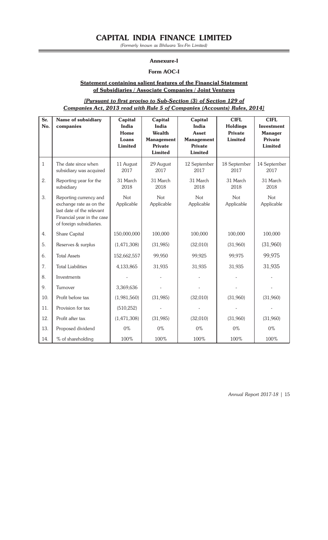*(Formerly known as Bhilwara Tex-Fin Limited)*

#### Annexure-I

# Form AOC-I

# Statement containing salient features of the Financial Statement of Subsidiaries / Associate Companies / Joint Ventures

*[Pursuant to first proviso to Sub-Section (3) of Section 129 of Companies Act, 2013 read with Rule 5 of Companies (Accounts) Rules, 2014]*

| Sr.          | <b>Name of subsidiary</b>                                                                                                                | <b>Capital</b>          | <b>Capital</b>                      | <b>Capital</b>                      | <b>CIFL</b>              | <b>CIFL</b>                      |
|--------------|------------------------------------------------------------------------------------------------------------------------------------------|-------------------------|-------------------------------------|-------------------------------------|--------------------------|----------------------------------|
| No.          | companies                                                                                                                                | India                   | India                               | India                               | <b>Holdings</b>          | <b>Investment</b>                |
|              |                                                                                                                                          | Home                    | Wealth                              | <b>Asset</b>                        | <b>Private</b>           | <b>Manager</b>                   |
|              |                                                                                                                                          | Loans<br><b>Limited</b> | <b>Management</b><br><b>Private</b> | <b>Management</b><br><b>Private</b> | <b>Limited</b>           | <b>Private</b><br><b>Limited</b> |
|              |                                                                                                                                          |                         | <b>Limited</b>                      | <b>Limited</b>                      |                          |                                  |
| $\mathbf{1}$ | The date since when<br>subsidiary was acquired                                                                                           | 11 August<br>2017       | 29 August<br>2017                   | 12 September<br>2017                | 18 September<br>2017     | 14 September<br>2017             |
| 2.           | Reporting year for the<br>subsidiary                                                                                                     | 31 March<br>2018        | 31 March<br>2018                    | 31 March<br>2018                    | 31 March<br>2018         | 31 March<br>2018                 |
| 3.           | Reporting currency and<br>exchange rate as on the<br>last date of the relevant<br>Financial year in the case<br>of foreign subsidiaries. | Not<br>Applicable       | Not<br>Applicable                   | Not<br>Applicable                   | <b>Not</b><br>Applicable | Not<br>Applicable                |
| 4.           | Share Capital                                                                                                                            | 150,000,000             | 100,000                             | 100,000                             | 100,000                  | 100,000                          |
| 5.           | Reserves & surplus                                                                                                                       | (1,471,308)             | (31,985)                            | (32,010)                            | (31,960)                 | (31,960)                         |
| 6.           | <b>Total Assets</b>                                                                                                                      | 152,662,557             | 99,950                              | 99,925                              | 99,975                   | 99,975                           |
| 7.           | <b>Total Liabilities</b>                                                                                                                 | 4,133,865               | 31,935                              | 31,935                              | 31,935                   | 31,935                           |
| 8.           | Investments                                                                                                                              |                         |                                     |                                     |                          |                                  |
| 9.           | Turnover                                                                                                                                 | 3,369,636               |                                     |                                     |                          |                                  |
| 10.          | Profit before tax                                                                                                                        | (1,981,560)             | (31,985)                            | (32,010)                            | (31,960)                 | (31,960)                         |
| 11.          | Provision for tax                                                                                                                        | (510, 252)              |                                     |                                     |                          |                                  |
| 12.          | Profit after tax                                                                                                                         | (1,471,308)             | (31,985)                            | (32,010)                            | (31,960)                 | (31,960)                         |
| 13.          | Proposed dividend                                                                                                                        | $0\%$                   | $0\%$                               | $0\%$                               | $0\%$                    | $0\%$                            |
| 14.          | % of shareholding                                                                                                                        | 100%                    | 100%                                | 100%                                | 100%                     | 100%                             |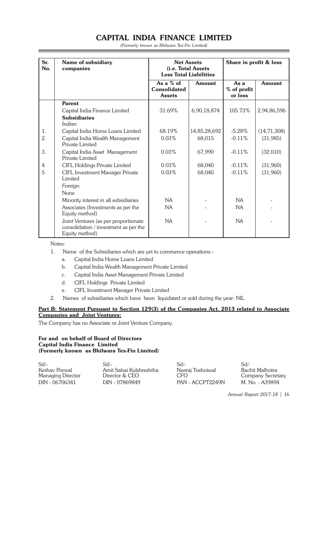*(Formerly known as Bhilwara Tex-Fin Limited)*

| Sr.<br>No. | Name of subsidiary<br>companies                                                                 | <b>Net Assets</b><br>(i.e. Total Assets<br><b>Less Total Liabilities</b> |               | Share in profit & loss         |               |
|------------|-------------------------------------------------------------------------------------------------|--------------------------------------------------------------------------|---------------|--------------------------------|---------------|
|            |                                                                                                 | As a $%$ of<br><b>Consolidated</b><br><b>Assets</b>                      | <b>Amount</b> | As a<br>% of profit<br>or loss | <b>Amount</b> |
|            | <b>Parent</b>                                                                                   |                                                                          |               |                                |               |
|            | Capital India Finance Limited                                                                   | 31.69%                                                                   | 6,90,18,874   | 105.73%                        | 2,94,86,596   |
|            | <b>Subsidiaries</b><br>Indian:                                                                  |                                                                          |               |                                |               |
| 1.         | Capital India Home Loans Limited                                                                | 68.19%                                                                   | 14,85,28,692  | $-5.28\%$                      | (14, 71, 308) |
| 2.         | Capital India Wealth Management<br>Private Limited                                              | $0.03\%$                                                                 | 68,015        | $-0.11\%$                      | (31,985)      |
| 3.         | Capital India Asset Management<br>Private Limited                                               | 0.03%                                                                    | 67,990        | $-0.11\%$                      | (32,010)      |
| 4          | CIFL Holdings Private Limited                                                                   | $0.03\%$                                                                 | 68,040        | $-0.11\%$                      | (31,960)      |
| 5          | CIFL Investment Manager Private<br>I imited                                                     | $0.03\%$                                                                 | 68,040        | $-0.11\%$                      | (31,960)      |
|            | Foreign:                                                                                        |                                                                          |               |                                |               |
|            | <b>None</b>                                                                                     |                                                                          |               |                                |               |
|            | Minority interest in all subsidiaries                                                           | NA.                                                                      |               | NA.                            |               |
|            | Associates (Investments as per the<br>Equity method)                                            | NA.                                                                      |               | NA.                            |               |
|            | Joint Ventures (as per proportionate<br>consolidation / investment as per the<br>Equity method) | <b>NA</b>                                                                |               | <b>NA</b>                      |               |

Notes:

- 1. Name of the Subsidiaries which are yet to commence operations:
	- a. Capital India Home Loans Limited
	- b. Capital India Wealth Management Private Limited
	- c. Capital India Asset Management Private Limited
	- d. CIFL Holdings Private Limited
	- e. CIFL Investment Manager Private Limited
- 2. Names of subsidiaries which have been liquidated or sold during the year: NIL

#### Part B: Statement Pursuant to Section 129(3) of the Companies Act, 2013 related to Associate Companies and Joint Ventures:

The Company has no Associate or Joint Venture Company.

#### For and on behalf of Board of Directors Capital India Finance Limited (Formerly known as Bhilwara Tex-Fin Limited)

Keshav Porwal Amit Sahai Kulshreshtha Neeraj Toshniwal Rachit Malhotra DIN - 06706341 DIN - 07869849 PAN - ACCPT2249N M. No. - A39894

Sd/- Sd/- Sd/- Sd/-

Company Secretary

*Annual Report 2017-18* | 16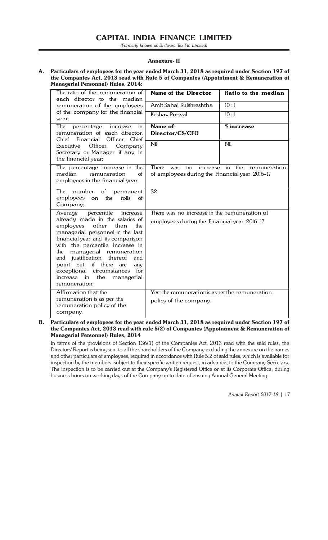*(Formerly known as Bhilwara Tex-Fin Limited)*

#### Annexure- II

A. Particulars of employees for the year ended March 31, 2018 as required under Section 197 of the Companies Act, 2013 read with Rule 5 of Companies (Appointment & Remuneration of Managerial Personnel) Rules, 2014:

| The ratio of the remuneration of<br>each director to the median                                                                                                                                                                                                                                                                                                                              | <b>Name of the Director</b>                                                      | Ratio to the median       |
|----------------------------------------------------------------------------------------------------------------------------------------------------------------------------------------------------------------------------------------------------------------------------------------------------------------------------------------------------------------------------------------------|----------------------------------------------------------------------------------|---------------------------|
| remuneration of the employees                                                                                                                                                                                                                                                                                                                                                                | Amit Sahai Kulshreshtha                                                          | 10:1                      |
| of the company for the financial<br>year;                                                                                                                                                                                                                                                                                                                                                    | Keshay Porwal                                                                    | 10:1                      |
| The<br>percentage<br>increase<br>in<br>remuneration of each director.<br>Financial<br>Officer, Chief<br>Chief                                                                                                                                                                                                                                                                                | Name of<br>Director/CS/CFO                                                       | % increase                |
| Officer,<br>Executive<br>Company<br>Secretary or Manager, if any, in<br>the financial year;                                                                                                                                                                                                                                                                                                  | Nil                                                                              | Nil                       |
| The percentage increase in the<br>median<br>remuneration<br>of<br>employees in the financial year;                                                                                                                                                                                                                                                                                           | There<br>increase<br>was<br>no<br>of employees during the Financial year 2016-17 | in<br>the<br>remuneration |
| number<br>of<br>The<br>permanent<br>employees<br>the<br>rolls<br>of<br>on<br>Company;                                                                                                                                                                                                                                                                                                        | 32                                                                               |                           |
| percentile<br>increase<br>Average                                                                                                                                                                                                                                                                                                                                                            | There was no increase in the remuneration of                                     |                           |
| already made in the salaries of<br>employees<br>other<br>than<br>the<br>managerial personnel in the last<br>financial year and its comparison<br>with the percentile increase in<br>managerial remuneration<br>the<br>and justification<br>thereof<br>and<br>if there<br>point out<br>are<br>any<br>for<br>exceptional circumstances<br>the<br>increase<br>in<br>managerial<br>remuneration; | employees during the Financial year 2016-17                                      |                           |
| Affirmation that the<br>remuneration is as per the                                                                                                                                                                                                                                                                                                                                           | Yes; the remunerationis asper the remuneration                                   |                           |
| remuneration policy of the<br>company.                                                                                                                                                                                                                                                                                                                                                       | policy of the company.                                                           |                           |

B. Particulars of employees for the year ended March 31, 2018 as required under Section 197 of the Companies Act, 2013 read with rule 5(2) of Companies (Appointment & Remuneration of Managerial Personnel) Rules, 2014

In terms of the provisions of Section 136(1) of the Companies Act, 2013 read with the said rules, the Directors' Report is being sent to all the shareholders of the Company excluding the annexure on the names and other particulars of employees, required in accordance with Rule 5.2 of said rules, which is available for inspection by the members, subject to their specific written request, in advance, to the Company Secretary. The inspection is to be carried out at the Company's Registered Office or at its Corporate Office, during business hours on working days of the Company up to date of ensuing Annual General Meeting.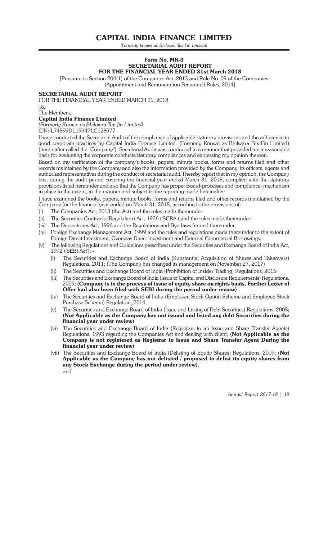*(Formerly known as Bhilwara Tex-Fin Limited)*

#### Form No. MR-3 SECRETARIAL AUDIT REPORT FOR THE FINANCIAL YEAR ENDED 31st March 2018

[Pursuant to Section 204(1) of the Companies Act, 2013 and Rule No. 09 of the Companies (Appointment and Remuneration Personnel) Rules, 2014]

# SECRETARIAL AUDIT REPORT

FOR THE FINANCIAL YEAR ENDED MARCH 31, 2018 To,

The Members,

#### Capital India Finance Limited

*(Formerly Known as Bhilwara Tex-fin Limited)* CIN:-L74899DL1994PLC128577

I have conducted the Secretarial Audit of the compliance of applicable statutory provisions and the adherence to good corporate practices by Capital India Finance Limited. (Formerly Known as Bhilwara Tex-Fin Limited) (hereinafter called the "Company"). Secretarial Audit was conducted in a manner that provided me a reasonable basis for evaluating the corporate conducts/statutory compliances and expressing my opinion thereon.

Based on my verification of the company's books, papers, minute books, forms and returns filed and other records maintained by the Company and also the information provided by the Company, its officers, agents and authorized representatives during the conduct of secretarial audit, I hereby report that in my opinion, the Company has, during the audit period covering the financial year ended March 31, 2018, complied with the statutory provisions listed hereunder and also that the Company has proper Board-processes and compliance- mechanism in place to the extent, in the manner and subject to the reporting made hereinafter:

I have examined the books, papers, minute books, forms and returns filed and other records maintained by the Company for the financial year ended on March 31, 2018, according to the provisions of:

- (i) The Companies Act, 2013 (the Act) and the rules made thereunder;
- (ii) The Securities Contracts (Regulation) Act, 1956 ('SCRA') and the rules made thereunder;
- (iii) The Depositories Act, 1996 and the Regulations and Bye-laws framed thereunder;
- (iv) Foreign Exchange Management Act, 1999 and the rules and regulations made thereunder to the extent of Foreign Direct Investment, Overseas Direct Investment and External Commercial Borrowings;
- (v) The following Regulations and Guidelines prescribed under the Securities and Exchange Board of India Act, 1992 ('SEBI Act'): -
	- (i) The Securities and Exchange Board of India (Substantial Acquisition of Shares and Takeovers) Regulations, 2011; (The Company has changed its management on November 27, 2017)
	- (ii) The Securities and Exchange Board of India (Prohibition of Insider Trading) Regulations, 2015;
	- (iii) The Securities and Exchange Board of India (Issue of Capital and Disclosure Requirements) Regulations, 2009; (Company is in the process of issue of equity share on rights basis, Further Letter of Offer had also been filed with SEBI during the period under review)
	- (iv) The Securities and Exchange Board of India (Employee Stock Option Scheme and Employee Stock Purchase Scheme) Regulation, 2014;
	- (v) The Securities and Exchange Board of India (Issue and Listing of Debt Securities) Regulations, 2008; (Not Applicable as the Company has not issued and listed any debt Securities during the financial year under review)
	- (vi) The Securities and Exchange Board of India (Registrars to an Issue and Share Transfer Agents) Regulations, 1993 regarding the Companies Act and dealing with client; (Not Applicable as the Company is not registered as Registrar to Issue and Share Transfer Agent During the financial year under review)
	- (vii) The Securities and Exchange Board of India (Delisting of Equity Shares) Regulations, 2009; (Not Applicable as the Company has not delisted / proposed to delist its equity shares from any Stock Exchange during the period under review). and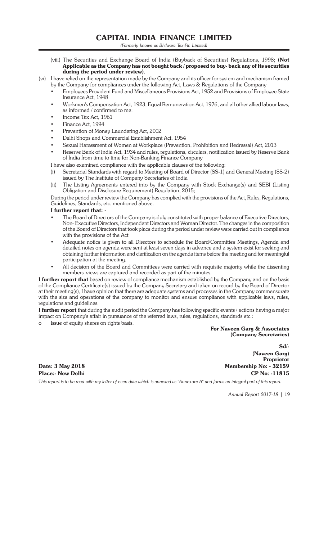*(Formerly known as Bhilwara Tex-Fin Limited)*

(viii) The Securities and Exchange Board of India (Buyback of Securities) Regulations, 1998; (Not Applicable as the Company has not bought back / proposed to buy- back any of its securities during the period under review).

- (vi) I have relied on the representation made by the Company and its officer for system and mechanism framed by the Company for compliances under the following Act, Laws & Regulations of the Company
	- Employees Provident Fund and Miscellaneous Provisions Act, 1952 and Provisions of Employee State Insurance Act, 1948
	- Workmen's Compensation Act, 1923, Equal Remuneration Act, 1976, and all other allied labour laws, as informed / confirmed to me:
	- Income Tax Act, 1961
	- Finance Act, 1994
	- Prevention of Money Laundering Act, 2002
	- Delhi Shops and Commercial Establishment Act, 1954
	- Sexual Harassment of Women at Workplace (Prevention, Prohibition and Redressal) Act, 2013
	- Reserve Bank of India Act, 1934 and rules, regulations, circulars, notification issued by Reserve Bank of India from time to time for Non-Banking Finance Company

I have also examined compliance with the applicable clauses of the following:

- (i) Secretarial Standards with regard to Meeting of Board of Director (SS-1) and General Meeting (SS-2) issued by The Institute of Company Secretaries of India
- (ii) The Listing Agreements entered into by the Company with Stock Exchange(s) and SEBI (Listing Obligation and Disclosure Requirement) Regulation, 2015;

During the period under review the Company has complied with the provisions of the Act, Rules, Regulations, Guidelines, Standards, etc. mentioned above.

#### I further report that: -

- The Board of Directors of the Company is duly constituted with proper balance of Executive Directors, Non- Executive Directors, Independent Directors and Woman Director. The changes in the composition of the Board of Directors that took place during the period under review were carried out in compliance with the provisions of the Act
- Adequate notice is given to all Directors to schedule the Board/Committee Meetings, Agenda and detailed notes on agenda were sent at least seven days in advance and a system exist for seeking and obtaining further information and clarification on the agenda items before the meeting and for meaningful participation at the meeting.
- All decision of the Board and Committees were carried with requisite majority while the dissenting members' views are captured and recorded as part of the minutes.

I further report that based on review of compliance mechanism established by the Company and on the basis of the Compliance Certificate(s) issued by the Company Secretary and taken on record by the Board of Director at their meeting(s), I have opinion that there are adequate systems and processes in the Company commensurate with the size and operations of the company to monitor and ensure compliance with applicable laws, rules, regulations and guidelines.

I further report that during the audit period the Company has following specific events / actions having a major impact on Company's affair in pursuance of the referred laws, rules, regulations, standards etc.:

o Issue of equity shares on rights basis.

For Naveen Garg & Associates (Company Secretaries)

Sd/- (Naveen Garg) Proprietor Date: 3 May 2018 Membership No: - 32159 Place:- New Delhi CP No: -11815

*This report is to be read with my letter of even date which is annexed as "Annexure A" and forms an integral part of this report.*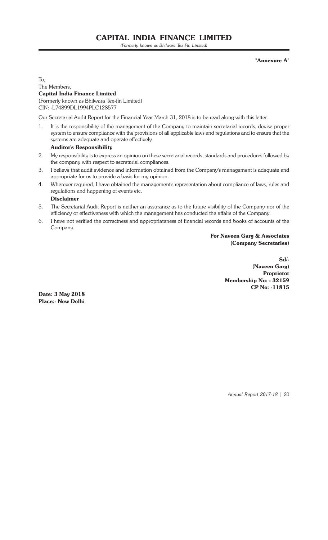*(Formerly known as Bhilwara Tex-Fin Limited)*

#### "Annexure A"

### To, The Members, Capital India Finance Limited (Formerly known as Bhilwara Tex-fin Limited)

CIN: -L74899DL1994PLC128577

Our Secretarial Audit Report for the Financial Year March 31, 2018 is to be read along with this letter.

1. It is the responsibility of the management of the Company to maintain secretarial records, devise proper system to ensure compliance with the provisions of all applicable laws and regulations and to ensure that the systems are adequate and operate effectively.

#### Auditor's Responsibility

- 2. My responsibility is to express an opinion on these secretarial records, standards and procedures followed by the company with respect to secretarial compliances.
- 3. I believe that audit evidence and information obtained from the Company's management is adequate and appropriate for us to provide a basis for my opinion.
- 4. Wherever required, I have obtained the management's representation about compliance of laws, rules and regulations and happening of events etc.

#### Disclaimer

- 5. The Secretarial Audit Report is neither an assurance as to the future visibility of the Company nor of the efficiency or effectiveness with which the management has conducted the affairs of the Company.
- 6. I have not verified the correctness and appropriateness of financial records and books of accounts of the Company.

### For Naveen Garg & Associates (Company Secretaries)

Sd/- (Naveen Garg) Proprietor Membership No: - 32159 CP No: -11815

Date: 3 May 2018 Place:- New Delhi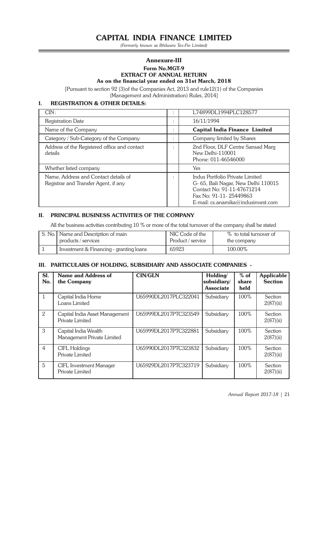*(Formerly known as Bhilwara Tex-Fin Limited)*

# Annexure-III

### Form No.MGT-9

# EXTRACT OF ANNUAL RETURN

### As on the financial year ended on 31st March, 2018

[Pursuant to section 92 (3)of the Companies Act, 2013 and rule12(1) of the Companies (Management and Administration) Rules, 2014]

# I. REGISTRATION & OTHER DETAILS:

| CIN:                                                                         | $\bullet$<br>$\overline{\phantom{a}}$        | L74899DL1994PLC128577                                                                                                                                                |
|------------------------------------------------------------------------------|----------------------------------------------|----------------------------------------------------------------------------------------------------------------------------------------------------------------------|
| <b>Registration Date</b>                                                     |                                              | 16/11/1994                                                                                                                                                           |
| Name of the Company                                                          | $\ddot{\phantom{0}}$<br>$\ddot{\phantom{1}}$ | <b>Capital India Finance Limited</b>                                                                                                                                 |
| Category / Sub-Category of the Company                                       | $\bullet$                                    | Company limited by Shares                                                                                                                                            |
| Address of the Registered office and contact<br>details                      | ٠                                            | 2nd Floor, DLF Centre Sansad Marg<br>New Delhi-110001<br>Phone: 011-46546000                                                                                         |
| Whether listed company                                                       |                                              | <b>Yes</b>                                                                                                                                                           |
| Name, Address and Contact details of<br>Registrar and Transfer Agent, if any | $\cdot$                                      | Indus Portfolio Private Limited<br>G- 65, Bali Nagar, New Delhi 110015<br>Contact No: 91-11-47671214<br>Fax No: 91-11-25449863<br>E-mail: cs.anamika@indusinvest.com |

### II. PRINCIPAL BUSINESS ACTIVITIES OF THE COMPANY

All the business activities contributing 10 % or more of the total turnover of the company shall be stated

| S. No.   Name and Description of main   | NIC Code of the   | % to total turnover of |
|-----------------------------------------|-------------------|------------------------|
| products / services                     | Product / service | the company            |
| Investment & Financing - granting loans | 65923             |                        |

### III. PARTICULARS OF HOLDING, SUBSIDIARY AND ASSOCIATE COMPANIES -

| SI.<br>No. | <b>Name and Address of</b><br>the Company          | <b>CIN/GLN</b>        | Holding/<br>subsidiary/<br><b>Associate</b> | $%$ of<br>share<br>held | <b>Applicable</b><br><b>Section</b> |
|------------|----------------------------------------------------|-----------------------|---------------------------------------------|-------------------------|-------------------------------------|
| 1          | Capital India Home<br>Loans Limited                | U65990DL2017PLC322041 | Subsidiary                                  | 100%                    | Section<br>2(87)(ii)                |
| 2          | Capital India Asset Management<br>Private Limited  | U65999DL2017PTC323549 | Subsidiary                                  | 100%                    | Section<br>2(87)(ii)                |
| 3          | Capital India Wealth<br>Management Private Limited | U65999DL2017PTC322881 | Subsidiary                                  | 100%                    | <b>Section</b><br>2(87)(ii)         |
| 4          | <b>CIFL Holdings</b><br>Private Limited            | U65990DL2017PTC323832 | Subsidiary                                  | 100%                    | Section<br>2(87)(ii)                |
| 5          | CIFL Investment Manager<br>Private Limited         | U65929DL2017PTC323719 | Subsidiary                                  | 100%                    | Section<br>2(87)(ii)                |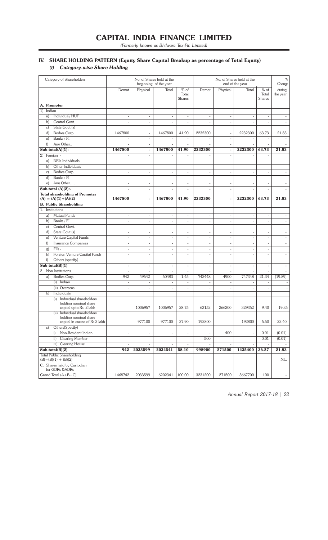*(Formerly known as Bhilwara Tex-Fin Limited)*

# IV. SHARE HOLDING PATTERN (Equity Share Capital Breakup as percentage of Total Equity) *(i) Category-wise Share Holding*

| Category of Shareholders                                                                |                          |                              | No. of Shares held at the<br>beginning of the year |                           |                          | No. of Shares held at the<br>end of the year |                          |                                  |                          |
|-----------------------------------------------------------------------------------------|--------------------------|------------------------------|----------------------------------------------------|---------------------------|--------------------------|----------------------------------------------|--------------------------|----------------------------------|--------------------------|
|                                                                                         | Demat                    | Physical                     | Total                                              | $%$ of<br>Total<br>Shares | Demat                    | Physical                                     | Total                    | $%$ of<br>Total<br><b>Shares</b> | during<br>the year       |
| A. Promoter                                                                             |                          |                              |                                                    |                           |                          |                                              |                          |                                  |                          |
| Indian<br>1)                                                                            |                          |                              |                                                    |                           |                          |                                              |                          |                                  |                          |
| Individual/HUF<br>a)                                                                    | ä,                       | ÷,                           | $\overline{\phantom{a}}$                           | ÷,                        | $\overline{\phantom{a}}$ | $\overline{\phantom{a}}$                     |                          | $\overline{\phantom{a}}$         |                          |
| Central Govt.<br>b)                                                                     | $\overline{\phantom{a}}$ | $\overline{\phantom{a}}$     | $\blacksquare$                                     | $\overline{\phantom{a}}$  | $\overline{\phantom{a}}$ | $\overline{\phantom{a}}$                     | $\overline{\phantom{a}}$ | $\overline{\phantom{a}}$         | $\overline{\phantom{a}}$ |
| State Govt.(s)<br>c)                                                                    |                          |                              |                                                    |                           |                          |                                              |                          |                                  |                          |
| <b>Bodies Corp</b><br>d)                                                                | 1467800                  | $\qquad \qquad \blacksquare$ | 1467800                                            | 41.90                     | 2232300                  | $\overline{\phantom{a}}$                     | 2232300                  | 63.73                            | 21.83                    |
| Banks / FI<br>$\epsilon$                                                                | ä,                       | $\qquad \qquad \blacksquare$ | $\sim$                                             | $\blacksquare$            | ä,                       | $\overline{\phantom{a}}$                     |                          | ÷                                |                          |
| Any Other<br>f                                                                          | ÷                        | $\overline{\phantom{m}}$     | $\overline{\phantom{a}}$                           | ÷                         | $\overline{\phantom{a}}$ | $\overline{\phantom{a}}$                     |                          | $\overline{\phantom{a}}$         |                          |
| $Sub-total(A)(1)$ :                                                                     | 1467800                  | $\blacksquare$               | 1467800                                            | 41.90                     | 2232300                  | $\blacksquare$                               | 2232300                  | 63.73                            | 21.83                    |
| 2) Foreign -                                                                            |                          | ÷,                           |                                                    |                           |                          | $\overline{\phantom{a}}$                     |                          | $\overline{\phantom{a}}$         |                          |
| NRIs-Individuals<br>a)                                                                  | $\equiv$                 | $\equiv$                     | $\overline{\phantom{a}}$                           | $\overline{\phantom{a}}$  | $\omega$                 | $\omega$                                     | $\sim$                   | $\blacksquare$                   | $\sim$                   |
| Other-Individuals<br>b)                                                                 | $\blacksquare$           | $\blacksquare$               | $\overline{\phantom{a}}$                           | $\overline{\phantom{a}}$  | $\blacksquare$           | $\overline{\phantom{a}}$                     | ÷,                       | $\overline{\phantom{a}}$         | $\overline{\phantom{a}}$ |
| Bodies Corp.<br>$\mathbf{c})$                                                           | ä,                       | ä,                           | $\bar{ }$                                          | ÷,                        | L.                       | $\bar{z}$                                    | ä,                       | ÷.                               | $\sim$                   |
| Banks / FI<br>d)                                                                        | ä,                       | ä,                           | $\bar{a}$                                          | ÷,                        | $\bar{\phantom{a}}$      | $\sim$                                       | ä,                       | $\sim$                           | $\sim$                   |
| Any Other<br>$\epsilon$                                                                 | ä,                       | $\sim$                       | $\blacksquare$                                     | $\sim$                    | $\bar{ }$                | $\omega$                                     | $\sim$                   | ÷.                               | $\sim$                   |
| Sub-total $(A)(2)$ :-                                                                   | ٠                        | ٠                            | $\blacksquare$                                     | $\blacksquare$            | ٠                        | ٠                                            | ٠                        | ٠                                | ٠                        |
| <b>Total shareholding of Promoter</b>                                                   |                          |                              |                                                    |                           |                          |                                              |                          |                                  |                          |
| $(A) = (A)(1) + (A)(2)$                                                                 | 1467800                  |                              | 1467800                                            | 41.90                     | 2232300                  | ٠                                            | 2232300                  | 63.73                            | 21.83                    |
| <b>B. Public Shareholding</b>                                                           |                          |                              |                                                    |                           |                          |                                              |                          |                                  |                          |
| Institutions<br>1.                                                                      | ä,                       | ÷,                           | $\bar{a}$                                          | ÷,                        | ÷,                       | $\sim$                                       | ä,                       | ä,                               |                          |
| <b>Mutual Funds</b><br>a)                                                               | $\blacksquare$           | $\equiv$                     | $\overline{\phantom{a}}$                           | ä,                        | $\bar{ }$                | $\bar{ }$                                    | $\blacksquare$           | $\equiv$                         | $\blacksquare$           |
| Banks / FI<br>b)                                                                        | ä,                       | ä,                           | $\bar{a}$                                          |                           |                          | $\bar{z}$                                    | ä,                       | $\sim$                           |                          |
| Central Govt.                                                                           |                          |                              |                                                    | $\sim$                    | $\bar{\phantom{a}}$      |                                              |                          |                                  | $\overline{\phantom{a}}$ |
| c)                                                                                      | $\blacksquare$           | $\blacksquare$               | $\overline{\phantom{a}}$                           | $\overline{\phantom{a}}$  | $\overline{\phantom{a}}$ | $\overline{\phantom{a}}$                     | ÷,                       | $\overline{\phantom{a}}$         | $\blacksquare$           |
| State Govt.(s)<br>d)                                                                    | ÷                        | $\overline{\phantom{a}}$     | $\overline{\phantom{a}}$                           | $\sim$                    | $\overline{\phantom{a}}$ | $\overline{\phantom{a}}$                     | $\overline{\phantom{a}}$ | $\overline{\phantom{a}}$         | $\overline{\phantom{a}}$ |
| Venture Capital Funds<br>e)                                                             | $\blacksquare$           | $\overline{\phantom{a}}$     | $\blacksquare$                                     | $\overline{\phantom{a}}$  | $\blacksquare$           | $\overline{\phantom{a}}$                     | $\blacksquare$           | $\overline{\phantom{a}}$         | $\blacksquare$           |
| <b>Insurance Companies</b><br>f)                                                        | ä,                       | ÷,                           | ä,                                                 | $\sim$                    | $\overline{\phantom{a}}$ | $\sim$                                       | $\sim$                   | $\overline{\phantom{a}}$         | $\overline{\phantom{a}}$ |
| FIIs -<br>$\mathbf{g}$                                                                  | $\blacksquare$           | $\qquad \qquad \blacksquare$ | $\overline{\phantom{a}}$                           | ÷,                        | $\blacksquare$           | $\overline{\phantom{a}}$                     | ÷,                       | $\overline{\phantom{a}}$         |                          |
| Foreign Venture Capital Funds<br>h)                                                     | $\blacksquare$           | $\qquad \qquad \blacksquare$ | $\blacksquare$                                     | ÷                         | $\equiv$                 | $\sim$                                       | ÷,                       | $\overline{\phantom{a}}$         | $\overline{\phantom{a}}$ |
| i)<br>Others (specify)                                                                  | $\blacksquare$           | $\qquad \qquad \blacksquare$ | $\overline{\phantom{a}}$                           | ÷,                        | ÷,                       | $\overline{\phantom{a}}$                     | $\overline{\phantom{a}}$ | $\overline{\phantom{a}}$         | $\blacksquare$           |
| $Sub-total(B)(1)$                                                                       | ٠                        | ٠                            | $\blacksquare$                                     | ×,                        | $\overline{\phantom{a}}$ | ٠                                            | $\overline{\phantom{a}}$ | $\overline{\phantom{a}}$         | $\overline{\phantom{a}}$ |
| 2. Non Institutions                                                                     | $\sim$                   | L,                           |                                                    | L,                        | ÷,                       | $\sim$                                       |                          | ä,                               |                          |
| Bodies Corp.<br>a)                                                                      | 942                      | 49542                        | 50483                                              | 1.45                      | 742448                   | 4900                                         | 747348                   | 21.34                            | (19.89)                  |
| (i) Indian                                                                              | $\overline{\phantom{a}}$ | ÷                            | $\overline{\phantom{a}}$                           | $\overline{\phantom{m}}$  | $\frac{1}{2}$            | $\overline{\phantom{a}}$                     |                          | $\overline{\phantom{a}}$         |                          |
| (ii) Overseas                                                                           | $\equiv$                 | ä,                           | $\bar{\phantom{a}}$                                | ä,                        | $\bar{\phantom{a}}$      | $\bar{z}$                                    |                          | ÷.                               |                          |
| Individuals<br>b)                                                                       |                          |                              |                                                    |                           |                          |                                              |                          |                                  |                          |
| Individual shareholders<br>(i)<br>holding nominal share<br>capital upto Rs. 2 lakh      |                          | 1006957                      | 1006957                                            | 28.75                     | 63152                    | 266200                                       | 329352                   | 9.40                             | 19.35                    |
| (ii) Individual shareholders<br>holding nominal share<br>capital in excess of Rs 2 lakh |                          | 977100                       | 977100                                             | 27.90                     | 192800                   |                                              | 192800                   | 5.50                             | 22.40                    |
| Others(Specify)<br>$\mathsf{C}$                                                         |                          |                              |                                                    |                           |                          |                                              |                          |                                  |                          |
| Non-Resident Indian<br>i)                                                               | $\blacksquare$           | $\qquad \qquad \blacksquare$ | $\overline{\phantom{a}}$                           | $\overline{\phantom{a}}$  |                          | 400                                          | $\blacksquare$           | 0.01                             | (0.01)                   |
| Clearing Member<br>$\mathbf{ii}$                                                        | $\blacksquare$           | ÷,                           | ÷                                                  |                           | 500                      | $\bar{\phantom{a}}$                          |                          | 0.01                             | (0.01)                   |
| iii) Clearing House                                                                     | ÷,                       | ÷,                           | $\omega$                                           | $\omega$                  | $\omega$                 | $\omega$                                     | $\omega$                 | $\omega$                         |                          |
| $Sub-total(B)(2)$                                                                       | 942                      | 2033599                      | 2034541                                            | 58.10                     | 998900                   | 271500                                       | 1435400                  | 36.27                            | 21.83                    |
| <b>Total Public Shareholding</b>                                                        |                          |                              |                                                    |                           |                          |                                              |                          |                                  |                          |
| $(B) = (B)(1) + (B)(2)$<br>C. Shares held by Custodian                                  |                          |                              |                                                    |                           |                          |                                              |                          |                                  | <b>NIL</b>               |
| for GDRs &ADRs                                                                          |                          |                              |                                                    | ÷                         |                          |                                              |                          | $\blacksquare$                   | $\overline{\phantom{a}}$ |
| Grand Total $(A+B+C)$                                                                   | 1468742                  | 2033599                      | 6202341                                            | 100.00                    | 3231200                  | 271500                                       | 3667700                  | 100                              | $\sim$                   |

═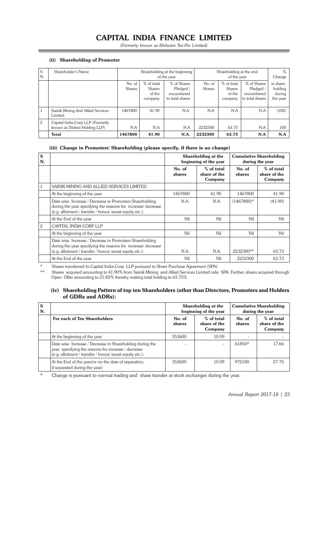*(Formerly known as Bhilwara Tex-Fin Limited)*

#### (ii) Shareholding of Promoter

| S<br>N. | Shareholder's Name                                                | Shareholding at the beginning<br>of the year |                                                    |                                                           | Shareholding at the end | $\%$<br>Change                                   |                                                           |                                            |
|---------|-------------------------------------------------------------------|----------------------------------------------|----------------------------------------------------|-----------------------------------------------------------|-------------------------|--------------------------------------------------|-----------------------------------------------------------|--------------------------------------------|
|         |                                                                   | No. of<br><b>Shares</b>                      | $%$ of total<br><b>Shares</b><br>of the<br>company | % of Shares<br>Pledged /<br>encumbered<br>to total shares | No. of<br><b>Shares</b> | % of total<br><b>Shares</b><br>of the<br>company | % of Shares<br>Pledged /<br>encumbered<br>to total shares | in share-<br>holding<br>during<br>the year |
|         | Sainik Mining And Allied Services<br>I imited                     | 1467800                                      | 41.90                                              | N.A.                                                      | N.A                     | N.A                                              | N.A                                                       | (100)                                      |
| 2       | Capital India Corp LLP (Formerly<br>known as Trident Holding LLP) | N.A                                          | N.A                                                | N.A                                                       | 2232300                 | 63.73                                            | N.A                                                       | 100                                        |
|         | <b>Total</b>                                                      | 1467800                                      | 41.90                                              | N.A.                                                      | 2232300                 | 63.73                                            | N.A                                                       | N.A                                        |

#### (iii) Change in Promoters' Shareholding (please specify, if there is no change)

| S<br>N. |                                                                                                                                                                                     |                         | Shareholding at the<br>beginning of the year |                  | <b>Cumulative Shareholding</b><br>during the year |
|---------|-------------------------------------------------------------------------------------------------------------------------------------------------------------------------------------|-------------------------|----------------------------------------------|------------------|---------------------------------------------------|
|         |                                                                                                                                                                                     | No. of<br><b>shares</b> | % of total<br>share of the<br>Company        | No. of<br>shares | % of total<br>share of the<br>Company             |
|         | SAINIK MINING AND ALLIED SERVICES LIMITED                                                                                                                                           |                         |                                              |                  |                                                   |
|         | At the beginning of the year                                                                                                                                                        | 1467800                 | 41.90                                        | 1467800          | 41.90                                             |
|         | Date wise Increase / Decrease in Promoters Shareholding<br>during the year specifying the reasons for increase/ decrease<br>(e.g. allotment / transfer / bonus/ sweat equity etc.): | N.A.                    | N.A.                                         | $(1467800)*$     | (41.90)                                           |
|         | At the End of the year                                                                                                                                                              | Nil                     | Nil                                          | Nil              | Nil                                               |
| 2       | CAPITAL INDIA CORP LLP                                                                                                                                                              |                         |                                              |                  |                                                   |
|         | At the beginning of the year                                                                                                                                                        | Nil                     | Nil                                          | Nil              | Nil                                               |
|         | Date wise Increase / Decrease in Promoters Shareholding<br>during the year specifying the reasons for increase/ decrease<br>(e.g. allotment / transfer / bonus/ sweat equity etc.): | N.A.                    | N.A.                                         | 2232300**        | 63.73                                             |
|         | At the End of the year                                                                                                                                                              | Nil                     | Nil                                          | 2232300          | 63.73                                             |

Shares transferred to Capital India Corp LLP pursuant to Share Purchase Agreement (SPA)

\*\* Shares acquired amounting to 41.90% from Sainik Mining and Allied Services Limited vide SPA. Further, shares acquired through Open Offer amounting to 21.83% thereby making total holding to 63.73%

#### (iv) Shareholding Pattern of top ten Shareholders (other than Directors, Promoters and Holders of GDRs and ADRs):

| S<br>N. |                                                                                                                                                                            |                  | Shareholding at the<br>beginning of the year | <b>Cumulative Shareholding</b><br>during the year |                                       |  |
|---------|----------------------------------------------------------------------------------------------------------------------------------------------------------------------------|------------------|----------------------------------------------|---------------------------------------------------|---------------------------------------|--|
|         | <b>For each of Ten Shareholders</b>                                                                                                                                        | No. of<br>shares | % of total<br>share of the<br>Company        | No. of<br>shares                                  | % of total<br>share of the<br>Company |  |
|         | At the beginning of the year                                                                                                                                               | 353600           | 10.09                                        |                                                   |                                       |  |
|         | Date wise Increase / Decrease in Shareholding during the<br>year specifying the reasons for increase / decrease<br>(e.g. allotment / transfer / bonus/ sweat equity etc.): |                  |                                              | 61850*                                            | 17.66                                 |  |
|         | At the End of the year (or on the date of separation,<br>if separated during the year)                                                                                     | 353600           | 10.09                                        | 972100                                            | 27.75                                 |  |

\* Change is pursuant to normal trading and share transfer at stock exchanges during the year.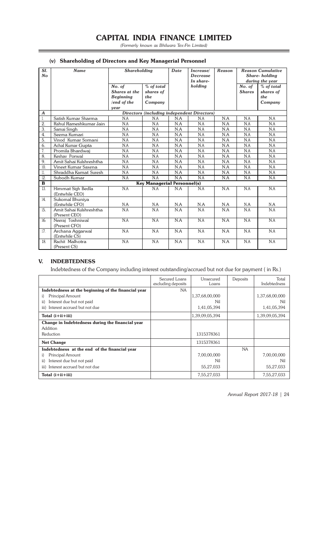*(Formerly known as Bhilwara Tex-Fin Limited)*

| SI.<br>$\bf{N}$ o | <b>Name</b>                              | <b>Shareholding</b>                                               |                                                    | <b>Date</b> | Increase/<br><b>Decrease</b><br>In share- | Reason | <b>Reason Cumulative</b><br><b>Share-holding</b><br>during the year |                                           |  |
|-------------------|------------------------------------------|-------------------------------------------------------------------|----------------------------------------------------|-------------|-------------------------------------------|--------|---------------------------------------------------------------------|-------------------------------------------|--|
|                   |                                          | No. of<br>Shares at the<br><b>Beginning</b><br>end of the<br>vear | $%$ of total<br>shares of<br>the<br>Company        |             | holding                                   |        | No. of<br><b>Shares</b>                                             | % of total<br>shares of<br>the<br>Company |  |
| $\boldsymbol{A}$  |                                          |                                                                   | <b>Directors (including independent Directors)</b> |             |                                           |        |                                                                     |                                           |  |
| 1.                | Satish Kumar Sharma                      | NA                                                                | N.A                                                | N.A         | N.A                                       | N.A    | N.A                                                                 | N.A                                       |  |
| 2.                | Rahul Rameshkumar Jain                   | NA                                                                | N.A                                                | N.A         | N.A                                       | N.A    | N.A                                                                 | N.A                                       |  |
| 3.                | Samai Singh                              | NA                                                                | NA                                                 | N.A         | N.A                                       | N.A    | N.A                                                                 | N.A                                       |  |
| 4.                | Seema Kumari                             | NA                                                                | NA                                                 | N.A         | N.A                                       | N.A    | N.A                                                                 | N.A                                       |  |
| 5.                | Vinod Kumar Somani                       | NA                                                                | N.A                                                | N.A         | N.A                                       | N.A    | N.A                                                                 | N.A                                       |  |
| 6.                | Achal Kumar Gupta                        | NA                                                                | NA                                                 | N.A         | N.A                                       | N.A    | NA                                                                  | N.A                                       |  |
| 7.                | Promila Bhardwaj                         | NA                                                                | N.A                                                | N.A         | N.A                                       | N.A    | N.A                                                                 | N.A                                       |  |
| 8.                | Keshav Porwal                            | NA                                                                | N.A                                                | N.A         | N.A                                       | N.A    | N.A                                                                 | N.A                                       |  |
| 9.                | Amit Sahai Kulshreshtha                  | NA                                                                | NA                                                 | N.A         | N.A                                       | N.A    | N.A                                                                 | N.A                                       |  |
| 10.               | Vineet Kumar Saxena                      | NA                                                                | N.A                                                | N.A         | N.A                                       | N.A    | N.A                                                                 | N.A                                       |  |
| 11.               | Shraddha Kamat Suresh                    | NA                                                                | NA                                                 | N.A         | N.A                                       | N.A    | N.A                                                                 | N.A                                       |  |
| 12.               | Subodh Kumar                             | NA                                                                | N.A                                                | N.A         | N.A                                       | N.A    | N.A                                                                 | N.A                                       |  |
| B                 |                                          |                                                                   | <b>Key Managerial Personnel(s)</b>                 |             |                                           |        |                                                                     |                                           |  |
| 13.               | Himmat Sigh Bedla<br>(Erstwhile CEO)     | NA                                                                | NA                                                 | N.A         | N.A                                       | N.A    | N.A                                                                 | N.A                                       |  |
| 14.               | Sukomal Bhuniya<br>(Erstwhile CFO)       | N.A                                                               | N.A                                                | N.A         | N.A                                       | N.A    | N.A                                                                 | N.A                                       |  |
| 15.               | Amit Sahai Kulshreshtha<br>(Present CEO) | NA                                                                | N.A                                                | N.A         | N.A                                       | N.A    | N.A                                                                 | N.A                                       |  |
| 16.               | Neeraj Toshniwal<br>(Present CFO)        | NA                                                                | N.A                                                | N.A         | N.A                                       | N.A    | N.A                                                                 | N.A                                       |  |
| 17.               | Archana Aggarwal<br>(Erstwhile CS)       | NA                                                                | NA                                                 | N.A         | N.A                                       | N.A    | N.A                                                                 | N.A                                       |  |
| 18.               | Rachit Malhotra<br>(Present CS)          | NA                                                                | N.A                                                | N.A         | N.A                                       | N.A    | N.A                                                                 | N.A                                       |  |

# (v) Shareholding of Directors and Key Managerial Personnel

#### V. INDEBTEDNESS

Indebtedness of the Company including interest outstanding/accrued but not due for payment ( in Rs.)

|                                                     | Secured Loans<br>excluding deposits | Unsecured<br>Loans | Deposits  | Total<br>Indebtedness |
|-----------------------------------------------------|-------------------------------------|--------------------|-----------|-----------------------|
| Indebtedness at the beginning of the financial year | NA                                  |                    |           |                       |
| Principal Amount<br>i)                              |                                     | 1,37,68,00,000     |           | 1,37,68,00,000        |
| Interest due but not paid<br>$\mathbf{ii}$          |                                     | Nil                |           | Nil                   |
| Interest accrued but not due<br>iii)                |                                     | 1,41,05,394        |           | 1,41,05,394           |
| Total $(i+ii+iii)$                                  |                                     | 1,39,09,05,394     |           | 1,39,09,05,394        |
| Change in Indebtedness during the financial year    |                                     |                    |           |                       |
| Addition                                            |                                     |                    |           |                       |
| Reduction                                           |                                     | 1315378361         |           |                       |
| <b>Net Change</b>                                   |                                     | 1315378361         |           |                       |
| Indebtedness at the end of the financial year       |                                     |                    | <b>NA</b> |                       |
| Principal Amount<br>i)                              |                                     | 7,00,00,000        |           | 7,00,00,000           |
| Interest due but not paid<br>$\mathbf{ii}$          |                                     | Nil                |           | Nil                   |
| Interest accrued but not due<br>iii)                |                                     | 55,27,033          |           | 55,27,033             |
| Total $(i+ii+iii)$                                  |                                     | 7,55,27,033        |           | 7,55,27,033           |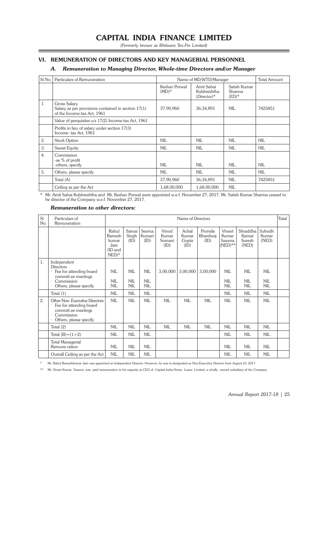*(Formerly known as Bhilwara Tex-Fin Limited)*

# VI. REMUNERATION OF DIRECTORS AND KEY MANAGERIAL PERSONNEL

#### *A. Remuneration to Managing Director, Whole-time Directors and/or Manager*

| Sl No.           | Particulars of Remuneration                                                                        | Name of MD/WTD/Manager   |                                             | <b>Total Amount</b>               |            |
|------------------|----------------------------------------------------------------------------------------------------|--------------------------|---------------------------------------------|-----------------------------------|------------|
|                  |                                                                                                    | Keshav Porwal<br>$(MD)*$ | Amit Sahai<br>Kulshreshtha<br>$(Director)*$ | Satish Kumar<br>Sharma<br>$(ED)*$ |            |
| $\mathbf{1}$     | Gross Salary<br>Salary as per provisions contained in section 17(1)<br>of the Income-tax Act, 1961 | 37,90,960                | 36, 34, 891                                 | <b>NIL</b>                        | 7425851    |
|                  | Value of perquisites $u/s$ 17(2) Income-tax Act, 1961                                              |                          |                                             |                                   |            |
|                  | Profits in lieu of salary under section 17(3)<br>Income-tax Act, 1961                              |                          |                                             |                                   |            |
| 2.               | <b>Stock Option</b>                                                                                | <b>NIL</b>               | <b>NIL</b>                                  | <b>NIL</b>                        | <b>NIL</b> |
| 3.               | Sweat Equity                                                                                       | <b>NIL</b>               | <b>NIL</b>                                  | <b>NIL</b>                        | <b>NIL</b> |
| $\overline{4}$ . | Commission<br>-as % of profit<br>-others, specify                                                  | NII.                     | NII.                                        | NII.                              | NII.       |
| 5.               | Others, please specify                                                                             | NII.                     | NII.                                        | <b>NIL</b>                        | <b>NIL</b> |
|                  | Total (A)                                                                                          | 37,90,960                | 36, 34, 891                                 | <b>NIL</b>                        | 7425851    |
|                  | Ceiling as per the Act                                                                             | 1.68.00.000              | 1.68.00.000                                 | <b>NIL</b>                        |            |

\* Mr. Amit Sahai Kulshreshtha and Mr. Keshav Porwal were appointed w.e.f. November 27, 2017. Mr. Satish Kumar Sharma ceased to be director of the Company w.e.f. November 27, 2017.

#### *Remuneration to other directors:*

| <b>Sl</b><br>No. | Particulars of<br>Remuneration                                                                                                                |                                                                   |                            |                                 |                                  | Name of Directors               |                             |                                         |                                      |                            | Total |
|------------------|-----------------------------------------------------------------------------------------------------------------------------------------------|-------------------------------------------------------------------|----------------------------|---------------------------------|----------------------------------|---------------------------------|-----------------------------|-----------------------------------------|--------------------------------------|----------------------------|-------|
|                  |                                                                                                                                               | Rahul<br>Ramesh<br>kumar<br>Jain<br>(ID and<br>$NED$ <sup>*</sup> | Samai<br>Singh<br>(ID)     | Seema<br>Kumari<br>(ID)         | Vinod<br>Kumar<br>Somani<br>(ID) | Achal<br>Kumar<br>Gupta<br>(ID) | Promila<br>Bhardwaj<br>(ID) | Vineet<br>Kumar<br>Saxena<br>$(NED)$ ** | Shraddha<br>Kamat<br>Suresh<br>(NED) | Subodh<br>Kumar<br>(NED)   |       |
| 1.               | Independent<br><b>Directors</b><br>Fee for attending board<br>committ ee meetings<br>Commission<br>Others, please specify                     | NII.<br>NII.<br><b>NIL</b>                                        | NII.<br>NII.<br><b>NIL</b> | <b>NIL</b><br><b>NIL</b><br>NIL | 3,00,000                         | 3,00,000                        | 3,00,000                    | NII.<br>NII.<br><b>NIL</b>              | NII.<br>NII.<br><b>NIL</b>           | NII.<br>NII.<br><b>NIL</b> |       |
|                  | Total $(1)$                                                                                                                                   | <b>NIL</b>                                                        | <b>NIL</b>                 | <b>NIL</b>                      |                                  |                                 |                             | <b>NIL</b>                              | <b>NIL</b>                           | NII.                       |       |
| 2.               | Other Non-Executive Directors<br>Fee for attending board<br>$\cdot$<br>committ ee meetings<br>Commission<br>$\cdot$<br>Others, please specify | NII.                                                              | NII.                       | <b>NIL</b>                      | <b>NIL</b>                       | <b>NIL</b>                      | <b>NIL</b>                  | <b>NIL</b>                              | <b>NIL</b>                           | NII.                       |       |
|                  | Total $(2)$                                                                                                                                   | <b>NIL</b>                                                        | NII.                       | <b>NIL</b>                      | <b>NIL</b>                       | <b>NIL</b>                      | <b>NIL</b>                  | <b>NIL</b>                              | <b>NIL</b>                           | <b>NIL</b>                 |       |
|                  | Total $(B) = (1+2)$                                                                                                                           | <b>NIL</b>                                                        | NII.                       | <b>NIL</b>                      |                                  |                                 |                             | <b>NIL</b>                              | <b>NIL</b>                           | <b>NIL</b>                 |       |
|                  | <b>Total Managerial</b><br>Remune ration                                                                                                      | NII.                                                              | NII.                       | NII.                            |                                  |                                 |                             | NII.                                    | NII.                                 | NII.                       |       |
|                  | Overall Ceiling as per the Act                                                                                                                | <b>NIL</b>                                                        | <b>NIL</b>                 | <b>NIL</b>                      |                                  |                                 |                             | NIL                                     | NIL                                  | NIL                        |       |

\* Mr. Rahul Rameshkumar Jain was appointed as Independent Director. However, he was re-designated as Non-Executive Director from August 10, 2017.

\*\* Mr. Vineet Kumar Saxena was paid remuneration in his capacity as CEO of Capital India Home Loans Limited, a wholly owned subsidiary of the Company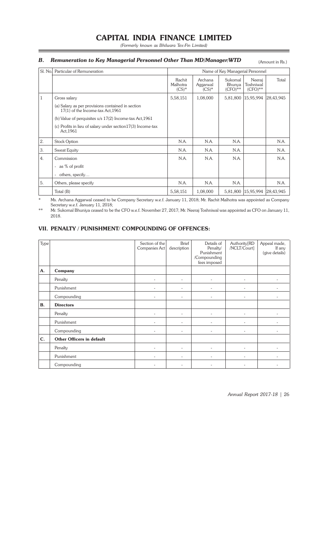*(Formerly known as Bhilwara Tex-Fin Limited)*

#### *B. Remuneration to Key Managerial Personnel Other Than MD/Manager/WTD*

(Amount in Rs.)

| Sl. No.          | Particular of Remuneration                                                               |                               |                                 | Name of Key Managerial Personnel |                                  |           |
|------------------|------------------------------------------------------------------------------------------|-------------------------------|---------------------------------|----------------------------------|----------------------------------|-----------|
|                  |                                                                                          | Rachit<br>Malhotra<br>$(CS)*$ | Archana<br>Aggarwal<br>$(CS)^*$ | Sukomal<br>Bhunya<br>$(CFO)**$   | Neeraj<br>Toshniwal<br>$(CFO)**$ | Total     |
| $\mathbf{1}$     | Gross salary                                                                             | 5,58,151                      | 1,08,000                        | 5,81,800                         | 15,95,994                        | 28,43,945 |
|                  | (a) Salary as per provisions contained in section<br>$17(1)$ of the Income-tax Act, 1961 |                               |                                 |                                  |                                  |           |
|                  | (b) Value of perquisites $u/s$ 17(2) Income-tax Act, 1961                                |                               |                                 |                                  |                                  |           |
|                  | (c) Profits in lieu of salary under section 17(3) Income-tax<br>Act, 1961                |                               |                                 |                                  |                                  |           |
| 2.               | <b>Stock Option</b>                                                                      | N.A.                          | N.A.                            | N.A.                             |                                  | N.A.      |
| 3.               | Sweat Equity                                                                             | N.A.                          | N.A.                            | N.A.                             |                                  | N.A.      |
| $\overline{4}$ . | Commission                                                                               | N.A.                          | N.A.                            | N.A.                             |                                  | N.A.      |
|                  | as % of profit<br>$\overline{\phantom{a}}$                                               |                               |                                 |                                  |                                  |           |
|                  | others, specify<br>$\overline{\phantom{0}}$                                              |                               |                                 |                                  |                                  |           |
| 5.               | Others, please specify                                                                   | N.A.                          | N.A.                            | N.A.                             |                                  | N.A.      |
|                  | Total (B)                                                                                | 5,58,151                      | 1,08,000                        |                                  | 5,81,800 15,95,994               | 28,43,945 |

\* Ms. Archana Aggarwal ceased to be Company Secretary w.e.f. January 11, 2018; Mr. Rachit Malhotra was appointed as Company Secretary w.e.f. January 11, 2018;

\*\* Mr. Sukomal Bhuniya ceased to be the CFO w.e.f. November 27, 2017; Mr. Neeraj Toshniwal was appointed as CFO on January 11, 2018.

# VII. PENALTY / PUNISHMENT/ COMPOUNDING OF OFFENCES:

| Type      |                                  | Section of the<br>Companies Act | Brief<br>description     | Details of<br>Penalty/<br>Punishment<br>/Compounding<br>fees imposed | Authority[RD<br>/NCLT/Court] | Appeal made,<br>If any<br>(give details) |
|-----------|----------------------------------|---------------------------------|--------------------------|----------------------------------------------------------------------|------------------------------|------------------------------------------|
| A.        | Company                          |                                 |                          |                                                                      |                              |                                          |
|           | Penalty                          |                                 | $\overline{\phantom{a}}$ | ٠                                                                    |                              |                                          |
|           | Punishment                       | ٠                               | ۰                        | ۰                                                                    | $\overline{\phantom{a}}$     |                                          |
|           | Compounding                      | $\overline{\phantom{a}}$        | ۰                        | ٠                                                                    | ٠                            |                                          |
| <b>B.</b> | <b>Directors</b>                 |                                 |                          |                                                                      |                              |                                          |
|           | Penalty                          | ٠                               | ۰                        |                                                                      |                              |                                          |
|           | Punishment                       |                                 | ۰                        |                                                                      |                              |                                          |
|           | Compounding                      | ٠                               | ۰                        | ۰                                                                    |                              |                                          |
| C.        | <b>Other Officers in default</b> |                                 |                          |                                                                      |                              |                                          |
|           | Penalty                          | $\overline{\phantom{a}}$        | ۰                        | ٠                                                                    | ٠                            |                                          |
|           | Punishment                       |                                 | $\overline{\phantom{a}}$ | ٠                                                                    | ٠                            |                                          |
|           | Compounding                      | $\overline{\phantom{a}}$        | ۰                        | ۰                                                                    | ٠                            |                                          |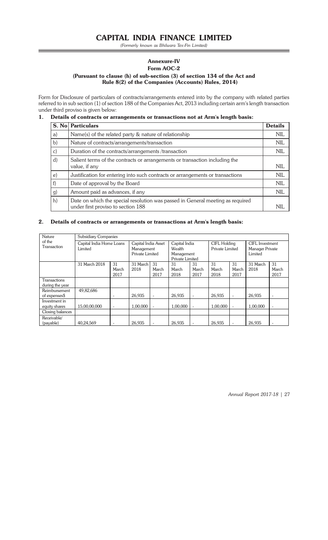*(Formerly known as Bhilwara Tex-Fin Limited)*

# Annexure-IV

Form AOC-2

#### (Pursuant to clause (h) of sub-section (3) of section 134 of the Act and Rule 8(2) of the Companies (Accounts) Rules, 2014)

Form for Disclosure of particulars of contracts/arrangements entered into by the company with related parties referred to in sub section (1) of section 188 of the Companies Act, 2013 including certain arm's length transaction under third proviso is given below:

#### 1. Details of contracts or arrangements or transactions not at Arm's length basis:

|              | S. No Particulars                                                                                                    | <b>Details</b> |
|--------------|----------------------------------------------------------------------------------------------------------------------|----------------|
| a)           | Name(s) of the related party & nature of relationship                                                                | <b>NIL</b>     |
| b)           | Nature of contracts/arrangements/transaction                                                                         | <b>NIL</b>     |
| $\mathsf{C}$ | Duration of the contracts/arrangements /transaction                                                                  | <b>NIL</b>     |
| $\mathbf{d}$ | Salient terms of the contracts or arrangements or transaction including the<br>value, if any                         | <b>NIL</b>     |
| $\epsilon$   | Justification for entering into such contracts or arrangements or transactions                                       | <b>NIL</b>     |
|              | Date of approval by the Board                                                                                        | <b>NIL</b>     |
| g)           | Amount paid as advances, if any                                                                                      | <b>NIL</b>     |
| h)           | Date on which the special resolution was passed in General meeting as required<br>under first proviso to section 188 | NII            |

#### 2. Details of contracts or arrangements or transactions at Arm's length basis:

| Nature                          | Subsidiary Companies                |                     |                                                      |                     |                                                          |                     |                                 |                     |                                               |                          |
|---------------------------------|-------------------------------------|---------------------|------------------------------------------------------|---------------------|----------------------------------------------------------|---------------------|---------------------------------|---------------------|-----------------------------------------------|--------------------------|
| of the<br>Transaction           | Capital India Home Loans<br>Limited |                     | Capital India Asset<br>Management<br>Private Limited |                     | Capital India<br>Wealth<br>Management<br>Private Limited |                     | CIFL Holding<br>Private Limited |                     | CIFL Investment<br>Manager Private<br>Limited |                          |
|                                 | 31 March 2018                       | 31<br>March<br>2017 | 31 March<br>2018                                     | 31<br>March<br>2017 | 31<br>March<br>2018                                      | 31<br>March<br>2017 | 31<br>March<br>2018             | 31<br>March<br>2017 | 31 March<br>2018                              | 31<br>March<br>2017      |
| Transactions<br>during the year |                                     |                     |                                                      |                     |                                                          |                     |                                 |                     |                                               |                          |
| Reimbursement<br>of expenses\$  | 49,82,686                           |                     | 26.935                                               | $\overline{a}$      | 26,935                                                   |                     | 26.935                          |                     | 26.935                                        | $\overline{\phantom{a}}$ |
| Investment in<br>equity shares  | 15.00.00.000                        | ٠                   | 1.00.000                                             |                     | 1.00.000                                                 |                     | 1.00.000                        |                     | 1.00.000                                      | ٠                        |
| Closing balances                |                                     |                     |                                                      |                     |                                                          |                     |                                 |                     |                                               |                          |
| Receivable/<br>(payable)        | 40.24.569                           | ٠                   | 26.935                                               |                     | 26.935                                                   |                     | 26.935                          |                     | 26.935                                        | $\overline{\phantom{a}}$ |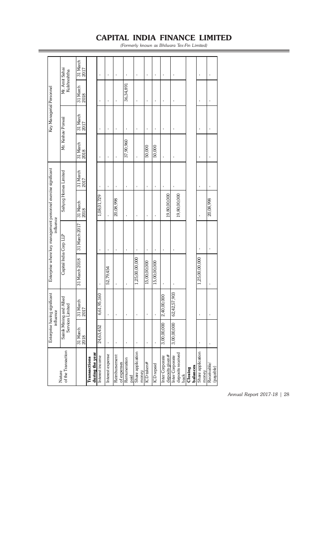|                                              |                  | Enterprise having significan<br>influence    |                        | Enterprise where key management personnel exercise significant<br>influence |                      |                  |                  | Key Managerial Personnel |                                |                  |
|----------------------------------------------|------------------|----------------------------------------------|------------------------|-----------------------------------------------------------------------------|----------------------|------------------|------------------|--------------------------|--------------------------------|------------------|
| of the Transaction<br>Nature                 |                  | Sainik Mining and Allied<br>Services Limited | Capital India Corp LLP |                                                                             | Sahyog Homes Limited |                  |                  | Mr. Keshav Porwal        | Mr. Amit Sahai<br>Kulshreshtha |                  |
|                                              | 31 March<br>2018 | 31 March<br>2017                             | 31 March 2018          | 31 March 2017                                                               | 31 March<br>2018     | 31 March<br>2017 | 31 March<br>2018 | 31 March<br>2017         | 31 March<br>2018               | 31 March<br>2017 |
| during the year<br><b>Transactions</b>       |                  |                                              |                        |                                                                             |                      |                  |                  |                          |                                |                  |
| Interest income                              | 24,63,452        | 6,61,95,160                                  |                        |                                                                             | 1,08,01,729          | ï                |                  |                          |                                |                  |
| Interest expense                             | f,               | ł                                            | 52,79,454              | J.                                                                          |                      |                  |                  |                          |                                |                  |
| Reimbursement<br>of expenses                 |                  |                                              |                        |                                                                             | 20,08,998            |                  |                  |                          |                                |                  |
| Remuneration<br>paid                         |                  |                                              |                        |                                                                             |                      |                  | 37,90,960        |                          | 36,34,891                      |                  |
| Share application<br>money                   | ł                | J.                                           | 1,25,00,00,000         |                                                                             | ı                    |                  |                  |                          |                                |                  |
| ICD taken#                                   |                  | ı                                            | 15,00,00,000           |                                                                             | ï                    | J.               | 50,000           |                          | f,                             | ı                |
| <b>ICD</b> repaid                            |                  |                                              | 15,00,00,000           |                                                                             | ï                    | ı                | 50,000           |                          | ı                              | ı                |
| deposits given#<br>Inter Corporate           | 3,00,00,000      | 2,40,00,000                                  |                        |                                                                             | 19,80,00,000         |                  |                  |                          |                                |                  |
| deposits received<br>Inter Corporate<br>back | 3,00,00,000      | 62,42,57,903                                 |                        |                                                                             | 19,80,00,000         |                  |                  |                          |                                |                  |
| balances<br>Closing                          |                  |                                              |                        |                                                                             |                      |                  |                  |                          |                                |                  |
| Share application<br>money                   | J                | J                                            | 1,25,00,00,000         |                                                                             |                      |                  |                  |                          |                                |                  |
| Receivable/<br>(payable)                     |                  |                                              |                        |                                                                             | 20,08,998            |                  |                  |                          |                                |                  |

*(Formerly known as Bhilwara Tex-Fin Limited)*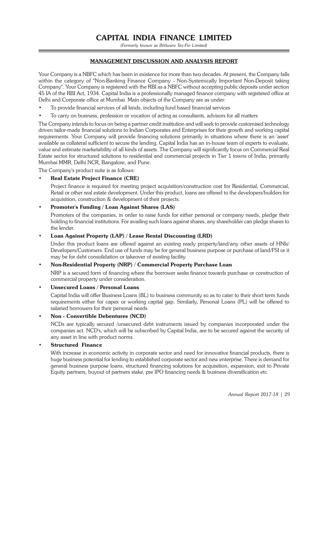*(Formerly known as Bhilwara Tex-Fin Limited)*

# MANAGEMENT DISCUSSION AND ANALYSIS REPORT

Your Company is a NBFC which has been in existence for more than two decades. At present, the Company falls within the category of "Non-Banking Finance Company - Non-Systemically Important Non-Deposit taking Company". Your Company is registered with the RBI as a NBFC without accepting public deposits under section 45 IA of the RBI Act, 1934. Capital India is a professionally managed finance company with registered office at Delhi and Corporate office at Mumbai. Main objects of the Company are as under:

- To provide financial services of all kinds, including fund based financial services
- To carry on business, profession or vocation of acting as consultants, advisors for all matters

The Company intends to focus on being a partner credit institution and will seek to provide customised technology driven tailor-made financial solutions to Indian Corporates and Enterprises for their growth and working capital requirements. Your Company will provide financing solutions primarily in situations where there is an 'asset' available as collateral sufficient to secure the lending. Capital India has an in-house team of experts to evaluate, value and estimate marketability of all kinds of assets. The Company will significantly focus on Commercial Real Estate sector for structured solutions to residential and commercial projects in Tier 1 towns of India, primarily Mumbai MMR, Delhi NCR, Bangalore, and Pune.

The Company's product suite is as follows:

#### • Real Estate Project Finance (CRE)

Project finance is required for meeting project acquisition/construction cost for Residential, Commercial, Retail or other real estate development. Under this product, loans are offered to the developers/builders for acquisition, construction & development of their projects.

#### • Promoter's Funding / Loan Against Shares (LAS)

Promoters of the companies, in order to raise funds for either personal or company needs, pledge their holding to financial institutions. For availing such loans against shares, any shareholder can pledge shares to the lender.

### • Loan Against Property (LAP) / Lease Rental Discounting (LRD)

Under this product loans are offered against an existing ready property/land/any other assets of HNIs/ Developers/Customers. End use of funds may be for general business purpose or purchase of land/FSI or it may be for debt consolidation or takeover of existing facility.

#### • Non-Residential Property (NRP) / Commercial Property Purchase Loan

NRP is a secured form of financing where the borrower seeks finance towards purchase or construction of commercial property under consideration.

#### • Unsecured Loans / Personal Loans

Capital India will offer Business Loans (BL) to business community so as to cater to their short term funds requirements either for capex or working capital gap. Similarly, Personal Loans (PL) will be offered to salaried borrowers for their personal needs.

#### • Non - Convertible Debentures (NCD)

NCDs are typically secured /unsecured debt instruments issued by companies incorporated under the companies act. NCD's, which will be subscribed by Capital India, are to be secured against the security of any asset in line with product norms.

#### **Structured Finance**

With increase in economic activity in corporate sector and need for innovative financial products, there is huge business potential for lending to established corporate sector and new enterprise. There is demand for general business purpose loans, structured financing solutions for acquisition, expansion, exit to Private Equity partners, buyout of partners stake, pre IPO financing needs & business diversification etc.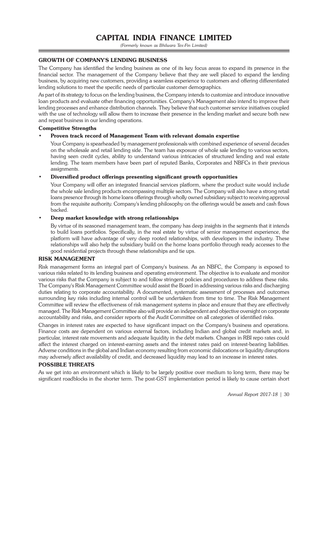*(Formerly known as Bhilwara Tex-Fin Limited)*

# GROWTH OF COMPANY'S LENDING BUSINESS

The Company has identified the lending business as one of its key focus areas to expand its presence in the financial sector. The management of the Company believe that they are well placed to expand the lending business, by acquiring new customers, providing a seamless experience to customers and offering differentiated lending solutions to meet the specific needs of particular customer demographics.

As part of its strategy to focus on the lending business, the Company intends to customize and introduce innovative loan products and evaluate other financing opportunities. Company's Management also intend to improve their lending processes and enhance distribution channels. They believe that such customer service initiatives coupled with the use of technology will allow them to increase their presence in the lending market and secure both new and repeat business in our lending operations.

#### Competitive Strengths

### • Proven track record of Management Team with relevant domain expertise

Your Company is spearheaded by management professionals with combined experience of several decades on the wholesale and retail lending side. The team has exposure of whole sale lending to various sectors, having seen credit cycles, ability to understand various intricacies of structured lending and real estate lending. The team members have been part of reputed Banks, Corporates and NBFCs in their previous assignments.

#### • Diversified product offerings presenting significant growth opportunities

Your Company will offer an integrated financial services platform, where the product suite would include the whole sale lending products encompassing multiple sectors. The Company will also have a strong retail loans presence through its home loans offerings through wholly owned subsidiary subject to receiving approval from the requisite authority. Company's lending philosophy on the offerings would be assets and cash flows backed.

#### • Deep market knowledge with strong relationships

By virtue of its seasoned management team, the company has deep insights in the segments that it intends to build loans portfolios. Specifically, in the real estate by virtue of senior management experience, the platform will have advantage of very deep rooted relationships, with developers in the industry. These relationships will also help the subsidiary build on the home loans portfolio through ready accesses to the good residential projects through these relationships and tie ups.

#### RISK MANAGEMENT

Risk management forms an integral part of Company's business. As an NBFC, the Company is exposed to various risks related to its lending business and operating environment. The objective is to evaluate and monitor various risks that the Company is subject to and follow stringent policies and procedures to address these risks. The Company's Risk Management Committee would assist the Board in addressing various risks and discharging duties relating to corporate accountability. A documented, systematic assessment of processes and outcomes surrounding key risks including internal control will be undertaken from time to time. The Risk Management Committee will review the effectiveness of risk management systems in place and ensure that they are effectively managed. The Risk Management Committee also will provide an independent and objective oversight on corporate accountability and risks, and consider reports of the Audit Committee on all categories of identified risks.

Changes in interest rates are expected to have significant impact on the Company's business and operations. Finance costs are dependent on various external factors, including Indian and global credit markets and, in particular, interest rate movements and adequate liquidity in the debt markets. Changes in RBI repo rates could affect the interest charged on interest-earning assets and the interest rates paid on interest-bearing liabilities. Adverse conditions in the global and Indian economy resulting from economic dislocations or liquidity disruptions may adversely affect availability of credit, and decreased liquidity may lead to an increase in interest rates.

#### POSSIBLE THREATS

As we get into an environment which is likely to be largely positive over medium to long term, there may be significant roadblocks in the shorter term. The post-GST implementation period is likely to cause certain short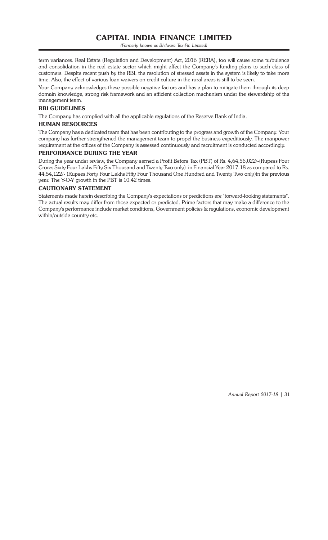*(Formerly known as Bhilwara Tex-Fin Limited)*

term variances. Real Estate (Regulation and Development) Act, 2016 (RERA), too will cause some turbulence and consolidation in the real estate sector which might affect the Company's funding plans to such class of customers. Despite recent push by the RBI, the resolution of stressed assets in the system is likely to take more time. Also, the effect of various loan waivers on credit culture in the rural areas is still to be seen.

Your Company acknowledges these possible negative factors and has a plan to mitigate them through its deep domain knowledge, strong risk framework and an efficient collection mechanism under the stewardship of the management team.

### RBI GUIDELINES

The Company has complied with all the applicable regulations of the Reserve Bank of India.

### HUMAN RESOURCES

The Company has a dedicated team that has been contributing to the progress and growth of the Company. Your company has further strengthened the management team to propel the business expeditiously. The manpower requirement at the offices of the Company is assessed continuously and recruitment is conducted accordingly.

### PERFORMANCE DURING THE YEAR

During the year under review, the Company earned a Profit Before Tax (PBT) of Rs. 4,64,56,022/-(Rupees Four Crores Sixty Four Lakhs Fifty Six Thousand and Twenty Two only) in Financial Year 2017-18 as compared to Rs. 44,54,122/- (Rupees Forty Four Lakhs Fifty Four Thousand One Hundred and Twenty Two only)in the previous year. The Y-O-Y growth in the PBT is 10.42 times.

#### CAUTIONARY STATEMENT

Statements made herein describing the Company's expectations or predictions are "forward-looking statements". The actual results may differ from those expected or predicted. Prime factors that may make a difference to the Company's performance include market conditions, Government policies & regulations, economic development within/outside country etc.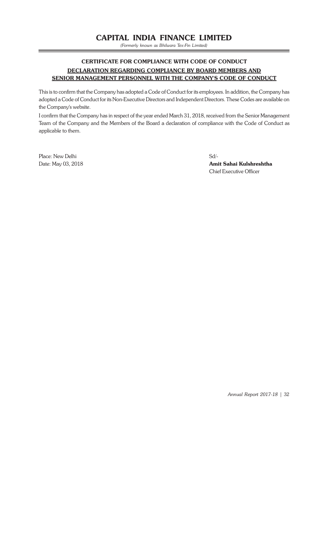*(Formerly known as Bhilwara Tex-Fin Limited)*

# CERTIFICATE FOR COMPLIANCE WITH CODE OF CONDUCT DECLARATION REGARDING COMPLIANCE BY BOARD MEMBERS AND SENIOR MANAGEMENT PERSONNEL WITH THE COMPANY'S CODE OF CONDUCT

This is to confirm that the Company has adopted a Code of Conduct for its employees. In addition, the Company has adopted a Code of Conduct for its Non-Executive Directors and Independent Directors. These Codes are available on the Company's website.

I confirm that the Company has in respect of the year ended March 31, 2018, received from the Senior Management Team of the Company and the Members of the Board a declaration of compliance with the Code of Conduct as applicable to them.

Place: New Delhi Sd/-

Date: May 03, 2018 **Amit Sahai Kulshreshtha** Amit Sahai Kulshreshtha Chief Executive Officer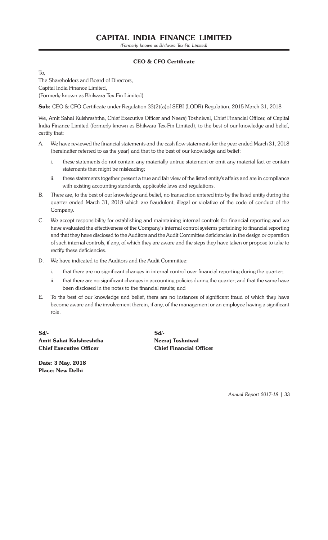*(Formerly known as Bhilwara Tex-Fin Limited)*

### CEO & CFO Certificate

To,

The Shareholders and Board of Directors, Capital India Finance Limited, (Formerly known as Bhilwara Tex-Fin Limited)

Sub: CEO & CFO Certificate under Regulation 33(2)(a)of SEBI (LODR) Regulation, 2015 March 31, 2018

We, Amit Sahai Kulshreshtha, Chief Executive Officer and Neeraj Toshniwal, Chief Financial Officer, of Capital India Finance Limited (formerly known as Bhilwara Tex-Fin Limited), to the best of our knowledge and belief, certify that:

- A. We have reviewed the financial statements and the cash flow statements for the year ended March 31, 2018 (hereinafter referred to as the year) and that to the best of our knowledge and belief:
	- i. these statements do not contain any materially untrue statement or omit any material fact or contain statements that might be misleading;
	- ii. these statements together present a true and fair view of the listed entity's affairs and are in compliance with existing accounting standards, applicable laws and regulations.
- B. There are, to the best of our knowledge and belief, no transaction entered into by the listed entity during the quarter ended March 31, 2018 which are fraudulent, illegal or violative of the code of conduct of the Company.
- C. We accept responsibility for establishing and maintaining internal controls for financial reporting and we have evaluated the effectiveness of the Company's internal control systems pertaining to financial reporting and that they have disclosed to the Auditors and the Audit Committee deficiencies in the design or operation of such internal controls, if any, of which they are aware and the steps they have taken or propose to take to rectify these deficiencies.
- D. We have indicated to the Auditors and the Audit Committee:
	- i. that there are no significant changes in internal control over financial reporting during the quarter;
	- ii. that there are no significant changes in accounting policies during the quarter; and that the same have been disclosed in the notes to the financial results; and
- E. To the best of our knowledge and belief, there are no instances of significant fraud of which they have become aware and the involvement therein, if any, of the management or an employee having a significant role.

 $Sd$ - $Sd$ -Amit Sahai Kulshreshtha Neeraj Toshniwal Chief Executive Officer Chief Financial Officer

Date: 3 May, 2018 Place: New Delhi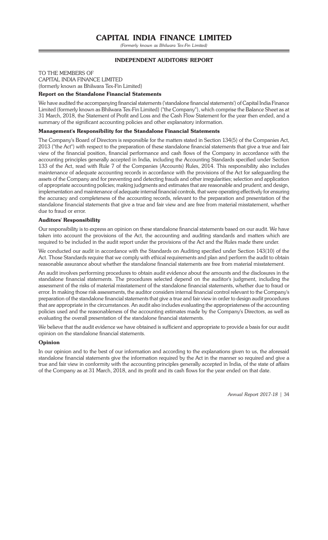*(Formerly known as Bhilwara Tex-Fin Limited)*

### INDEPENDENT AUDITORS' REPORT

#### TO THE MEMBERS OF CAPITAL INDIA FINANCE LIMITED (formerly known as Bhilwara Tex-Fin Limited)

#### Report on the Standalone Financial Statements

We have audited the accompanying financial statements ('standalone financial statements') of Capital India Finance Limited (formerly known as Bhilwara Tex-Fin Limited) ("the Company"), which comprise the Balance Sheet as at 31 March, 2018, the Statement of Profit and Loss and the Cash Flow Statement for the year then ended, and a summary of the significant accounting policies and other explanatory information.

#### Management's Responsibility for the Standalone Financial Statements

The Company's Board of Directors is responsible for the matters stated in Section 134(5) of the Companies Act, 2013 ("the Act") with respect to the preparation of these standalone financial statements that give a true and fair view of the financial position, financial performance and cash flows of the Company in accordance with the accounting principles generally accepted in India, including the Accounting Standards specified under Section 133 of the Act, read with Rule 7 of the Companies (Accounts) Rules, 2014. This responsibility also includes maintenance of adequate accounting records in accordance with the provisions of the Act for safeguarding the assets of the Company and for preventing and detecting frauds and other irregularities; selection and application of appropriate accounting policies; making judgments and estimates that are reasonable and prudent; and design, implementation and maintenance of adequate internal financial controls, that were operating effectively for ensuring the accuracy and completeness of the accounting records, relevant to the preparation and presentation of the standalone financial statements that give a true and fair view and are free from material misstatement, whether due to fraud or error.

#### Auditors' Responsibility

Our responsibility is to express an opinion on these standalone financial statements based on our audit. We have taken into account the provisions of the Act, the accounting and auditing standards and matters which are required to be included in the audit report under the provisions of the Act and the Rules made there under.

We conducted our audit in accordance with the Standards on Auditing specified under Section 143(10) of the Act. Those Standards require that we comply with ethical requirements and plan and perform the audit to obtain reasonable assurance about whether the standalone financial statements are free from material misstatement.

An audit involves performing procedures to obtain audit evidence about the amounts and the disclosures in the standalone financial statements. The procedures selected depend on the auditor's judgment, including the assessment of the risks of material misstatement of the standalone financial statements, whether due to fraud or error. In making those risk assessments, the auditor considers internal financial control relevant to the Company's preparation of the standalone financial statements that give a true and fair view in order to design audit procedures that are appropriate in the circumstances. An audit also includes evaluating the appropriateness of the accounting policies used and the reasonableness of the accounting estimates made by the Company's Directors, as well as evaluating the overall presentation of the standalone financial statements.

We believe that the audit evidence we have obtained is sufficient and appropriate to provide a basis for our audit opinion on the standalone financial statements.

#### Opinion

In our opinion and to the best of our information and according to the explanations given to us, the aforesaid standalone financial statements give the information required by the Act in the manner so required and give a true and fair view in conformity with the accounting principles generally accepted in India, of the state of affairs of the Company as at 31 March, 2018, and its profit and its cash flows for the year ended on that date.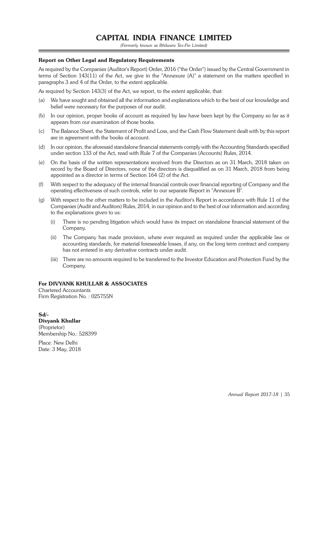*(Formerly known as Bhilwara Tex-Fin Limited)*

#### Report on Other Legal and Regulatory Requirements

As required by the Companies (Auditor's Report) Order, 2016 ("the Order") issued by the Central Government in terms of Section 143(11) of the Act, we give in the "Annexure (A)" a statement on the matters specified in paragraphs 3 and 4 of the Order, to the extent applicable.

As required by Section 143(3) of the Act, we report, to the extent applicable, that:

- (a) We have sought and obtained all the information and explanations which to the best of our knowledge and belief were necessary for the purposes of our audit.
- (b) In our opinion, proper books of account as required by law have been kept by the Company so far as it appears from our examination of those books.
- (c) The Balance Sheet, the Statement of Profit and Loss, and the Cash Flow Statement dealt with by this report are in agreement with the books of account.
- (d) In our opinion, the aforesaid standalone financial statements comply with the Accounting Standards specified under section 133 of the Act, read with Rule 7 of the Companies (Accounts) Rules, 2014.
- (e) On the basis of the written representations received from the Directors as on 31 March, 2018 taken on record by the Board of Directors, none of the directors is disqualified as on 31 March, 2018 from being appointed as a director in terms of Section 164 (2) of the Act.
- (f) With respect to the adequacy of the internal financial controls over financial reporting of Company and the operating effectiveness of such controls, refer to our separate Report in "Annexure B".
- (g) With respect to the other matters to be included in the Auditor's Report in accordance with Rule 11 of the Companies (Audit and Auditors) Rules, 2014, in our opinion and to the best of our information and according to the explanations given to us:
	- (i) There is no pending litigation which would have its impact on standalone financial statement of the Company.
	- (ii) The Company has made provision, where ever required as required under the applicable law or accounting standards, for material foreseeable losses, if any, on the long term contract and company has not entered in any derivative contracts under audit.
	- (iii) There are no amounts required to be transferred to the Investor Education and Protection Fund by the Company.

## For DIVYANK KHULLAR & ASSOCIATES

Chartered Accountants Firm Registration No. : 025755N

Sd/- Divyank Khullar (Proprietor) Membership No.: 528399

Place: New Delhi Date: 3 May, 2018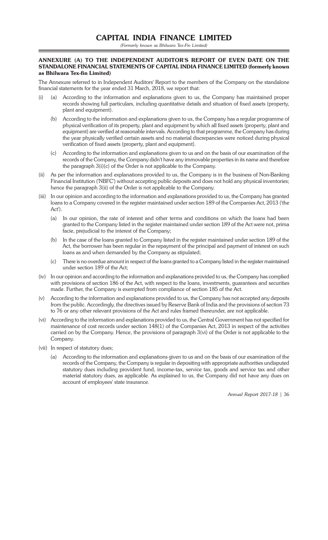*(Formerly known as Bhilwara Tex-Fin Limited)*

## ANNEXURE (A) TO THE INDEPENDENT AUDITOR'S REPORT OF EVEN DATE ON THE STANDALONE FINANCIAL STATEMENTS OF CAPITAL INDIA FINANCE LIMITED (formerly known as Bhilwara Tex-fin Limited)

The Annexure referred to in Independent Auditors' Report to the members of the Company on the standalone financial statements for the year ended 31 March, 2018, we report that:

- (i) (a) According to the information and explanations given to us, the Company has maintained proper records showing full particulars, including quantitative details and situation of fixed assets (property, plant and equipment).
	- (b) According to the information and explanations given to us, the Company has a regular programme of physical verification of its property, plant and equipment by which all fixed assets (property, plant and equipment) are verified at reasonable intervals. According to that programme, the Company has during the year physically verified certain assets and no material discrepancies were noticed during physical verification of fixed assets (property, plant and equipment).
	- (c) According to the information and explanations given to us and on the basis of our examination of the records of the Company, the Company didn't have any immovable properties in its name and therefore the paragraph 3(i)(c) of the Order is not applicable to the Company.
- (ii) As per the information and explanations provided to us, the Company is in the business of Non-Banking Financial Institution ('NBFC') without accepting public deposits and does not hold any physical inventories; hence the paragraph 3(ii) of the Order is not applicable to the Company.
- (iii) In our opinion and according to the information and explanations provided to us, the Company has granted loans to a Company covered in the register maintained under section 189 of the Companies Act, 2013 ('the Act').
	- (a) In our opinion, the rate of interest and other terms and conditions on which the loans had been granted to the Company listed in the register maintained under section 189 of the Act were not, prima facie, prejudicial to the interest of the Company;
	- (b) In the case of the loans granted to Company listed in the register maintained under section 189 of the Act, the borrower has been regular in the repayment of the principal and payment of interest on such loans as and when demanded by the Company as stipulated;
	- (c) There is no overdue amount in respect of the loans granted to a Company listed in the register maintained under section 189 of the Act;
- (iv) In our opinion and according to the information and explanations provided to us, the Company has complied with provisions of section 186 of the Act, with respect to the loans, investments, guarantees and securities made. Further, the Company is exempted from compliance of section 185 of the Act.
- (v) According to the information and explanations provided to us, the Company has not accepted any deposits from the public. Accordingly, the directives issued by Reserve Bank of India and the provisions of section 73 to 76 or any other relevant provisions of the Act and rules framed thereunder, are not applicable.
- (vi) According to the information and explanations provided to us, the Central Government has not specified for maintenance of cost records under section 148(1) of the Companies Act, 2013 in respect of the activities carried on by the Company. Hence, the provisions of paragraph 3(vi) of the Order is not applicable to the Company.
- (vii) In respect of statutory dues;
	- (a) According to the information and explanations given to us and on the basis of our examination of the records of the Company, the Company is regular in depositing with appropriate authorities undisputed statutory dues including provident fund, income-tax, service tax, goods and service tax and other material statutory dues, as applicable. As explained to us, the Company did not have any dues on account of employees' state insurance.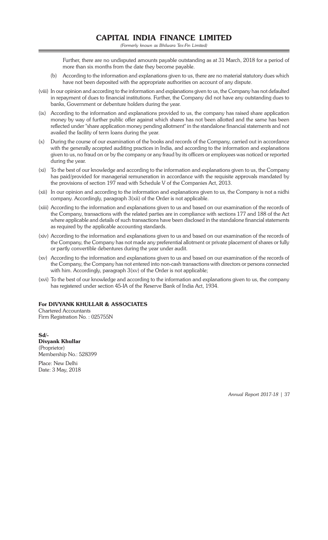*(Formerly known as Bhilwara Tex-Fin Limited)*

Further, there are no undisputed amounts payable outstanding as at 31 March, 2018 for a period of more than six months from the date they become payable.

- (b) According to the information and explanations given to us, there are no material statutory dues which have not been deposited with the appropriate authorities on account of any dispute.
- (viii) In our opinion and according to the information and explanations given to us, the Company has not defaulted in repayment of dues to financial institutions. Further, the Company did not have any outstanding dues to banks, Government or debenture holders during the year.
- (ix) According to the information and explanations provided to us, the company has raised share application money by way of further public offer against which shares has not been allotted and the same has been reflected under "share application money pending allotment" in the standalone financial statements and not availed the facility of term loans during the year.
- (x) During the course of our examination of the books and records of the Company, carried out in accordance with the generally accepted auditing practices in India, and according to the information and explanations given to us, no fraud on or by the company or any fraud by its officers or employees was noticed or reported during the year.
- (xi) To the best of our knowledge and according to the information and explanations given to us, the Company has paid/provided for managerial remuneration in accordance with the requisite approvals mandated by the provisions of section 197 read with Schedule V of the Companies Act, 2013.
- (xii) In our opinion and according to the information and explanations given to us, the Company is not a nidhi company. Accordingly, paragraph 3(xii) of the Order is not applicable.
- (xiii) According to the information and explanations given to us and based on our examination of the records of the Company, transactions with the related parties are in compliance with sections 177 and 188 of the Act where applicable and details of such transactions have been disclosed in the standalone financial statements as required by the applicable accounting standards.
- (xiv) According to the information and explanations given to us and based on our examination of the records of the Company, the Company has not made any preferential allotment or private placement of shares or fully or partly convertible debentures during the year under audit.
- (xv) According to the information and explanations given to us and based on our examination of the records of the Company, the Company has not entered into non-cash transactions with directors or persons connected with him. Accordingly, paragraph 3(xv) of the Order is not applicable;
- (xvi) To the best of our knowledge and according to the information and explanations given to us, the company has registered under section 45-IA of the Reserve Bank of India Act, 1934.

## For DIVYANK KHULLAR & ASSOCIATES

Chartered Accountants Firm Registration No. : 025755N

Sd/- Divyank Khullar (Proprietor) Membership No.: 528399

Place: New Delhi Date: 3 May, 2018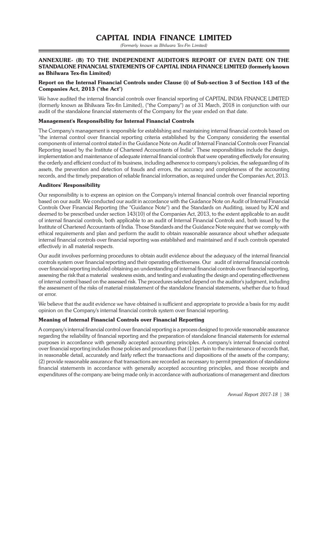*(Formerly known as Bhilwara Tex-Fin Limited)*

## ANNEXURE- (B) TO THE INDEPENDENT AUDITOR'S REPORT OF EVEN DATE ON THE STANDALONE FINANCIAL STATEMENTS OF CAPITAL INDIA FINANCE LIMITED (formerly known as Bhilwara Tex-fin Limited)

## Report on the Internal Financial Controls under Clause (i) of Sub-section 3 of Section 143 of the Companies Act, 2013 ("the Act")

We have audited the internal financial controls over financial reporting of CAPITAL INDIA FINANCE LIMITED (formerly known as Bhilwara Tex-fin Limited), ("the Company") as of 31 March, 2018 in conjunction with our audit of the standalone financial statements of the Company for the year ended on that date.

## Management's Responsibility for Internal Financial Controls

The Company's management is responsible for establishing and maintaining internal financial controls based on "the internal control over financial reporting criteria established by the Company considering the essential components of internal control stated in the Guidance Note on Audit of Internal Financial Controls over Financial Reporting issued by the Institute of Chartered Accountants of India". These responsibilities include the design, implementation and maintenance of adequate internal financial controls that were operating effectively for ensuring the orderly and efficient conduct of its business, including adherence to company's policies, the safeguarding of its assets, the prevention and detection of frauds and errors, the accuracy and completeness of the accounting records, and the timely preparation of reliable financial information, as required under the Companies Act, 2013.

## Auditors' Responsibility

Our responsibility is to express an opinion on the Company's internal financial controls over financial reporting based on our audit. We conducted our audit in accordance with the Guidance Note on Audit of Internal Financial Controls Over Financial Reporting (the "Guidance Note") and the Standards on Auditing, issued by ICAI and deemed to be prescribed under section 143(10) of the Companies Act, 2013, to the extent applicable to an audit of internal financial controls, both applicable to an audit of Internal Financial Controls and, both issued by the Institute of Chartered Accountants of India. Those Standards and the Guidance Note require that we comply with ethical requirements and plan and perform the audit to obtain reasonable assurance about whether adequate internal financial controls over financial reporting was established and maintained and if such controls operated effectively in all material respects.

Our audit involves performing procedures to obtain audit evidence about the adequacy of the internal financial controls system over financial reporting and their operating effectiveness. Our audit of internal financial controls over financial reporting included obtaining an understanding of internal financial controls over financial reporting, assessing the risk that a material weakness exists, and testing and evaluating the design and operating effectiveness of internal control based on the assessed risk. The procedures selected depend on the auditor's judgment, including the assessment of the risks of material misstatement of the standalone financial statements, whether due to fraud or error.

We believe that the audit evidence we have obtained is sufficient and appropriate to provide a basis for my audit opinion on the Company's internal financial controls system over financial reporting.

## Meaning of Internal Financial Controls over Financial Reporting

A company's internal financial control over financial reporting is a process designed to provide reasonable assurance regarding the reliability of financial reporting and the preparation of standalone financial statements for external purposes in accordance with generally accepted accounting principles. A company's internal financial control over financial reporting includes those policies and procedures that (1) pertain to the maintenance of records that, in reasonable detail, accurately and fairly reflect the transactions and dispositions of the assets of the company; (2) provide reasonable assurance that transactions are recorded as necessary to permit preparation of standalone financial statements in accordance with generally accepted accounting principles, and those receipts and expenditures of the company are being made only in accordance with authorizations of management and directors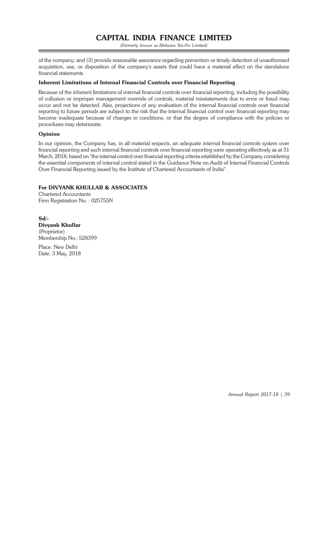*(Formerly known as Bhilwara Tex-Fin Limited)*

of the company; and (3) provide reasonable assurance regarding prevention or timely detection of unauthorized acquisition, use, or disposition of the company's assets that could have a material effect on the standalone financial statements.

## Inherent Limitations of Internal Financial Controls over Financial Reporting

Because of the inherent limitations of internal financial controls over financial reporting, including the possibility of collusion or improper management override of controls, material misstatements due to error or fraud may occur and not be detected. Also, projections of any evaluation of the internal financial controls over financial reporting to future periods are subject to the risk that the internal financial control over financial reporting may become inadequate because of changes in conditions, or that the degree of compliance with the policies or procedures may deteriorate.

## Opinion

In our opinion, the Company has, in all material respects, an adequate internal financial controls system over financial reporting and such internal financial controls over financial reporting were operating effectively as at 31 March, 2018, based on "the internal control over financial reporting criteria established by the Company considering the essential components of internal control stated in the Guidance Note on Audit of Internal Financial Controls Over Financial Reporting issued by the Institute of Chartered Accountants of India".

## For DIVYANK KHULLAR & ASSOCIATES

Chartered Accountants Firm Registration No. : 025755N

Sd/- Divyank Khullar (Proprietor) Membership No.: 528399

Place: New Delhi Date: 3 May, 2018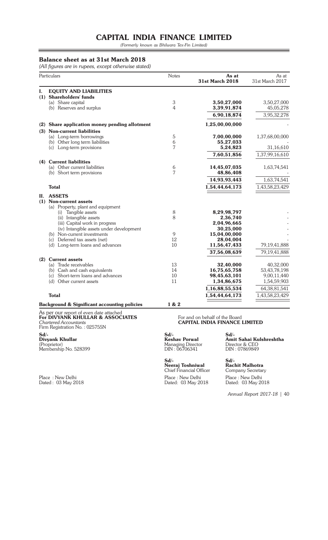*(Formerly known as Bhilwara Tex-Fin Limited)*

## Balance sheet as at 31st March 2018

*(All figures are in rupees, except otherwise stated)*

|     | Particulars                                              | <b>Notes</b> | As at<br><b>31st March 2018</b> | As at<br>31st March 2017 |
|-----|----------------------------------------------------------|--------------|---------------------------------|--------------------------|
| I.  | <b>EQUITY AND LIABILITIES</b><br>(1) Shareholders' funds |              |                                 |                          |
|     | (a) Share capital                                        | 3            | 3,50,27,000                     | 3,50,27,000              |
|     | (b) Reserves and surplus                                 | 4            | 3,39,91,874                     | 45,05,278                |
|     |                                                          |              | 6,90,18,874                     | 3,95,32,278              |
|     | (2) Share application money pending allotment            |              | 1,25,00,00,000                  |                          |
|     | (3) Non-current liabilities                              |              |                                 |                          |
|     | (a) Long-term borrowings                                 | 5            | 7,00,00,000                     | 1,37,68,00,000           |
|     | (b) Other long term liabilities                          | 6            | 55,27,033                       |                          |
|     | (c) Long-term provisions                                 | 7            | 5,24,823                        | 31,16,610                |
|     |                                                          |              | 7,60,51,856                     | 1,37,99,16,610           |
| (4) | <b>Current liabilities</b>                               |              |                                 |                          |
|     | (a) Other current liabilities                            | 6<br>7       | 14,45,07,035                    | 1,63,74,541              |
|     | (b) Short term provisions                                |              | 48,86,408                       |                          |
|     |                                                          |              | 14,93,93,443                    | 1,63,74,541              |
|     | <b>Total</b>                                             |              | 1,54,44,64,173                  | 1,43,58,23,429           |
| Н.  | <b>ASSETS</b>                                            |              |                                 |                          |
|     | (1) Non-current assets                                   |              |                                 |                          |
|     | (a) Property, plant and equipment                        |              |                                 |                          |
|     | Tangible assets<br>(i)                                   | 8<br>8       | 8,29,98,797                     |                          |
|     | (ii) Intangible assets<br>(iii) Capital work in progress |              | 2,36,740<br>2,04,96,665         |                          |
|     | (iv) Intangible assets under development                 |              | 30,25,000                       |                          |
|     | (b) Non-current investments                              | 9            | 15,04,00,000                    |                          |
|     | (c) Deferred tax assets (net)                            | 12           | 28,04,004                       |                          |
|     | (d) Long-term loans and advances                         | 10           | 11,56,47,433                    | 79, 19, 41, 888          |
|     |                                                          |              | 37,56,08,639                    | 79,19,41,888             |
| (2) | <b>Current assets</b>                                    |              |                                 |                          |
|     | Trade receivables<br>(a)                                 | 13           | 32,40,000                       | 40,32,000                |
|     | Cash and cash equivalents<br>(b)                         | 14           | 16,75,65,758                    | 53, 43, 78, 198          |
|     | Short-term loans and advances<br>(c)                     | 10           | 98,45,63,101                    | 9,00,11,440              |
|     | (d) Other current assets                                 | 11           | 1,34,86,675                     | 1,54,59,903              |
|     |                                                          |              | 1,16,88,55,534                  | 64, 38, 81, 541          |
|     | <b>Total</b>                                             |              | 1,54,44,64,173                  | 1,43,58,23,429           |
|     | <b>Background &amp; Significant accounting policies</b>  | 1 & 2        |                                 |                          |

## As per our report of even date attached For DIVYANK KHULLAR & ASSOCIATES For and on behalf of the Board Chartered Accountants Firm Registration No. : 025755N

 $Sd$   $\sim$   $Sd$   $\sim$   $Sd$   $\sim$ Membership No. 528399

Dated: 03 May 2018

# *Chartered Accountants* CAPITAL INDIA FINANCE LIMITED

Managing Director<br>
Managing Director Director & CEO<br>
DIN : 07869849

Divyank Khullar **Keshav Porwal** Amit Sahai Kulshreshtha (Proprietor) **Keshav Porwal** Amit Sahai Kulshreshtha (Proprietor)

 $Sd$ /- $Sd$ /-Neeraj Toshniwal Rachit Malhotra Neeraj Toshniwal<br>
Chief Financial Officer<br>
Company Secretary

Place : New Delhi Place : New Delhi Place : New Delhi Place : New Delhi Place : New Delhi Place : New Delhi Place : New Delhi Place : New Delhi Place : New Delhi Place : New Delhi Place : New Delhi Place : 03 May 2018

*Annual Report 2017-18* | 40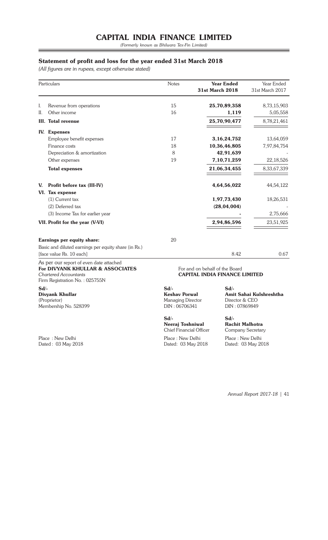*(Formerly known as Bhilwara Tex-Fin Limited)*

## Statement of profit and loss for the year ended 31st March 2018

*(All figures are in rupees, except otherwise stated)*

|                                                                                                                                               | Particulars                                                                      | <b>Notes</b>                                                         | <b>Year Ended</b><br><b>31st March 2018</b>                            | Year Ended<br>31st March 2017 |  |
|-----------------------------------------------------------------------------------------------------------------------------------------------|----------------------------------------------------------------------------------|----------------------------------------------------------------------|------------------------------------------------------------------------|-------------------------------|--|
| I.                                                                                                                                            | Revenue from operations                                                          | 15                                                                   | 25,70,89,358                                                           | 8,73,15,903                   |  |
| II.                                                                                                                                           | Other income                                                                     | 16                                                                   | 1,119                                                                  | 5,05,558                      |  |
|                                                                                                                                               | III. Total revenue                                                               |                                                                      | 25,70,90,477                                                           | 8,78,21,461                   |  |
|                                                                                                                                               | <b>IV.</b> Expenses                                                              |                                                                      |                                                                        |                               |  |
|                                                                                                                                               | Employee benefit expenses                                                        | 17                                                                   | 3, 16, 24, 752                                                         | 13,64,059                     |  |
|                                                                                                                                               | Finance costs                                                                    | 18                                                                   | 10,36,46,805                                                           | 7,97,84,754                   |  |
|                                                                                                                                               | Depreciation & amortization                                                      | 8                                                                    | 42,91,639                                                              |                               |  |
|                                                                                                                                               | Other expenses                                                                   | 19                                                                   | 7,10,71,259                                                            | 22,18,526                     |  |
|                                                                                                                                               | <b>Total expenses</b>                                                            |                                                                      | 21,06,34,455                                                           | 8,33,67,339                   |  |
| V.                                                                                                                                            | Profit before tax (III-IV)<br>VI. Tax expense                                    |                                                                      | 4,64,56,022                                                            | 44,54,122                     |  |
|                                                                                                                                               | $(1)$ Current tax                                                                |                                                                      | 1,97,73,430                                                            | 18,26,531                     |  |
|                                                                                                                                               | (2) Deferred tax                                                                 |                                                                      | (28, 04, 004)                                                          |                               |  |
|                                                                                                                                               | (3) Income Tax for earlier year                                                  |                                                                      |                                                                        | 2,75,666                      |  |
|                                                                                                                                               | VII. Profit for the year (V-VI)                                                  |                                                                      | 2,94,86,596                                                            | 23,51,925                     |  |
|                                                                                                                                               |                                                                                  |                                                                      |                                                                        |                               |  |
|                                                                                                                                               | <b>Earnings per equity share:</b>                                                | 20                                                                   |                                                                        |                               |  |
|                                                                                                                                               | Basic and diluted earnings per equity share (in Rs.)<br>[face value Rs. 10 each] |                                                                      | 8.42                                                                   | 0.67                          |  |
| As per our report of even date attached<br>For DIVYANK KHULLAR & ASSOCIATES<br><b>Chartered Accountants</b><br>Firm Registration No.: 025755N |                                                                                  |                                                                      | For and on behalf of the Board<br><b>CAPITAL INDIA FINANCE LIMITED</b> |                               |  |
| $Sd$ /-<br><b>Divyank Khullar</b><br>(Proprietor)<br>Membership No. 528399                                                                    |                                                                                  | $Sd$ .<br><b>Keshav Porwal</b><br>Managing Director<br>DIN: 06706341 | $Sd$ .<br>Director & CEO<br>DIN: 07869849                              | Amit Sahai Kulshreshtha       |  |
|                                                                                                                                               |                                                                                  | Sd<br>Neeraj Toshniwal<br><b>Chief Financial Officer</b>             | Sd<br><b>Rachit Malhotra</b>                                           | Company Secretary             |  |
|                                                                                                                                               | Place: New Delhi<br>Dated: 03 May 2018                                           | Place: New Delhi<br>Dated: 03 May 2018                               | Place: New Delhi                                                       | Dated: 03 May 2018            |  |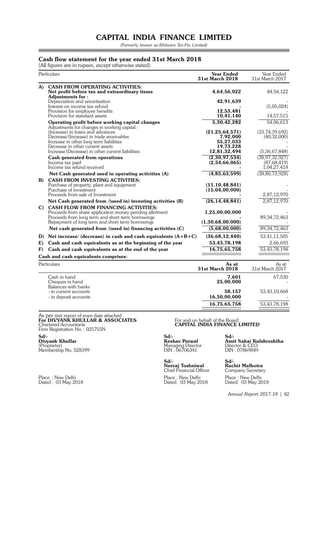*(Formerly known as Bhilwara Tex-Fin Limited)*

## Cash flow statement for the year ended 31st March 2018

(All figures are in rupees, except otherwise stated)

|       | Particulars                                                                                                                                                                                                     | <b>Year Ended</b><br><b>31st March 2018</b> | Year Ended<br>31st March 2017                     |  |
|-------|-----------------------------------------------------------------------------------------------------------------------------------------------------------------------------------------------------------------|---------------------------------------------|---------------------------------------------------|--|
| A)    | <b>CASH FROM OPERATING ACTIVITIES:</b><br>Net profit before tax and extraordinary items<br><b>Adjustments for:</b>                                                                                              | 4,64,56,022                                 | 44,54,122                                         |  |
|       | Depreciation and amortisation<br>Interest on income tax refund                                                                                                                                                  | 42,91,639                                   | (5,05,024)                                        |  |
|       | Provision for employee benefits<br>Provision for standard assets                                                                                                                                                | 12.53.481<br>10,41,140                      | 14,57,515                                         |  |
|       | Operating profit before working capital changes<br>Adjustments for changes in working capital:                                                                                                                  | 5,30,42,282                                 | 54,06,613                                         |  |
|       | (Increase) in loans and advances<br>Decrease/(Increase) in trade receivables<br>Increase in other long term liabilities                                                                                         | (21, 25, 64, 571)<br>7,92,000<br>55,27,033  | (33, 74, 39, 692)<br>(40,32,000)                  |  |
|       | Decrease in other current assets<br>Increase/(Decrease) in other current liabilities                                                                                                                            | 19,73,228<br>12,81,32,494                   | (5,36,67,848)                                     |  |
|       | <b>Cash generated from operations</b><br>Income tax paid<br>Income tax refund received                                                                                                                          | (2,30,97,534)<br>(2,54,66,065)              | (38, 97, 32, 927)<br>(87, 68, 419)<br>1,04,27,418 |  |
|       | Net Cash generated used in operating activities (A)                                                                                                                                                             | (4, 85, 63, 599)                            | (38, 80, 73, 928)                                 |  |
| B)    | <b>CASH FROM INVESTING ACTIVITIES:</b><br>Purchase of property, plant and equipment<br>Purchase of investment<br>Proceeds from sale of Investment                                                               | (11, 10, 48, 841)<br>(15,04,00,000)         | 2,87,12,970                                       |  |
|       | Net Cash generated from /(used in) investing activities (B)                                                                                                                                                     | (26, 14, 48, 841)                           | 2,87,12,970                                       |  |
| C)    | <b>CASH FLOW FROM FINANCING ACTIVITIES:</b><br>Proceeds from share application money pending allotment<br>Proceeds from long term and short term borrowings<br>Repayment of long term and short term borrowings | 1,25,00,00,000<br>(1,30,68,00,000)          | 89, 34, 72, 463                                   |  |
|       | Net cash generated from /(used in) financing activities (C)                                                                                                                                                     | (5,68,00,000)                               | 89, 34, 72, 463                                   |  |
| D)    | Net increase/ (decrease) in cash and cash equivalents $(A+B+C)$                                                                                                                                                 | (36, 68, 12, 440)                           | 53,41,11,505                                      |  |
| E)    | Cash and cash equivalents as at the beginning of the year                                                                                                                                                       | 53,43,78,198                                | 2,66,693                                          |  |
| $F$ ) | Cash and cash equivalents as at the end of the year                                                                                                                                                             | 16,75,65,758                                | 53, 43, 78, 198                                   |  |
|       | Cash and cash equivalents comprises:                                                                                                                                                                            |                                             |                                                   |  |
|       | Particulars                                                                                                                                                                                                     | As at<br><b>31st March 2018</b>             | As at<br>31st March 2017                          |  |
|       | Cash in hand<br>Cheques in hand                                                                                                                                                                                 | 7,601<br>25,00,000                          | 67,530                                            |  |
|       | Balances with banks<br>- in current accounts<br>- in deposit accounts                                                                                                                                           | 58,157<br>16,50,00,000                      | 53,43,10,668                                      |  |
|       |                                                                                                                                                                                                                 | 16,75,65,758                                | 53, 43, 78, 198                                   |  |

As per our report of even date attached For DIVYANK KHULLAR & ASSOCIATES For and on behalf of the Board *Chartered Accountants* CAPITAL INDIA FINANCE LIMITED Firm Registration No. : 025755N

Sd/-<br>
Sd/-<br>
Divyank Khullar<br>
(Proprietor)<br>
Sd/-<br>
Managing Director<br>
Managing Director<br>
Director Membership No. 528399

Managing Director<br>
DIN : 06706341

**Amit Sahai Kulshreshtha**<br>Director & CEO<br>DIN : 07869849

 $Sd$ /- $Sd$ /-Neeraj Toshniwal Rachit Malhotra Chief Financial Officer Company Secretary

Place : New Delhi Place : New Delhi Place : New Delhi Dated : 03 May 2018 Dated: 03 May 2018 Dated: 03 May 2018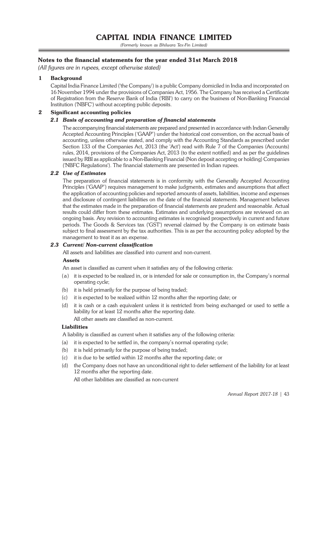*(Formerly known as Bhilwara Tex-Fin Limited)*

## Notes to the financial statements for the year ended 31st March 2018

*(All figures are in rupees, except otherwise stated)*

## 1 Background

Capital India Finance Limited ('the Company') is a public Company domiciled in India and incorporated on 16 November 1994 under the provisions of Companies Act, 1956. The Company has received a Certificate of Registration from the Reserve Bank of India ('RBI') to carry on the business of Non-Banking Financial Institution ('NBFC') without accepting public deposits.

## 2 Significant accounting policies

## *2.1 Basis of accounting and preparation of financial statements*

The accompanying financial statements are prepared and presented in accordance with Indian Generally Accepted Accounting Principles ('GAAP') under the historical cost convention, on the accrual basis of accounting, unless otherwise stated, and comply with the Accounting Standards as prescribed under Section 133 of the Companies Act, 2013 (the 'Act') read with Rule 7 of the Companies (Accounts) rules, 2014, provisions of the Companies Act, 2013 (to the extent notified) and as per the guidelines issued by RBI as applicable to a Non-Banking Financial (Non deposit accepting or holding) Companies ('NBFC Regulations'). The financial statements are presented in Indian rupees.

## *2.2 Use of Estimates*

The preparation of financial statements is in conformity with the Generally Accepted Accounting Principles ('GAAP') requires management to make judgments, estimates and assumptions that affect the application of accounting policies and reported amounts of assets, liabilities, income and expenses and disclosure of contingent liabilities on the date of the financial statements. Management believes that the estimates made in the preparation of financial statements are prudent and reasonable. Actual results could differ from these estimates. Estimates and underlying assumptions are reviewed on an ongoing basis. Any revision to accounting estimates is recognised prospectively in current and future periods. The Goods & Services tax ('GST') reversal claimed by the Company is on estimate basis subject to final assessment by the tax authorities. This is as per the accounting policy adopted by the management to treat it as an expense.

## *2.3 Current/ Non-current classification*

All assets and liabilities are classified into current and non-current.

## Assets

An asset is classified as current when it satisfies any of the following criteria:

- (a) it is expected to be realized in, or is intended for sale or consumption in, the Company's normal operating cycle;
- (b) it is held primarily for the purpose of being traded;
- (c) it is expected to be realized within 12 months after the reporting date; or
- (d) it is cash or a cash equivalent unless it is restricted from being exchanged or used to settle a liability for at least 12 months after the reporting date.

All other assets are classified as non-current.

## Liabilities

A liability is classified as current when it satisfies any of the following criteria:

- (a) it is expected to be settled in, the company's normal operating cycle;
- (b) it is held primarily for the purpose of being traded;
- (c) it is due to be settled within 12 months after the reporting date; or
- (d) the Company does not have an unconditional right to defer settlement of the liability for at least 12 months after the reporting date.

All other liabilities are classified as non-current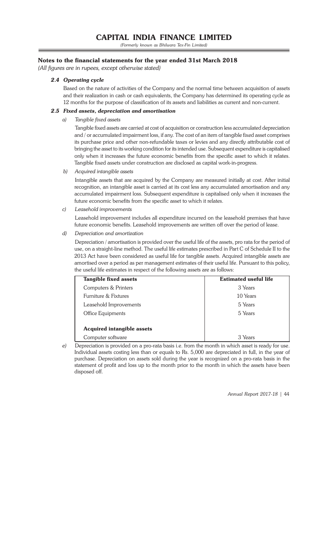*(Formerly known as Bhilwara Tex-Fin Limited)*

## Notes to the financial statements for the year ended 31st March 2018

*(All figures are in rupees, except otherwise stated)*

## *2.4 Operating cycle*

Based on the nature of activities of the Company and the normal time between acquisition of assets and their realization in cash or cash equivalents, the Company has determined its operating cycle as 12 months for the purpose of classification of its assets and liabilities as current and non-current.

## *2.5 Fixed assets, depreciation and amortisation*

*a) Tangible fixed assets*

Tangible fixed assets are carried at cost of acquisition or construction less accumulated depreciation and / or accumulated impairment loss, if any. The cost of an item of tangible fixed asset comprises its purchase price and other non-refundable taxes or levies and any directly attributable cost of bringing the asset to its working condition for its intended use. Subsequent expenditure is capitalised only when it increases the future economic benefits from the specific asset to which it relates. Tangible fixed assets under construction are disclosed as capital work-in-progress.

*b) Acquired intangible assets*

Intangible assets that are acquired by the Company are measured initially at cost. After initial recognition, an intangible asset is carried at its cost less any accumulated amortisation and any accumulated impairment loss. Subsequent expenditure is capitalised only when it increases the future economic benefits from the specific asset to which it relates.

*c) Leasehold improvements*

Leasehold improvement includes all expenditure incurred on the leasehold premises that have future economic benefits. Leasehold improvements are written off over the period of lease.

*d) Depreciation and amortization*

Depreciation / amortisation is provided over the useful life of the assets, pro rata for the period of use, on a straight-line method. The useful life estimates prescribed in Part C of Schedule II to the 2013 Act have been considered as useful life for tangible assets. Acquired intangible assets are amortised over a period as per management estimates of their useful life. Pursuant to this policy, the useful life estimates in respect of the following assets are as follows:

| <b>Tangible fixed assets</b>      | <b>Estimated useful life</b> |
|-----------------------------------|------------------------------|
| Computers & Printers              | 3 Years                      |
| Furniture & Fixtures              | 10 Years                     |
| Leasehold Improvements            | 5 Years                      |
| <b>Office Equipments</b>          | 5 Years                      |
| <b>Acquired intangible assets</b> |                              |
| Computer software                 | 3 Years                      |

*e)* Depreciation is provided on a pro-rata basis i.e. from the month in which asset is ready for use. Individual assets costing less than or equals to Rs. 5,000 are depreciated in full, in the year of purchase. Depreciation on assets sold during the year is recognized on a pro-rata basis in the statement of profit and loss up to the month prior to the month in which the assets have been disposed off.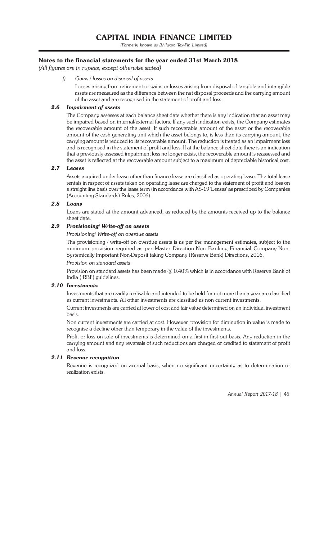*(Formerly known as Bhilwara Tex-Fin Limited)*

## Notes to the financial statements for the year ended 31st March 2018

*(All figures are in rupees, except otherwise stated)*

## *f) Gains / losses on disposal of assets*

Losses arising from retirement or gains or losses arising from disposal of tangible and intangible assets are measured as the difference between the net disposal proceeds and the carrying amount of the asset and are recognised in the statement of profit and loss.

## *2.6 Impairment of assets*

The Company assesses at each balance sheet date whether there is any indication that an asset may be impaired based on internal/external factors. If any such indication exists, the Company estimates the recoverable amount of the asset. If such recoverable amount of the asset or the recoverable amount of the cash generating unit which the asset belongs to, is less than its carrying amount, the carrying amount is reduced to its recoverable amount. The reduction is treated as an impairment loss and is recognised in the statement of profit and loss. If at the balance sheet date there is an indication that a previously assessed impairment loss no longer exists, the recoverable amount is reassessed and the asset is reflected at the recoverable amount subject to a maximum of depreciable historical cost.

## *2.7 Leases*

Assets acquired under lease other than finance lease are classified as operating lease. The total lease rentals in respect of assets taken on operating lease are charged to the statement of profit and loss on a straight line basis over the lease term (in accordance with AS-19 'Leases' as prescribed by Companies (Accounting Standards) Rules, 2006).

## *2.8 Loans*

Loans are stated at the amount advanced, as reduced by the amounts received up to the balance sheet date.

#### *2.9 Provisioning/ Write-off on assets*

#### *Provisioning/ Write-off on overdue assets*

The provisioning / write-off on overdue assets is as per the management estimates, subject to the minimum provision required as per Master Direction-Non Banking Financial Company-Non-Systemically Important Non-Deposit taking Company (Reserve Bank) Directions, 2016.

#### *Provision on standard assets*

Provision on standard assets has been made  $@0.40\%$  which is in accordance with Reserve Bank of India ('RBI') guidelines.

#### *2.10 Investments*

Investments that are readily realisable and intended to be held for not more than a year are classified as current investments. All other investments are classified as non current investments.

Current investments are carried at lower of cost and fair value determined on an individual investment basis.

Non current investments are carried at cost. However, provision for diminution in value is made to recognise a decline other than temporary in the value of the investments.

Profit or loss on sale of investments is determined on a first in first out basis. Any reduction in the carrying amount and any reversals of such reductions are charged or credited to statement of profit and loss.

#### *2.11 Revenue recognition*

Revenue is recognized on accrual basis, when no significant uncertainty as to determination or realization exists.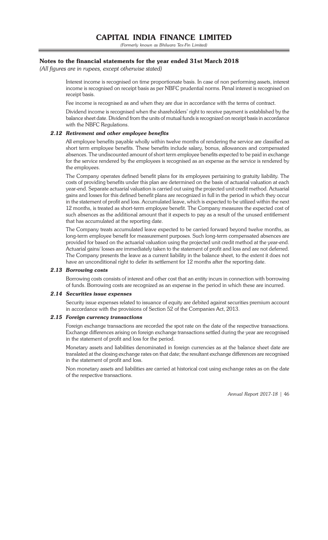*(Formerly known as Bhilwara Tex-Fin Limited)*

## Notes to the financial statements for the year ended 31st March 2018

*(All figures are in rupees, except otherwise stated)*

Interest income is recognised on time proportionate basis. In case of non performing assets, interest income is recognised on receipt basis as per NBFC prudential norms. Penal interest is recognised on receipt basis.

Fee income is recognised as and when they are due in accordance with the terms of contract.

Dividend income is recognised when the shareholders' right to receive payment is established by the balance sheet date. Dividend from the units of mutual funds is recognized on receipt basis in accordance with the NBFC Regulations.

#### *2.12 Retirement and other employee benefits*

All employee benefits payable wholly within twelve months of rendering the service are classified as short term employee benefits. These benefits include salary, bonus, allowances and compensated absences. The undiscounted amount of short term employee benefits expected to be paid in exchange for the service rendered by the employees is recognised as an expense as the service is rendered by the employees.

The Company operates defined benefit plans for its employees pertaining to gratuity liability. The costs of providing benefits under this plan are determined on the basis of actuarial valuation at each year-end. Separate actuarial valuation is carried out using the projected unit credit method. Actuarial gains and losses for this defined benefit plans are recognized in full in the period in which they occur in the statement of profit and loss. Accumulated leave, which is expected to be utilized within the next 12 months, is treated as short-term employee benefit. The Company measures the expected cost of such absences as the additional amount that it expects to pay as a result of the unused entitlement that has accumulated at the reporting date.

The Company treats accumulated leave expected to be carried forward beyond twelve months, as long-term employee benefit for measurement purposes. Such long-term compensated absences are provided for based on the actuarial valuation using the projected unit credit method at the year-end. Actuarial gains/ losses are immediately taken to the statement of profit and loss and are not deferred. The Company presents the leave as a current liability in the balance sheet, to the extent it does not have an unconditional right to defer its settlement for 12 months after the reporting date.

#### *2.13 Borrowing costs*

Borrowing costs consists of interest and other cost that an entity incurs in connection with borrowing of funds. Borrowing costs are recognized as an expense in the period in which these are incurred.

#### *2.14 Securities issue expenses*

Security issue expenses related to issuance of equity are debited against securities premium account in accordance with the provisions of Section 52 of the Companies Act, 2013.

#### *2.15 Foreign currency transactions*

Foreign exchange transactions are recorded the spot rate on the date of the respective transactions. Exchange differences arising on foreign exchange transactions settled during the year are recognised in the statement of profit and loss for the period.

Monetary assets and liabilities denominated in foreign currencies as at the balance sheet date are translated at the closing exchange rates on that date; the resultant exchange differences are recognised in the statement of profit and loss.

Non monetary assets and liabilities are carried at historical cost using exchange rates as on the date of the respective transactions.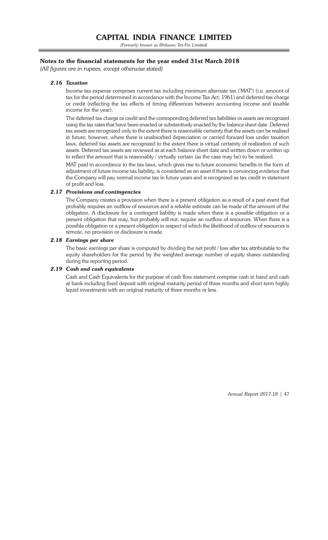*(Formerly known as Bhilwara Tex-Fin Limited)*

## Notes to the financial statements for the year ended 31st March 2018

*(All figures are in rupees, except otherwise stated)*

## *2.16 Taxation*

Income tax expense comprises current tax including minimum alternate tax ('MAT') (i.e. amount of tax for the period determined in accordance with the Income Tax Act, 1961) and deferred tax charge or credit (reflecting the tax effects of timing differences between accounting income and taxable income for the year).

The deferred tax charge or credit and the corresponding deferred tax liabilities or assets are recognized using the tax rates that have been enacted or substantively enacted by the balance sheet date. Deferred tax assets are recognized only to the extent there is reasonable certainty that the assets can be realized in future; however, where there is unabsorbed depreciation or carried forward loss under taxation laws, deferred tax assets are recognized to the extent there is virtual certainty of realization of such assets. Deferred tax assets are reviewed as at each balance sheet date and written down or written up to reflect the amount that is reasonably / virtually certain (as the case may be) to be realized.

MAT paid in accordance to the tax laws, which gives rise to future economic benefits in the form of adjustment of future income tax liability, is considered as an asset if there is convincing evidence that the Company will pay normal income tax in future years and is recognized as tax credit in statement of profit and loss.

## *2.17 Provisions and contingencies*

The Company creates a provision when there is a present obligation as a result of a past event that probably requires an outflow of resources and a reliable estimate can be made of the amount of the obligation. A disclosure for a contingent liability is made when there is a possible obligation or a present obligation that may, but probably will not, require an outflow of resources. When there is a possible obligation or a present obligation in respect of which the likelihood of outflow of resources is remote, no provision or disclosure is made.

#### *2.18 Earnings per share*

The basic earnings per share is computed by dividing the net profit / loss after tax attributable to the equity shareholders for the period by the weighted average number of equity shares outstanding during the reporting period.

## *2.19 Cash and cash equivalents*

Cash and Cash Equivalents for the purpose of cash flow statement comprise cash in hand and cash at bank including fixed deposit with original maturity period of three months and short term highly liquid investments with an original maturity of three months or less.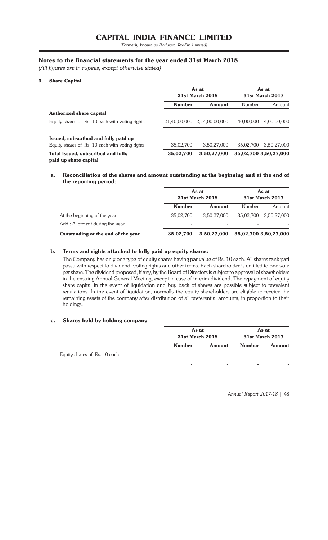*(Formerly known as Bhilwara Tex-Fin Limited)*

## Notes to the financial statements for the year ended 31st March 2018

*(All figures are in rupees, except otherwise stated)*

#### 3. Share Capital

|                                                             | As at<br><b>31st March 2018</b> |                | As at<br><b>31st March 2017</b> |                       |
|-------------------------------------------------------------|---------------------------------|----------------|---------------------------------|-----------------------|
|                                                             | <b>Number</b>                   | Amount         | Number                          | Amount                |
| <b>Authorized share capital</b>                             |                                 |                |                                 |                       |
| Equity shares of Rs. 10 each with voting rights             | 21.40.00.000                    | 2.14.00.00.000 | 40,00,000                       | 4.00.00.000           |
| Issued, subscribed and fully paid up                        |                                 |                |                                 |                       |
| Equity shares of Rs. 10 each with voting rights             | 35,02,700                       | 3,50,27,000    | 35,02,700                       | 3,50,27,000           |
| Total issued, subscribed and fully<br>paid up share capital | 35,02,700                       | 3,50,27,000    |                                 | 35,02,700 3,50,27,000 |

#### a. Reconciliation of the shares and amount outstanding at the beginning and at the end of the reporting period:

|                                    |                          | As at<br><b>31st March 2018</b> |                          | As at<br><b>31st March 2017</b> |
|------------------------------------|--------------------------|---------------------------------|--------------------------|---------------------------------|
|                                    | <b>Number</b>            | Amount                          | Number                   | Amount                          |
| At the beginning of the year       | 35,02,700                | 3,50,27,000                     | 35,02,700                | 3,50,27,000                     |
| Add: Allotment during the year     | $\overline{\phantom{a}}$ |                                 | $\overline{\phantom{a}}$ |                                 |
| Outstanding at the end of the year | 35.02.700                | 3,50,27,000                     |                          | 35,02,700 3,50,27,000           |

## b. Terms and rights attached to fully paid up equity shares:

The Company has only one type of equity shares having par value of Rs. 10 each. All shares rank pari passu with respect to dividend, voting rights and other terms. Each shareholder is entitled to one vote per share. The dividend proposed, if any, by the Board of Directors is subject to approval of shareholders in the ensuing Annual General Meeting, except in case of interim dividend. The repayment of equity share capital in the event of liquidation and buy back of shares are possible subject to prevalent regulations. In the event of liquidation, normally the equity shareholders are eligible to receive the remaining assets of the company after distribution of all preferential amounts, in proportion to their holdings.

#### c. Shares held by holding company

|                              | As at<br><b>31st March 2018</b> |                          | As at<br><b>31st March 2017</b> |               |
|------------------------------|---------------------------------|--------------------------|---------------------------------|---------------|
|                              | <b>Number</b>                   | <b>Amount</b>            | <b>Number</b>                   | <b>Amount</b> |
| Equity shares of Rs. 10 each | $\overline{\phantom{a}}$        | $\overline{\phantom{a}}$ | $\overline{\phantom{a}}$        |               |
|                              |                                 | ٠                        | ۰                               |               |
|                              |                                 |                          |                                 |               |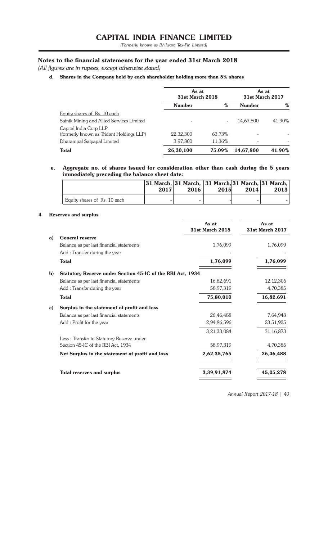*(Formerly known as Bhilwara Tex-Fin Limited)*

## Notes to the financial statements for the year ended 31st March 2018

*(All figures are in rupees, except otherwise stated)*

## d. Shares in the Company held by each shareholder holding more than 5% shares

|                                                                    |               | As at<br><b>31st March 2018</b> |               | As at<br><b>31st March 2017</b> |  |
|--------------------------------------------------------------------|---------------|---------------------------------|---------------|---------------------------------|--|
|                                                                    | <b>Number</b> | %                               | <b>Number</b> | $\%$                            |  |
| Equity shares of Rs. 10 each                                       |               |                                 |               |                                 |  |
| Sainik Mining and Allied Services Limited                          |               | $\overline{\phantom{a}}$        | 14.67.800     | 41.90%                          |  |
| Capital India Corp LLP<br>(formerly known as Trident Holdings LLP) | 22,32,300     | 63.73%                          |               |                                 |  |
| Dharampal Satyapal Limited                                         | 3,97,800      | 11.36%                          |               |                                 |  |
| <b>Total</b>                                                       | 26,30,100     | 75.09%                          | 14,67,800     | 41.90%                          |  |

## e. Aggregate no. of shares issued for consideration other than cash during the 5 years immediately preceding the balance sheet date:

|                              | 2017 | 31 March, 131 March, 131 March, 131 March, 131 March, 1<br>2016 | <b>2015</b> | 2014 l | 2013 |
|------------------------------|------|-----------------------------------------------------------------|-------------|--------|------|
| Equity shares of Rs. 10 each |      |                                                                 |             |        |      |

#### 4 Reserves and surplus

|                                                 | As at<br><b>31st March 2018</b>   | As at<br><b>31st March 2017</b>                                           |
|-------------------------------------------------|-----------------------------------|---------------------------------------------------------------------------|
| <b>General reserve</b>                          |                                   |                                                                           |
| Balance as per last financial statements        | 1,76,099                          | 1,76,099                                                                  |
| Add: Transfer during the year                   |                                   |                                                                           |
| <b>Total</b>                                    | 1,76,099                          | 1,76,099                                                                  |
|                                                 |                                   |                                                                           |
| Balance as per last financial statements        | 16,82,691                         | 12, 12, 306                                                               |
| Add: Transfer during the year                   | 58,97,319                         | 4,70,385                                                                  |
| <b>Total</b>                                    | 75,80,010                         | 16,82,691                                                                 |
| Surplus in the statement of profit and loss     |                                   |                                                                           |
| Balance as per last financial statements        | 26,46,488                         | 7,64,948                                                                  |
| Add: Profit for the year                        | 2,94,86,596                       | 23,51,925                                                                 |
|                                                 | 3,21,33,084                       | 31, 16, 873                                                               |
| Less: Transfer to Statutory Reserve under       |                                   |                                                                           |
| Section 45-IC of the RBI Act, 1934              | 58,97,319                         | 4,70,385                                                                  |
| Net Surplus in the statement of profit and loss | 2,62,35,765                       | 26,46,488                                                                 |
|                                                 |                                   | 45,05,278                                                                 |
|                                                 | <b>Total reserves and surplus</b> | Statutory Reserve under Section 45-IC of the RBI Act, 1934<br>3,39,91,874 |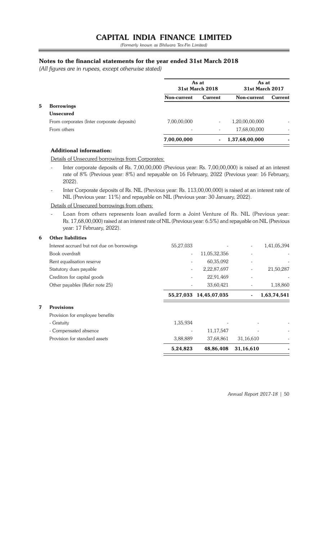*(Formerly known as Bhilwara Tex-Fin Limited)*

## Notes to the financial statements for the year ended 31st March 2018

*(All figures are in rupees, except otherwise stated)*

|    |                                            | As at<br><b>31st March 2018</b> |                          | As at<br><b>31st March 2017</b> |                |  |
|----|--------------------------------------------|---------------------------------|--------------------------|---------------------------------|----------------|--|
|    |                                            | Non-current                     | <b>Current</b>           | Non-current                     | <b>Current</b> |  |
| 5. | <b>Borrowings</b>                          |                                 |                          |                                 |                |  |
|    | <b>Unsecured</b>                           |                                 |                          |                                 |                |  |
|    | From corporates (Inter corporate deposits) | 7,00,00,000                     | $\overline{\phantom{a}}$ | 1,20,00,00,000                  |                |  |
|    | From others                                | $\overline{\phantom{a}}$        | $\overline{\phantom{a}}$ | 17,68,00,000                    |                |  |
|    |                                            | 7,00,00,000                     | ٠                        | 1,37,68,00,000                  | ۰              |  |
|    |                                            |                                 |                          |                                 |                |  |

## Additional information:

Details of Unsecured borrowings from Corporates:

- Inter corporate deposits of Rs. 7,00,00,000 (Previous year: Rs. 7,00,00,000) is raised at an interest rate of 8% (Previous year: 8%) and repayable on 16 February, 2022 (Previous year: 16 February, 2022).
- Inter Corporate deposits of Rs. NIL (Previous year: Rs. 113,00,00,000) is raised at an interest rate of NIL (Previous year: 11%) and repayable on NIL (Previous year: 30 January, 2022).

Details of Unsecured borrowings from others:

Loan from others represents loan availed form a Joint Venture of Rs. NIL (Previous year: Rs. 17,68,00,000) raised at an interest rate of NIL (Previous year: 6.5%) and repayable on NIL (Previous year: 17 February, 2022).

#### 6 Other liabilities

|   |                                            | 5,24,823                 | 48,86,408              | 31,16,610 |             |
|---|--------------------------------------------|--------------------------|------------------------|-----------|-------------|
|   | Provision for standard assets              | 3,88,889                 | 37,68,861              | 31,16,610 |             |
|   | - Compensated absence                      |                          | 11, 17, 547            |           |             |
|   | - Gratuity                                 | 1,35,934                 |                        |           |             |
|   | Provision for employee benefits            |                          |                        |           |             |
| 7 | <b>Provisions</b>                          |                          |                        |           |             |
|   |                                            |                          | 55,27,033 14,45,07,035 |           | 1,63,74,541 |
|   | Other payables (Refer note 25)             |                          | 33,60,421              |           | 1,18,860    |
|   | Creditors for capital goods                |                          | 22,91,469              |           |             |
|   | Statutory dues payable                     |                          | 2,22,87,697            |           | 21,50,287   |
|   | Rent equalisation reserve                  |                          | 60,35,092              |           |             |
|   | Book overdraft                             | $\overline{\phantom{a}}$ | 11,05,32,356           |           |             |
|   | Interest accrued but not due on borrowings | 55,27,033                |                        |           | 1,41,05,394 |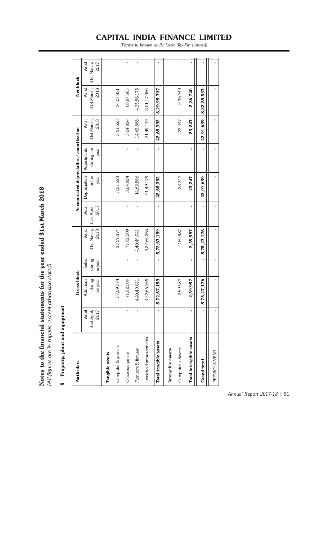| Particulars             |                      | <b>Gross block</b>  |                 |                      |                      | Accumulated depreciation/amortization |                           |                      | Net block            |                      |
|-------------------------|----------------------|---------------------|-----------------|----------------------|----------------------|---------------------------------------|---------------------------|----------------------|----------------------|----------------------|
|                         | As at<br>01st April, | Additions<br>during | during<br>Sales | 31st March,<br>As at | As at<br>01st April, | Depreciation<br>for the               | during the<br>Adjustments | As at<br>31st March, | 31st March,<br>As at | As at<br>31st March, |
|                         | 2017                 | the year            | the year        | 2018                 | 2017                 | year                                  | year                      | 2018                 | 2018                 | 2017                 |
| Tangible assets         |                      |                     |                 |                      |                      |                                       |                           |                      |                      |                      |
| Computer & printers     | ı                    | 37,59,374           |                 | 37,59,374            |                      | 3,51,523                              |                           | 3,51,523             | 34,07,851            | ï                    |
| Office equipment        | ı                    | 71,92,509           |                 | 71,92,509            |                      | 3,04,824                              |                           | 3,04,824             | 68,87,685            | ï                    |
| Furniture & fixtures    |                      | 40,49,041           |                 | 4,40,49,041          |                      | 14,62,866                             |                           | 14,62,866            | 4,25,86,175          |                      |
| Leasehold improvements  |                      | 3,22,66,265         |                 | 3,22,66,265          |                      | 21,49,179                             |                           | 21,49,179            | 3,01,17,086          |                      |
| Total tangible assets   |                      | 8,72,67,189         |                 | 8,72,67,189          | ı                    | 42,68,392                             | $\blacksquare$            | 42,68,392            | 8,29,98,797          |                      |
| Intangible assets       |                      |                     |                 |                      |                      |                                       |                           |                      |                      |                      |
| Computer softwares      | ï                    | 2,59,987            |                 | 2,59,987             |                      | 23,247                                |                           | 23,247               | 2,36,740             | $\mathbf{I}$         |
| Total intangible assets |                      | 2,59,987            |                 | 2,59,987             |                      | 23,247                                |                           | 23,247               | 2,36,740             |                      |
| <b>Grand total</b>      |                      | 8,75,27,176         |                 | 8,75,27,176          |                      | 42,91,639                             |                           | 42,91,639            | 8,32,35,537          |                      |
| PREVIOUS YEAR           |                      |                     |                 |                      |                      |                                       |                           |                      |                      |                      |

# Notes to the financial statements for the year ended 31st March 2018 Notes to the financial statements for the year ended 31st March 2018

(All figures are in rupees, except otherwise stated) *(All figures are in rupees, except otherwise stated)*

8 Property, plant and equipment

 $\infty$ 

Property, plant and equipment

*(Formerly known as Bhilwara Tex-Fin Limited)*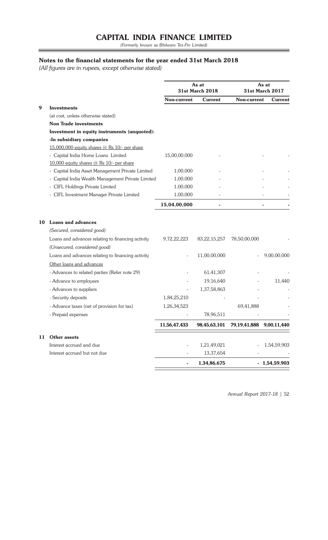*(Formerly known as Bhilwara Tex-Fin Limited)*

## Notes to the financial statements for the year ended 31st March 2018

*(All figures are in rupees, except otherwise stated)*

|    |                                                   |              | As at<br><b>31st March 2018</b> |                    | As at<br><b>31st March 2017</b> |
|----|---------------------------------------------------|--------------|---------------------------------|--------------------|---------------------------------|
|    |                                                   | Non-current  | <b>Current</b>                  | <b>Non-current</b> | <b>Current</b>                  |
| 9  | <b>Investments</b>                                |              |                                 |                    |                                 |
|    | (at cost, unless otherwise stated)                |              |                                 |                    |                                 |
|    | <b>Non Trade investments</b>                      |              |                                 |                    |                                 |
|    | Investment in equity instruments (unquoted):      |              |                                 |                    |                                 |
|    | -In subsidiary companies                          |              |                                 |                    |                                 |
|    | 15,000,000 equity shares $@$ Rs 10/- per share    |              |                                 |                    |                                 |
|    | - Capital India Home Loans Limited                | 15,00,00,000 |                                 |                    |                                 |
|    | 10,000 equity shares @ Rs 10/- per share          |              |                                 |                    |                                 |
|    | Capital India Asset Management Private Limited    | 1,00,000     |                                 |                    |                                 |
|    | Capital India Wealth Management Private Limited   | 1,00,000     |                                 |                    |                                 |
|    | CIFL Holdings Private Limited                     | 1,00,000     |                                 |                    |                                 |
|    | - CIFL Investment Manager Private Limited         | 1,00,000     |                                 |                    |                                 |
|    |                                                   | 15,04,00,000 |                                 |                    |                                 |
| 10 | <b>Loans and advances</b>                         |              |                                 |                    |                                 |
|    | (Secured, considered good)                        |              |                                 |                    |                                 |
|    | Loans and advances relating to financing activity | 9,72,22,223  | 83, 22, 15, 257                 | 78,50,00,000       |                                 |
|    | (Unsecured, considered good)                      |              |                                 |                    |                                 |
|    | Loans and advances relating to financing activity |              | 11,00,00,000                    |                    | 9,00,00,000                     |
|    | Other loans and advances                          |              |                                 |                    |                                 |
|    | - Advances to related parties (Refer note 29)     |              | 61,41,307                       |                    |                                 |
|    | - Advance to employees                            |              | 19,16,640                       |                    | 11,440                          |
|    | - Advances to suppliers                           |              | 1,37,58,863                     |                    |                                 |
|    | - Security deposits                               | 1,84,25,210  |                                 |                    |                                 |
|    | - Advance taxes (net of provision for tax)        | 1,26,34,523  |                                 | 69,41,888          |                                 |
|    | - Prepaid expenses                                |              | 78,96,511                       |                    |                                 |
|    |                                                   |              |                                 |                    |                                 |
|    |                                                   | 11,56,47,433 | 98,45,63,101                    | 79,19,41,888       | 9,00,11,440                     |
| 11 | <b>Other assets</b>                               |              |                                 |                    |                                 |
|    | Interest accrued and due                          |              | 1,21,49,021                     |                    | 1,54,59,903                     |
|    | Interest accrued but not due                      |              | 13,37,654                       |                    |                                 |
|    |                                                   | ۰            | 1,34,86,675                     |                    | $-1,54,59,903$                  |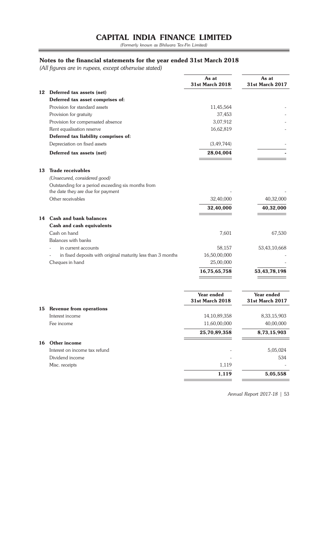*(Formerly known as Bhilwara Tex-Fin Limited)*

## Notes to the financial statements for the year ended 31st March 2018

*(All figures are in rupees, except otherwise stated)*

|    |                                                             | As at<br><b>31st March 2018</b>             | As at<br><b>31st March 2017</b>             |
|----|-------------------------------------------------------------|---------------------------------------------|---------------------------------------------|
| 12 | Deferred tax assets (net)                                   |                                             |                                             |
|    | Deferred tax asset comprises of:                            |                                             |                                             |
|    | Provision for standard assets                               | 11,45,564                                   |                                             |
|    | Provision for gratuity                                      | 37,453                                      |                                             |
|    | Provision for compensated absence                           | 3,07,912                                    |                                             |
|    | Rent equalisation reserve                                   | 16,62,819                                   |                                             |
|    | Deferred tax liability comprises of:                        |                                             |                                             |
|    | Depreciation on fixed assets                                | (3,49,744)                                  |                                             |
|    | Deferred tax assets (net)                                   | 28,04,004                                   |                                             |
| 13 | <b>Trade receivables</b>                                    |                                             |                                             |
|    | (Unsecured, considered good)                                |                                             |                                             |
|    | Outstanding for a period exceeding six months from          |                                             |                                             |
|    | the date they are due for payment                           |                                             |                                             |
|    | Other receivables                                           | 32,40,000                                   | 40,32,000                                   |
|    |                                                             | 32,40,000                                   | 40,32,000                                   |
| 14 | <b>Cash and bank balances</b>                               |                                             |                                             |
|    | <b>Cash and cash equivalents</b>                            |                                             |                                             |
|    | Cash on hand                                                | 7,601                                       | 67,530                                      |
|    | Balances with banks                                         |                                             |                                             |
|    | in current accounts                                         | 58,157                                      | 53,43,10,668                                |
|    | in fixed deposits with original maturity less than 3 months | 16,50,00,000                                |                                             |
|    | Cheques in hand                                             | 25,00,000                                   |                                             |
|    |                                                             | 16,75,65,758                                | 53,43,78,198                                |
|    |                                                             |                                             |                                             |
|    |                                                             | <b>Year ended</b><br><b>31st March 2018</b> | <b>Year ended</b><br><b>31st March 2017</b> |
|    | 15 Revenue from operations                                  |                                             |                                             |
|    | Interest income                                             | 14,10,89,358                                | 8,33,15,903                                 |
|    | Fee income                                                  | 11,60,00,000                                | 40,00,000                                   |
|    |                                                             | 25,70,89,358                                | 8,73,15,903                                 |
| 16 | Other income                                                |                                             |                                             |
|    | Interest on income tax refund                               |                                             | 5,05,024                                    |
|    | Dividend income                                             |                                             | 534                                         |
|    | Misc. receipts                                              | 1,119                                       |                                             |
|    |                                                             | 1,119                                       | 5,05,558                                    |
|    |                                                             |                                             |                                             |

*Annual Report 2017-18* | 53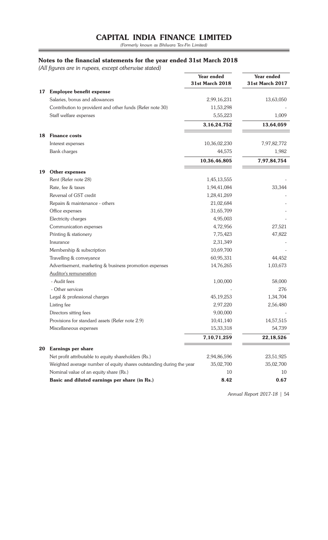*(Formerly known as Bhilwara Tex-Fin Limited)*

## Notes to the financial statements for the year ended 31st March 2018

*(All figures are in rupees, except otherwise stated)*

|    |                                                                      | <b>Year ended</b><br><b>31st March 2018</b> | <b>Year ended</b><br><b>31st March 2017</b> |
|----|----------------------------------------------------------------------|---------------------------------------------|---------------------------------------------|
| 17 | <b>Employee benefit expense</b>                                      |                                             |                                             |
|    | Salaries, bonus and allowances                                       | 2,99,16,231                                 | 13,63,050                                   |
|    | Contribution to provident and other funds (Refer note 30)            | 11,53,298                                   |                                             |
|    | Staff welfare expenses                                               | 5,55,223                                    | 1,009                                       |
|    |                                                                      | 3, 16, 24, 752                              | 13,64,059                                   |
| 18 | <b>Finance costs</b>                                                 |                                             |                                             |
|    | Interest expenses                                                    | 10,36,02,230                                | 7,97,82,772                                 |
|    | Bank charges                                                         | 44,575                                      | 1,982                                       |
|    |                                                                      | 10,36,46,805                                | 7,97,84,754                                 |
| 19 | <b>Other expenses</b>                                                |                                             |                                             |
|    | Rent (Refer note 28)                                                 | 1,45,13,555                                 |                                             |
|    | Rate, fee & taxes                                                    | 1,94,41,084                                 | 33,344                                      |
|    | Reversal of GST credit                                               | 1,28,41,269                                 |                                             |
|    | Repairs & maintenance - others                                       | 21,02,684                                   |                                             |
|    | Office expenses                                                      | 31,65,709                                   |                                             |
|    | Electricity charges                                                  | 4,95,003                                    |                                             |
|    | Communication expenses                                               | 4,72,956                                    | 27,521                                      |
|    | Printing & stationery                                                | 7,75,423                                    | 47,822                                      |
|    | Insurance                                                            | 2,31,349                                    |                                             |
|    | Membership & subscription                                            | 10,69,700                                   |                                             |
|    | Travelling & conveyance                                              | 60,95,331                                   | 44,452                                      |
|    | Advertisement, marketing & business promotion expenses               | 14,76,265                                   | 1,03,673                                    |
|    | Auditor's remuneration                                               |                                             |                                             |
|    | - Audit fees                                                         | 1,00,000                                    | 58,000                                      |
|    | - Other services                                                     |                                             | 276                                         |
|    | Legal & professional charges                                         | 45,19,253                                   | 1,34,704                                    |
|    | Listing fee                                                          | 2,97,220                                    | 2,56,480                                    |
|    | Directors sitting fees                                               | 9,00,000                                    |                                             |
|    | Provisions for standard assets (Refer note 2.9)                      | 10,41,140                                   | 14,57,515                                   |
|    | Miscellaneous expenses                                               | 15,33,318                                   | 54,739                                      |
|    |                                                                      | 7,10,71,259                                 | 22,18,526                                   |
| 20 | <b>Earnings per share</b>                                            |                                             |                                             |
|    | Net profit attributable to equity shareholders (Rs.)                 | 2,94,86,596                                 | 23,51,925                                   |
|    | Weighted average number of equity shares outstanding during the year | 35,02,700                                   | 35,02,700                                   |
|    | Nominal value of an equity share (Rs.)                               | 10                                          | 10                                          |
|    | Basic and diluted earnings per share (in Rs.)                        | 8.42                                        | 0.67                                        |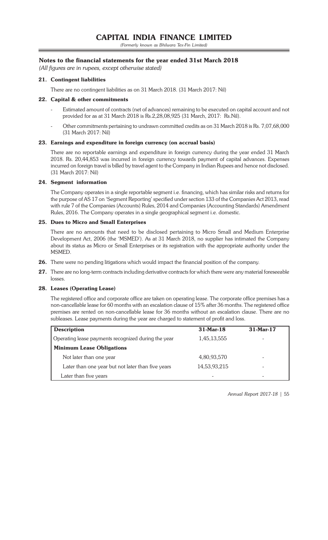*(Formerly known as Bhilwara Tex-Fin Limited)*

## Notes to the financial statements for the year ended 31st March 2018

*(All figures are in rupees, except otherwise stated)*

## 21. Contingent liabilities

There are no contingent liabilities as on 31 March 2018. (31 March 2017: Nil)

## 22. Capital & other commitments

- Estimated amount of contracts (net of advances) remaining to be executed on capital account and not provided for as at 31 March 2018 is Rs.2,28,08,925 (31 March, 2017: Rs.Nil).
- Other commitments pertaining to undrawn committed credits as on 31 March 2018 is Rs. 7,07,68,000 (31 March 2017: Nil)

## 23. Earnings and expenditure in foreign currency (on accrual basis)

There are no reportable earnings and expenditure in foreign currency during the year ended 31 March 2018. Rs. 20,44,853 was incurred in foreign currency towards payment of capital advances. Expenses incurred on foreign travel is billed by travel agent to the Company in Indian Rupees and hence not disclosed. (31 March 2017: Nil)

## 24. Segment information

The Company operates in a single reportable segment i.e. financing, which has similar risks and returns for the purpose of AS 17 on 'Segment Reporting' specified under section 133 of the Companies Act 2013, read with rule 7 of the Companies (Accounts) Rules, 2014 and Companies (Accounting Standards) Amendment Rules, 2016. The Company operates in a single geographical segment i.e. domestic.

## 25. Dues to Micro and Small Enterprises

There are no amounts that need to be disclosed pertaining to Micro Small and Medium Enterprise Development Act, 2006 (the 'MSMED'). As at 31 March 2018, no supplier has intimated the Company about its status as Micro or Small Enterprises or its registration with the appropriate authority under the MSMED.

- 26. There were no pending litigations which would impact the financial position of the company.
- 27. There are no long-term contracts including derivative contracts for which there were any material foreseeable losses.

## 28. Leases (Operating Lease)

The registered office and corporate office are taken on operating lease. The corporate office premises has a non-cancellable lease for 60 months with an escalation clause of 15% after 36 months. The registered office premises are rented on non-cancellable lease for 36 months without an escalation clause. There are no subleases. Lease payments during the year are charged to statement of profit and loss.

| <b>Description</b>                                  | 31-Mar-18    | 31-Mar-17 |
|-----------------------------------------------------|--------------|-----------|
| Operating lease payments recognized during the year | 1,45,13,555  |           |
| <b>Minimum Lease Obligations</b>                    |              |           |
| Not later than one year                             | 4,80,93,570  |           |
| Later than one year but not later than five years   | 14,53,93,215 |           |
| Later than five years                               |              |           |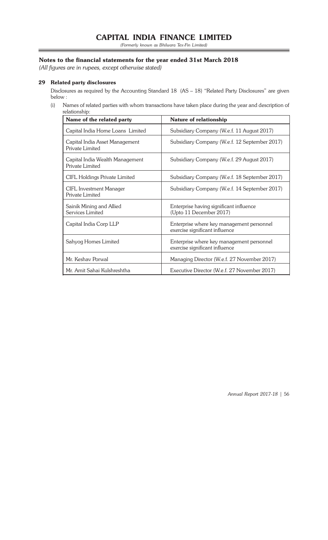*(Formerly known as Bhilwara Tex-Fin Limited)*

## Notes to the financial statements for the year ended 31st March 2018

*(All figures are in rupees, except otherwise stated)*

## 29 Related party disclosures

Disclosures as required by the Accounting Standard 18 (AS – 18) "Related Party Disclosures" are given below :

(i) Names of related parties with whom transactions have taken place during the year and description of relationship:

| Name of the related party                          | Nature of relationship                                                      |
|----------------------------------------------------|-----------------------------------------------------------------------------|
| Capital India Home Loans Limited                   | Subsidiary Company (W.e.f. 11 August 2017)                                  |
| Capital India Asset Management<br>Private Limited  | Subsidiary Company (W.e.f. 12 September 2017)                               |
| Capital India Wealth Management<br>Private Limited | Subsidiary Company (W.e.f. 29 August 2017)                                  |
| CIFL Holdings Private Limited                      | Subsidiary Company (W.e.f. 18 September 2017)                               |
| <b>CIFL Investment Manager</b><br>Private Limited  | Subsidiary Company (W.e.f. 14 September 2017)                               |
| Sainik Mining and Allied<br>Services Limited       | Enterprise having significant influence<br>(Upto 11 December 2017)          |
| Capital India Corp LLP                             | Enterprise where key management personnel<br>exercise significant influence |
| Sahyog Homes Limited                               | Enterprise where key management personnel<br>exercise significant influence |
| Mr. Keshav Porwal                                  | Managing Director (W.e.f. 27 November 2017)                                 |
| Mr. Amit Sahai Kulshreshtha                        | Executive Director (W.e.f. 27 November 2017)                                |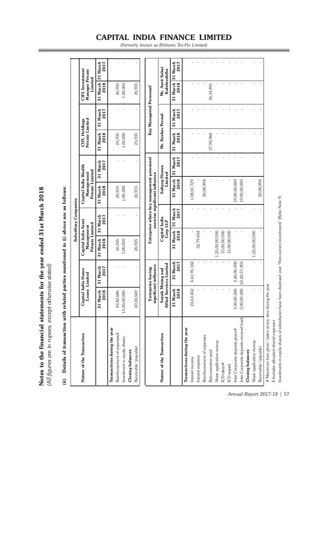| Details of transaction with relate<br>(i)                  |                                     |                                                   |                                                             | ed parties mentioned in (i) above are as follows: |                                                       |                                |                                         |                          |                                                      |                  |  |
|------------------------------------------------------------|-------------------------------------|---------------------------------------------------|-------------------------------------------------------------|---------------------------------------------------|-------------------------------------------------------|--------------------------------|-----------------------------------------|--------------------------|------------------------------------------------------|------------------|--|
|                                                            |                                     |                                                   |                                                             | <b>Subsidiary Companies</b>                       |                                                       |                                |                                         |                          |                                                      |                  |  |
| Nature of the Transaction                                  | Capital India Home<br>Loans Limited |                                                   | <b>Capital India Asset</b><br>Private Limited<br>Management |                                                   | Capital India Wealth<br>Private Limited<br>Management |                                | Private Limited<br><b>CIFL Holdings</b> |                          | <b>CIFL</b> Investment<br>Manager Private<br>Limited |                  |  |
|                                                            | rch<br>2018<br>31 Ma                | 31 March<br>2017                                  | 2018<br>31 March                                            | 31 March<br>2017                                  | 2018<br>31 March                                      | 31 March<br>2017               | 31 March<br>2018                        | 31 March<br>2017         | 31 March<br>2018                                     | 31 March<br>2017 |  |
| Transactions during the year                               |                                     |                                                   |                                                             |                                                   |                                                       |                                |                                         |                          |                                                      |                  |  |
| Reimbursement of expenses\$                                | 49,82,686                           |                                                   | 26,935                                                      |                                                   | 26,935                                                |                                | 26,935                                  |                          | 26,935                                               |                  |  |
| Investment in equity shares                                | 15,00,00,000                        |                                                   | 1,00,000                                                    |                                                   | 1,00,000                                              |                                | 1,00,000                                |                          | 1,00,000                                             |                  |  |
| <b>Closing balances</b>                                    |                                     |                                                   |                                                             |                                                   |                                                       |                                |                                         |                          |                                                      |                  |  |
| Receivable/ (payable)                                      | 40,24,569                           |                                                   | 26,935                                                      |                                                   | 26,935                                                |                                | 26,935                                  |                          | 26,935                                               |                  |  |
|                                                            |                                     |                                                   |                                                             |                                                   |                                                       |                                |                                         |                          |                                                      |                  |  |
|                                                            |                                     | significant influence<br><b>Enterprise having</b> |                                                             | Enterprise where key management personnel         | exercise significant influence                        |                                |                                         | Key Managerial Personnel |                                                      |                  |  |
| Nature of the Transaction                                  | Allied                              | <b>Services Limited</b><br>Sainik Mining and      |                                                             | Capital India<br>Corp LLP                         |                                                       | <b>Sahyog Homes</b><br>Limited | Mr. Keshav Porwal                       |                          | Mr. Amit Sahai<br>Kulshreshtha                       |                  |  |
|                                                            | 31 March<br>2018                    | 31 March<br>2017                                  | 31 March<br>2018                                            | 31 March<br>2017                                  | 31 March<br>2018                                      | 31 March<br>2017               | 31 March<br>2018                        | 31 March<br>2017         | 31 March<br>2018                                     | 31 March<br>2017 |  |
| Transactions during the year                               |                                     |                                                   |                                                             |                                                   |                                                       |                                |                                         |                          |                                                      |                  |  |
| Interest income                                            | 1,452<br>24,63                      | 6,61,95,160                                       |                                                             |                                                   | 1,08,01,729                                           |                                |                                         |                          |                                                      |                  |  |
| Interest expense                                           |                                     |                                                   | 52,79,454                                                   |                                                   |                                                       |                                |                                         |                          |                                                      |                  |  |
| Reimbursement of expenses                                  |                                     |                                                   |                                                             |                                                   | 20,08,998                                             |                                |                                         |                          |                                                      |                  |  |
| Remuneration paid                                          |                                     |                                                   |                                                             |                                                   |                                                       |                                | 37,90,960                               |                          | 36,34,891                                            |                  |  |
| Share application money                                    |                                     |                                                   | 1,25,00,00,000                                              |                                                   |                                                       |                                |                                         |                          |                                                      |                  |  |
| ICD taken#                                                 |                                     |                                                   | 15,00,00,000                                                |                                                   |                                                       |                                |                                         |                          |                                                      |                  |  |
| ICD repaid                                                 |                                     |                                                   | 15,00,00,000                                                |                                                   |                                                       |                                |                                         |                          |                                                      |                  |  |
| Inter Corporate deposits given#                            | 000,<br>3,00,00                     | 2,40,00,000                                       |                                                             |                                                   | 19,80,00,000                                          |                                |                                         |                          |                                                      |                  |  |
| Inter Corporate deposits received back                     | 000,<br>3,00,00                     | 62,42,57,903                                      |                                                             |                                                   | 19,80,00,000                                          |                                |                                         |                          |                                                      |                  |  |
| <b>Closing balances</b>                                    |                                     |                                                   |                                                             |                                                   |                                                       |                                |                                         |                          |                                                      |                  |  |
| Share application money                                    |                                     |                                                   | 1,25,00,00,000                                              |                                                   |                                                       |                                |                                         |                          |                                                      |                  |  |
| Receivable/ (payable)                                      |                                     |                                                   |                                                             |                                                   | 20,08,998                                             |                                |                                         |                          |                                                      |                  |  |
| $#$ Maximum loan given / taken at any time during the year |                                     |                                                   |                                                             |                                                   |                                                       |                                |                                         |                          |                                                      |                  |  |

Ę ٠, ł.  $\tilde{\mathbf{c}}$ Í ł, Ì  $\cdot$ l,  $\ddot{z}$ f,  $\epsilon$ 

Notes to the financial statements for the year ended 31st March 2018

Notes to the financial statements for the year ended 31st March 2018

*(All figures are in rupees, except otherwise stated)*

(All figures are in rupees, except otherwise stated)

Investments in equity shares of subsidiaries have been disclosed uner "Non-current investments" (Refer Note 9) Investments in equity shares of subsidiaries have been disclosed uner "Non-current investments" (Refer Note 9) \$ Includes allocated shared expenses \$ Includes allocated shared expenses

# CAPITAL INDIA FINANCE LIMITED

*(Formerly known as Bhilwara Tex-Fin Limited)*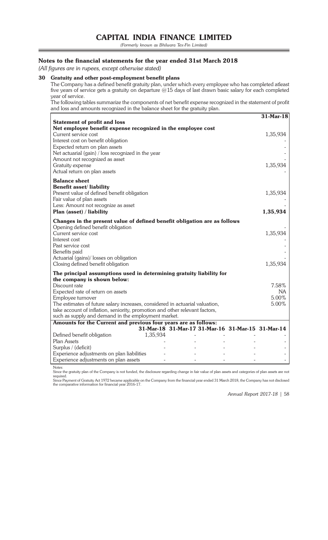*(Formerly known as Bhilwara Tex-Fin Limited)*

## Notes to the financial statements for the year ended 31st March 2018

*(All figures are in rupees, except otherwise stated)*

#### 30 Gratuity and other post-employment benefit plans

The Company has a defined benefit gratuity plan, under which every employee who has completed atleast five years of service gets a gratuity on departure @15 days of last drawn basic salary for each completed year of service.

The following tables summarize the components of net benefit expense recognized in the statement of profit and loss and amounts recognized in the balance sheet for the gratuity plan.

|                                                                                                                                                             |          |                                                   |  | 31-Mar-18 |
|-------------------------------------------------------------------------------------------------------------------------------------------------------------|----------|---------------------------------------------------|--|-----------|
| <b>Statement of profit and loss</b>                                                                                                                         |          |                                                   |  |           |
| Net employee benefit expense recognized in the employee cost                                                                                                |          |                                                   |  |           |
| Current service cost                                                                                                                                        |          |                                                   |  | 1,35,934  |
| Interest cost on benefit obligation                                                                                                                         |          |                                                   |  |           |
| Expected return on plan assets                                                                                                                              |          |                                                   |  |           |
| Net actuarial (gain) / loss recognized in the year<br>Amount not recognized as asset                                                                        |          |                                                   |  |           |
| Gratuity expense                                                                                                                                            |          |                                                   |  | 1,35,934  |
| Actual return on plan assets                                                                                                                                |          |                                                   |  |           |
|                                                                                                                                                             |          |                                                   |  |           |
| <b>Balance sheet</b>                                                                                                                                        |          |                                                   |  |           |
| <b>Benefit asset/liability</b>                                                                                                                              |          |                                                   |  |           |
| Present value of defined benefit obligation                                                                                                                 |          |                                                   |  | 1,35,934  |
| Fair value of plan assets<br>Less: Amount not recognize as asset                                                                                            |          |                                                   |  |           |
| Plan (asset) / liability                                                                                                                                    |          |                                                   |  | 1,35,934  |
|                                                                                                                                                             |          |                                                   |  |           |
| Changes in the present value of defined benefit obligation are as follows                                                                                   |          |                                                   |  |           |
| Opening defined benefit obligation                                                                                                                          |          |                                                   |  |           |
| Current service cost                                                                                                                                        |          |                                                   |  | 1,35,934  |
| Interest cost                                                                                                                                               |          |                                                   |  |           |
| Past service cost                                                                                                                                           |          |                                                   |  |           |
| Benefits paid                                                                                                                                               |          |                                                   |  |           |
| Actuarial (gains)/ losses on obligation<br>Closing defined benefit obligation                                                                               |          |                                                   |  | 1,35,934  |
|                                                                                                                                                             |          |                                                   |  |           |
| The principal assumptions used in determining gratuity liability for                                                                                        |          |                                                   |  |           |
| the company is shown below:                                                                                                                                 |          |                                                   |  |           |
| Discount rate                                                                                                                                               |          |                                                   |  | 7.58%     |
| Expected rate of return on assets                                                                                                                           |          |                                                   |  | NA        |
| Employee turnover                                                                                                                                           |          |                                                   |  | 5.00%     |
| The estimates of future salary increases, considered in actuarial valuation,<br>take account of inflation, seniority, promotion and other relevant factors, |          |                                                   |  | 5.00%     |
| such as supply and demand in the employment market.                                                                                                         |          |                                                   |  |           |
| Amounts for the Current and previous four years are as follows:                                                                                             |          |                                                   |  |           |
|                                                                                                                                                             |          | 31-Mar-18 31-Mar-17 31-Mar-16 31-Mar-15 31-Mar-14 |  |           |
| Defined benefit obligation                                                                                                                                  | 1,35,934 |                                                   |  |           |
| <b>Plan Assets</b>                                                                                                                                          |          |                                                   |  |           |
| Surplus / (deficit)                                                                                                                                         |          |                                                   |  |           |
| Experience adjustments on plan liabilities                                                                                                                  |          |                                                   |  |           |
| Experience adjustments on plan assets                                                                                                                       |          |                                                   |  |           |

Notes:

Since the gratuity plan of the Company is not funded, the disclosure regarding change in fair value of plan assets and categories of plan assets are not required.

Since Payment of Gratuity Act 1972 became applicable on the Company from the financial year ended 31 March 2018, the Company has not disclosed the comparative information for financial year 2016-17.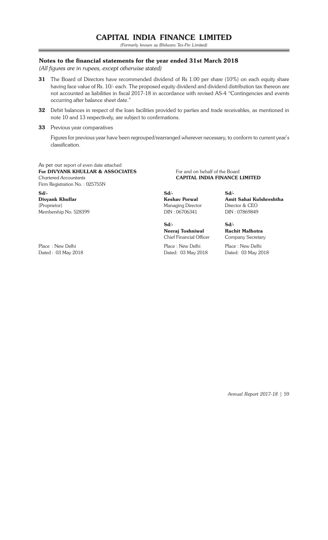*(Formerly known as Bhilwara Tex-Fin Limited)*

## Notes to the financial statements for the year ended 31st March 2018

*(All figures are in rupees, except otherwise stated)*

- 31 The Board of Directors have recommended dividend of Rs 1.00 per share (10%) on each equity share having face value of Rs. 10/- each. The proposed equity dividend and dividend distribution tax thereon are not accounted as liabilities in fiscal 2017-18 in accordance with revised AS-4 "Contingencies and events occurring after balance sheet date."
- 32 Debit balances in respect of the loan facilities provided to parties and trade receivables, as mentioned in note 10 and 13 respectively, are subject to confirmations.
- **33** Previous year comparatives

Figures for previous year have been regrouped/rearranged wherever necessary, to conform to current year's classification.

As per our report of even date attached For DIVYANK KHULLAR & ASSOCIATES For and on behalf of the Board *Chartered Accountants* CAPITAL INDIA FINANCE LIMITED Firm Registration No. : 025755N

 $Sd$   $\sim$   $Sd$   $\sim$   $Sd$   $\sim$ (Proprietor) Managing Director Director & CEO Membership No. 528399 **DIN** : 06706341 **DIN** : 07869849

Place : New Delhi Place : New Delhi Place : New Delhi Place : New Delhi Dated : 03 May 2018 Dated: 03 May 2018 Dated: 03 May 2018

Divyank Khullar Keshav Porwal Amit Sahai Kulshreshtha

 $Sd$ - $Sd$ -Neeraj Toshniwal Rachit Malhotra Chief Financial Officer Company Secretary

*Annual Report 2017-18* | 59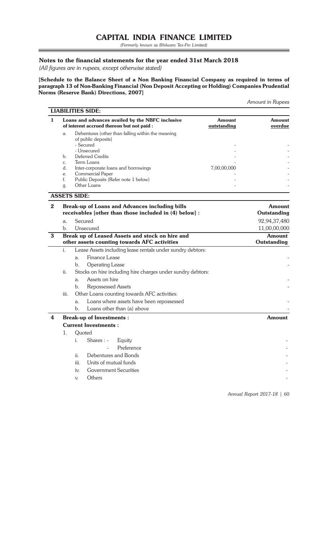*(Formerly known as Bhilwara Tex-Fin Limited)*

## Notes to the financial statements for the year ended 31st March 2018

*(All figures are in rupees, except otherwise stated)*

[Schedule to the Balance Sheet of a Non Banking Financial Company as required in terms of paragraph 13 of Non-Banking Financial (Non Deposit Accepting or Holding) Companies Prudential Norms (Reserve Bank) Directions, 2007]

*Amount in Rupees*

|              |          | <b>LIABILITIES SIDE:</b>                                                                                        |                              |                                     |
|--------------|----------|-----------------------------------------------------------------------------------------------------------------|------------------------------|-------------------------------------|
| $\mathbf{1}$ |          | Loans and advances availed by the NBFC inclusive<br>of interest accrued thereon but not paid :                  | <b>Amount</b><br>outstanding | <b>Amount</b><br>overdue            |
|              | a.       | Debentures (other than falling within the meaning<br>of public deposits)<br>- Secured                           |                              |                                     |
|              |          | - Unsecured                                                                                                     |                              |                                     |
|              | b.<br>c. | Deferred Credits<br>Term Loans                                                                                  |                              |                                     |
|              | d.       | Inter-corporate loans and borrowings                                                                            | 7,00,00,000                  |                                     |
|              | e.       | Commercial Paper                                                                                                |                              |                                     |
|              | f.       | Public Deposits (Refer note 1 below)                                                                            |                              |                                     |
|              | g.       | Other Loans                                                                                                     |                              |                                     |
|              |          | <b>ASSETS SIDE:</b>                                                                                             |                              |                                     |
| $\mathbf{2}$ |          | <b>Break-up of Loans and Advances including bills</b><br>receivables [other than those included in (4) below] : |                              | <b>Amount</b><br><b>Outstanding</b> |
|              | a.       | Secured                                                                                                         |                              | 92,94,37,480                        |
|              | b.       | Unsecured                                                                                                       |                              | 11,00,00,000                        |
| 3            |          | Break up of Leased Assets and stock on hire and                                                                 |                              | <b>Amount</b>                       |
|              |          | other assets counting towards AFC activities                                                                    |                              | <b>Outstanding</b>                  |
|              | i.       | Lease Assets including lease rentals under sundry debtors:                                                      |                              |                                     |
|              |          | Finance Lease<br>a.                                                                                             |                              |                                     |
|              |          | b.<br><b>Operating Lease</b>                                                                                    |                              |                                     |
|              | ii.      | Stocks on hire including hire charges under sundry debtors:                                                     |                              |                                     |
|              |          | Assets on hire<br>a.                                                                                            |                              |                                     |
|              |          | <b>Repossessed Assets</b><br>b.                                                                                 |                              |                                     |
|              | iii.     | Other Loans counting towards AFC activities:                                                                    |                              |                                     |
|              |          | Loans where assets have been repossessed<br>a.                                                                  |                              |                                     |
|              |          | b.<br>Loans other than (a) above                                                                                |                              |                                     |
| 4            |          | <b>Break-up of Investments:</b>                                                                                 |                              | <b>Amount</b>                       |
|              |          | <b>Current Investments:</b>                                                                                     |                              |                                     |
|              | 1.       | Quoted                                                                                                          |                              |                                     |
|              |          | $\mathbf{i}$ .<br>$Shares: -$<br>Equity                                                                         |                              |                                     |
|              |          | Preference                                                                                                      |                              |                                     |
|              |          | Debentures and Bonds<br>ii.                                                                                     |                              |                                     |
|              |          | Units of mutual funds<br>iii.                                                                                   |                              |                                     |
|              |          | <b>Government Securities</b><br>iv.                                                                             |                              |                                     |
|              |          | Others<br>V.                                                                                                    |                              |                                     |
|              |          |                                                                                                                 |                              |                                     |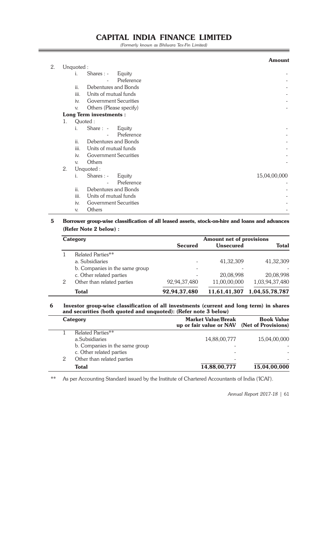*(Formerly known as Bhilwara Tex-Fin Limited)*

|    |    |           |                               | Amount       |
|----|----|-----------|-------------------------------|--------------|
| 2. |    | Unquoted: |                               |              |
|    |    | i.        | $Shares: -$<br>Equity         |              |
|    |    |           | Preference                    |              |
|    |    | ii.       | Debentures and Bonds          |              |
|    |    | iii.      | Units of mutual funds         |              |
|    |    | iv.       | <b>Government Securities</b>  |              |
|    |    | V.        | Others (Please specify)       |              |
|    |    |           | <b>Long Term investments:</b> |              |
|    | 1. |           | Quoted:                       |              |
|    |    | i.        | Share $: -$<br>Equity         |              |
|    |    |           | Preference                    |              |
|    |    | ii.       | Debentures and Bonds          |              |
|    |    | iii.      | Units of mutual funds         |              |
|    |    | iv.       | <b>Government Securities</b>  |              |
|    |    | V.        | Others                        |              |
|    | 2. |           | Unquoted:                     |              |
|    |    | i.        | $Shares: -$<br>Equity         | 15,04,00,000 |
|    |    |           | Preference                    |              |
|    |    | $ii$ .    | Debentures and Bonds          |              |
|    |    | iii.      | Units of mutual funds         |              |
|    |    | iv.       | <b>Government Securities</b>  |              |
|    |    | V.        | Others                        |              |

## 5 Borrower group-wise classification of all leased assets, stock-on-hire and loans and advances (Refer Note 2 below) :

|   | Category                       |                | <b>Amount net of provisions</b> |                |
|---|--------------------------------|----------------|---------------------------------|----------------|
|   |                                | <b>Secured</b> | <b>Unsecured</b>                | <b>Total</b>   |
|   | Related Parties**              |                |                                 |                |
|   | a. Subsidiaries                |                | 41,32,309                       | 41,32,309      |
|   | b. Companies in the same group |                |                                 |                |
|   | c. Other related parties       |                | 20,08,998                       | 20,08,998      |
| Ω | Other than related parties     | 92,94,37,480   | 11,00,00,000                    | 1,03,94,37,480 |
|   | <b>Total</b>                   | 92,94,37,480   | 11,61,41,307                    | 1,04,55,78,787 |

#### 6 Investor group-wise classification of all investments (current and long term) in shares and securities (both quoted and unquoted): (Refer note 3 below)

|   | Category                       | <b>Market Value/Break</b><br>up or fair value or NAV (Net of Provisions) | <b>Book Value</b> |
|---|--------------------------------|--------------------------------------------------------------------------|-------------------|
|   | Related Parties**              |                                                                          |                   |
|   | a Subsidiaries                 | 14,88,00,777                                                             | 15,04,00,000      |
|   | b. Companies in the same group |                                                                          |                   |
|   | c. Other related parties       |                                                                          |                   |
| 2 | Other than related parties     |                                                                          |                   |
|   | <b>Total</b>                   | 14,88,00,777                                                             | 15,04,00,000      |

\*\* As per Accounting Standard issued by the Institute of Chartered Accountants of India ('ICAI').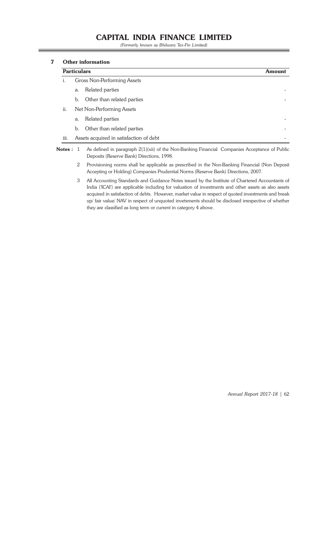*(Formerly known as Bhilwara Tex-Fin Limited)*

# 7 Other information Particulars Amount i. Gross Non-Performing Assets a. Related parties b. Other than related parties ii. Net Non-Performing Assets a. Related parties b. Other than related parties iii. Assets acquired in satisfaction of debt

- Notes : 1 As defined in paragraph 2(1)(xii) of the Non-Banking Financial Companies Acceptance of Public Deposits (Reserve Bank) Directions, 1998.
	- 2 Provisioning norms shall be applicable as prescribed in the Non-Banking Financial (Non Deposit Accepting or Holding) Companies Prudential Norms (Reserve Bank) Directions, 2007.
	- 3 All Accounting Standards and Guidance Notes issued by the Institute of Chartered Accountants of India ('ICAI') are applicable including for valuation of investments and other assets as also assets acquired in satisfaction of debts. However, market value in respect of quoted investments and break up/ fair value/ NAV in respect of unquoted invetsments should be disclosed irrespective of whether they are classified as long term or current in category 4 above.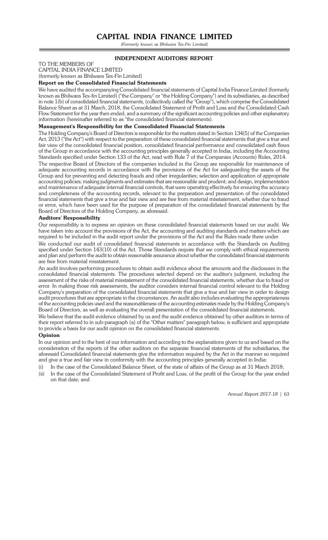*(Formerly known as Bhilwara Tex-Fin Limited)*

## INDEPENDENT AUDITORS' REPORT

#### TO THE MEMBERS OF

CAPITAL INDIA FINANCE LIMITED (formerly known as Bhilwara Tex-Fin Limited)

## Report on the Consolidated Financial Statements

We have audited the accompanying Consolidated financial statements of Capital India Finance Limited (formerly known as Bhilwara Tex-fin Limited) ("the Company" or "the Holding Company") and its subsidiaries, as described in note 1(b) of consolidated financial statements, (collectively called the "Group"), which comprise the Consolidated Balance Sheet as at 31 March, 2018, the Consolidated Statement of Profit and Loss and the Consolidated Cash Flow Statement for the year then ended, and a summary of the significant accounting policies and other explanatory information (hereinafter referred to as "the consolidated financial statements).

## Management's Responsibility for the Consolidated Financial Statements

The Holding Company's Board of Directors is responsible for the matters stated in Section 134(5) of the Companies Act, 2013 ("the Act") with respect to the preparation of these consolidated financial statements that give a true and fair view of the consolidated financial position, consolidated financial performance and consolidated cash flows of the Group in accordance with the accounting principles generally accepted in India, including the Accounting Standards specified under Section 133 of the Act, read with Rule 7 of the Companies (Accounts) Rules, 2014.

The respective Board of Directors of the companies included in the Group are responsible for maintenance of adequate accounting records in accordance with the provisions of the Act for safeguarding the assets of the Group and for preventing and detecting frauds and other irregularities; selection and application of appropriate accounting policies; making judgments and estimates that are reasonable and prudent; and design, implementation and maintenance of adequate internal financial controls, that were operating effectively for ensuring the accuracy and completeness of the accounting records, relevant to the preparation and presentation of the consolidated financial statements that give a true and fair view and are free from material misstatement, whether due to fraud or error, which have been used for the purpose of preparation of the consolidated financial statements by the Board of Directors of the Holding Company, as aforesaid.

#### Auditors' Responsibility

Our responsibility is to express an opinion on these consolidated financial statements based on our audit. We have taken into account the provisions of the Act, the accounting and auditing standards and matters which are required to be included in the audit report under the provisions of the Act and the Rules made there under.

We conducted our audit of consolidated financial statements in accordance with the Standards on Auditing specified under Section 143(10) of the Act. Those Standards require that we comply with ethical requirements and plan and perform the audit to obtain reasonable assurance about whether the consolidated financial statements are free from material misstatement.

An audit involves performing procedures to obtain audit evidence about the amounts and the disclosures in the consolidated financial statements. The procedures selected depend on the auditor's judgment, including the assessment of the risks of material misstatement of the consolidated financial statements, whether due to fraud or error. In making those risk assessments, the auditor considers internal financial control relevant to the Holding Company's preparation of the consolidated financial statements that give a true and fair view in order to design audit procedures that are appropriate in the circumstances. An audit also includes evaluating the appropriateness of the accounting policies used and the reasonableness of the accounting estimates made by the Holding Company's Board of Directors, as well as evaluating the overall presentation of the consolidated financial statements.

We believe that the audit evidence obtained by us and the audit evidence obtained by other auditors in terms of their report referred to in sub-paragraph (a) of the "Other matters" paragraph below, is sufficient and appropriate to provide a basis for our audit opinion on the consolidated financial statements.

#### Opinion

In our opinion and to the best of our information and according to the explanations given to us and based on the consideration of the reports of the other auditors on the separate financial statements of the subsidiaries, the aforesaid Consolidated financial statements give the information required by the Act in the manner so required and give a true and fair view in conformity with the accounting principles generally accepted in India:

- (i) In the case of the Consolidated Balance Sheet, of the state of affairs of the Group as at 31 March 2018;
- (ii) In the case of the Consolidated Statement of Profit and Loss, of the profit of the Group for the year ended on that date; and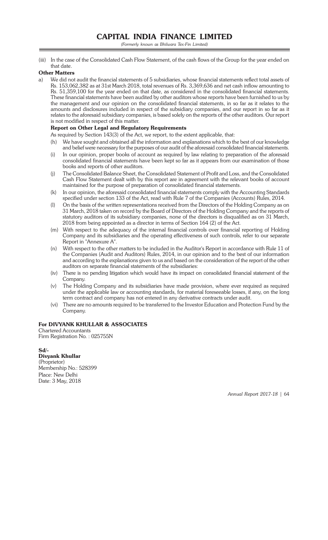*(Formerly known as Bhilwara Tex-Fin Limited)*

(iii) In the case of the Consolidated Cash Flow Statement, of the cash flows of the Group for the year ended on that date.

## Other Matters

a) We did not audit the financial statements of 5 subsidiaries, whose financial statements reflect total assets of Rs. 153,062,382 as at 31st March 2018, total revenues of Rs. 3,369,636 and net cash inflow amounting to Rs. 51,359,100 for the year ended on that date, as considered in the consolidated financial statements. These financial statements have been audited by other auditors whose reports have been furnished to us by the management and our opinion on the consolidated financial statements, in so far as it relates to the amounts and disclosures included in respect of the subsidiary companies, and our report in so far as it relates to the aforesaid subsidiary companies, is based solely on the reports of the other auditors. Our report is not modified in respect of this matter.

## Report on Other Legal and Regulatory Requirements

As required by Section 143(3) of the Act, we report, to the extent applicable, that:

- (h) We have sought and obtained all the information and explanations which to the best of our knowledge and belief were necessary for the purposes of our audit of the aforesaid consolidated financial statements.
- (i) In our opinion, proper books of account as required by law relating to preparation of the aforesaid consolidated financial statements have been kept so far as it appears from our examination of those books and reports of other auditors.
- (j) The Consolidated Balance Sheet, the Consolidated Statement of Profit and Loss, and the Consolidated Cash Flow Statement dealt with by this report are in agreement with the relevant books of account maintained for the purpose of preparation of consolidated financial statements.
- (k) In our opinion, the aforesaid consolidated financial statements comply with the Accounting Standards specified under section 133 of the Act, read with Rule 7 of the Companies (Accounts) Rules, 2014.
- (l) On the basis of the written representations received from the Directors of the Holding Company as on 31 March, 2018 taken on record by the Board of Directors of the Holding Company and the reports of statutory auditors of its subsidiary companies, none of the directors is disqualified as on 31 March, 2018 from being appointed as a director in terms of Section 164 (2) of the Act.
- (m) With respect to the adequacy of the internal financial controls over financial reporting of Holding Company and its subsidiaries and the operating effectiveness of such controls, refer to our separate Report in "Annexure A".
- (n) With respect to the other matters to be included in the Auditor's Report in accordance with Rule 11 of the Companies (Audit and Auditors) Rules, 2014, in our opinion and to the best of our information and according to the explanations given to us and based on the consideration of the report of the other auditors on separate financial statements of the subsidiaries:
- (iv) There is no pending litigation which would have its impact on consolidated financial statement of the Company.
- (v) The Holding Company and its subsidiaries have made provision, where ever required as required under the applicable law or accounting standards, for material foreseeable losses, if any, on the long term contract and company has not entered in any derivative contracts under audit.
- (vi) There are no amounts required to be transferred to the Investor Education and Protection Fund by the Company.

## For DIVYANK KHULLAR & ASSOCIATES

Chartered Accountants Firm Registration No. : 025755N

Sd/- Divyank Khullar (Proprietor) Membership No.: 528399 Place: New Delhi Date: 3 May, 2018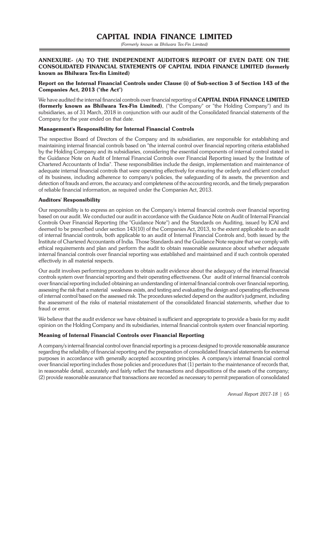*(Formerly known as Bhilwara Tex-Fin Limited)*

## ANNEXURE- (A) TO THE INDEPENDENT AUDITOR'S REPORT OF EVEN DATE ON THE CONSOLIDATED FINANCIAL STATEMENTS OF CAPITAL INDIA FINANCE LIMITED (formerly known as Bhilwara Tex-fin Limited)

## Report on the Internal Financial Controls under Clause (i) of Sub-section 3 of Section 143 of the Companies Act, 2013 ("the Act")

We have audited the internal financial controls over financial reporting of **CAPITAL INDIA FINANCE LIMITED** (formerly known as Bhilwara Tex-Fin Limited), ("the Company" or "the Holding Company") and its subsidiaries, as of 31 March, 2018 in conjunction with our audit of the Consolidated financial statements of the Company for the year ended on that date.

## Management's Responsibility for Internal Financial Controls

The respective Board of Directors of the Company and its subsidiaries, are responsible for establishing and maintaining internal financial controls based on "the internal control over financial reporting criteria established by the Holding Company and its subsidiaries, considering the essential components of internal control stated in the Guidance Note on Audit of Internal Financial Controls over Financial Reporting issued by the Institute of Chartered Accountants of India". These responsibilities include the design, implementation and maintenance of adequate internal financial controls that were operating effectively for ensuring the orderly and efficient conduct of its business, including adherence to company's policies, the safeguarding of its assets, the prevention and detection of frauds and errors, the accuracy and completeness of the accounting records, and the timely preparation of reliable financial information, as required under the Companies Act, 2013.

## Auditors' Responsibility

Our responsibility is to express an opinion on the Company's internal financial controls over financial reporting based on our audit. We conducted our audit in accordance with the Guidance Note on Audit of Internal Financial Controls Over Financial Reporting (the "Guidance Note") and the Standards on Auditing, issued by ICAI and deemed to be prescribed under section 143(10) of the Companies Act, 2013, to the extent applicable to an audit of internal financial controls, both applicable to an audit of Internal Financial Controls and, both issued by the Institute of Chartered Accountants of India. Those Standards and the Guidance Note require that we comply with ethical requirements and plan and perform the audit to obtain reasonable assurance about whether adequate internal financial controls over financial reporting was established and maintained and if such controls operated effectively in all material respects.

Our audit involves performing procedures to obtain audit evidence about the adequacy of the internal financial controls system over financial reporting and their operating effectiveness. Our audit of internal financial controls over financial reporting included obtaining an understanding of internal financial controls over financial reporting, assessing the risk that a material weakness exists, and testing and evaluating the design and operating effectiveness of internal control based on the assessed risk. The procedures selected depend on the auditor's judgment, including the assessment of the risks of material misstatement of the consolidated financial statements, whether due to fraud or error.

We believe that the audit evidence we have obtained is sufficient and appropriate to provide a basis for my audit opinion on the Holding Company and its subsidiaries, internal financial controls system over financial reporting.

## Meaning of Internal Financial Controls over Financial Reporting

A company's internal financial control over financial reporting is a process designed to provide reasonable assurance regarding the reliability of financial reporting and the preparation of consolidated financial statements for external purposes in accordance with generally accepted accounting principles. A company's internal financial control over financial reporting includes those policies and procedures that (1) pertain to the maintenance of records that, in reasonable detail, accurately and fairly reflect the transactions and dispositions of the assets of the company; (2) provide reasonable assurance that transactions are recorded as necessary to permit preparation of consolidated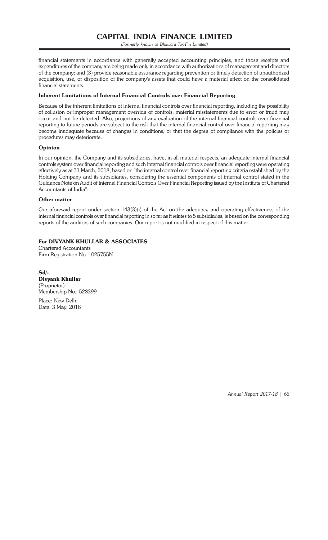*(Formerly known as Bhilwara Tex-Fin Limited)*

financial statements in accordance with generally accepted accounting principles, and those receipts and expenditures of the company are being made only in accordance with authorizations of management and directors of the company; and (3) provide reasonable assurance regarding prevention or timely detection of unauthorized acquisition, use, or disposition of the company's assets that could have a material effect on the consolidated financial statements.

## Inherent Limitations of Internal Financial Controls over Financial Reporting

Because of the inherent limitations of internal financial controls over financial reporting, including the possibility of collusion or improper management override of controls, material misstatements due to error or fraud may occur and not be detected. Also, projections of any evaluation of the internal financial controls over financial reporting to future periods are subject to the risk that the internal financial control over financial reporting may become inadequate because of changes in conditions, or that the degree of compliance with the policies or procedures may deteriorate.

## Opinion

In our opinion, the Company and its subsidiaries, have, in all material respects, an adequate internal financial controls system over financial reporting and such internal financial controls over financial reporting were operating effectively as at 31 March, 2018, based on "the internal control over financial reporting criteria established by the Holding Company and its subsidiaries, considering the essential components of internal control stated in the Guidance Note on Audit of Internal Financial Controls Over Financial Reporting issued by the Institute of Chartered Accountants of India".

## Other matter

Our aforesaid report under section 143(3)(i) of the Act on the adequacy and operating effectiveness of the internal financial controls over financial reporting in so far as it relates to 5 subsidiaries, is based on the corresponding reports of the auditors of such companies. Our report is not modified in respect of this matter.

## For DIVYANK KHULLAR & ASSOCIATES

Chartered Accountants Firm Registration No. : 025755N

Sd/- Divyank Khullar (Proprietor) Membership No.: 528399

Place: New Delhi Date: 3 May, 2018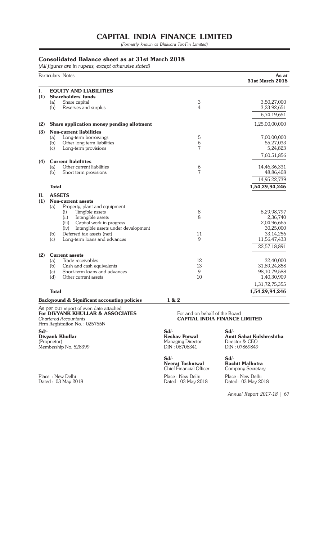*(Formerly known as Bhilwara Tex-Fin Limited)*

## Consolidated Balance sheet as at 31st March 2018

*(All figures are in rupees, except otherwise stated)*

| Particulars Notes |              |                                                                          |         | As at<br><b>31st March 2018</b> |
|-------------------|--------------|--------------------------------------------------------------------------|---------|---------------------------------|
| I.<br>(1)         |              | <b>EQUITY AND LIABILITIES</b><br><b>Shareholders' funds</b>              |         |                                 |
|                   | (a)          | Share capital                                                            | $\,3$   | 3,50,27,000                     |
|                   | (b)          | Reserves and surplus                                                     | 4       | 3,23,92,651                     |
|                   |              |                                                                          |         | 6,74,19,651                     |
| (2)               |              | Share application money pending allotment                                |         | 1,25,00,00,000                  |
| (3)               |              | <b>Non-current liabilities</b>                                           |         |                                 |
|                   | (a)          | Long-term borrowings                                                     | 5       | 7,00,00,000                     |
|                   | (b)          | Other long term liabilities                                              | 6       | 55,27,033                       |
|                   | (c)          | Long-term provisions                                                     | 7       | 5,24,823                        |
|                   |              |                                                                          |         | 7,60,51,856                     |
| (4)               | (a)          | <b>Current liabilities</b><br>Other current liabilities                  | 6       | 14,46,36,331                    |
|                   | (b)          | Short term provisions                                                    | 7       | 48,86,408                       |
|                   |              |                                                                          |         | 14,95,22,739                    |
|                   | <b>Total</b> |                                                                          |         | 1,54,29,94,246                  |
| Н.                |              | <b>ASSETS</b>                                                            |         |                                 |
| (1)               |              | <b>Non-current assets</b>                                                |         |                                 |
|                   | (a)          | Property, plant and equipment                                            |         |                                 |
|                   |              | Tangible assets<br>(i)                                                   | 8       | 8,29,98,797                     |
|                   |              | Intangible assets<br>(ii)                                                | 8       | 2,36,740                        |
|                   |              | Capital work in progress<br>(iii)                                        |         | 2,04,96,665                     |
|                   | (b)          | Intangible assets under development<br>(iv)<br>Deferred tax assets (net) | 11      | 30,25,000<br>33,14,256          |
|                   | (c)          | Long-term loans and advances                                             | 9       | 11,56,47,433                    |
|                   |              |                                                                          |         | 22,57,18,891                    |
|                   |              |                                                                          |         |                                 |
| (2)               |              | <b>Current assets</b>                                                    |         |                                 |
|                   | (a)          | Trade receivables                                                        | 12      | 32,40,000                       |
|                   | (b)<br>(c)   | Cash and cash equivalents<br>Short-term loans and advances               | 13<br>9 | 31,89,24,858<br>98, 10, 79, 588 |
|                   | (d)          | Other current assets                                                     | 10      | 1,40,30,909                     |
|                   |              |                                                                          |         | 1,31,72,75,355                  |
|                   | <b>Total</b> |                                                                          |         | 1,54,29,94,246                  |
|                   |              |                                                                          | 1 & 2   |                                 |
|                   |              | <b>Background &amp; Significant accounting policies</b>                  |         |                                 |

#### As per our report of even date attached For DIVYANK KHULLAR & ASSOCIATES For and on behalf of the Board *Chartered Accountants* CAPITAL INDIA FINANCE LIMITED Firm Registration No. : 025755N

 $Sd$   $\sim$   $Sd$   $\sim$   $Sd$   $\sim$ Membership No. 528399

Dated : 03 May 2018 Dated: 03 May 2018 Dated: 03 May 2018

Managing Director<br>
Director Director & CEO<br>
DIN : 06706341 DIN : 07869849

Sd/- Sd/- Neeraj Toshniwal Rachit Malhotra<br>
Chief Financial Officer Company Secretary Chief Financial Officer

Place : New Delhi Place : New Delhi Place : New Delhi

Divyank Khullar **Keshav Porwal** Amit Sahai Kulshreshtha (Proprietor) **Keshav Porwal** Amit Sahai Kulshreshtha (Proprietor)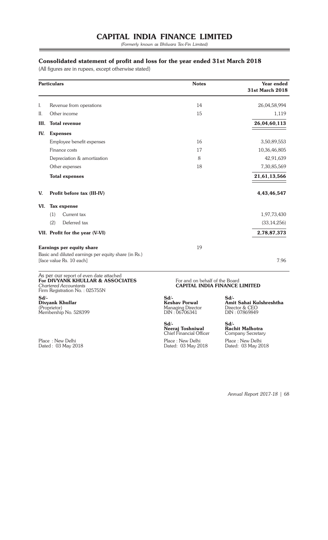*(Formerly known as Bhilwara Tex-Fin Limited)*

## Consolidated statement of profit and loss for the year ended 31st March 2018

(All figures are in rupees, except otherwise stated)

| <b>Particulars</b>                                                               |                                  | <b>Notes</b> | <b>Year ended</b><br><b>31st March 2018</b> |  |
|----------------------------------------------------------------------------------|----------------------------------|--------------|---------------------------------------------|--|
| I.                                                                               | Revenue from operations          | 14           | 26,04,58,994                                |  |
| II.                                                                              | Other income                     | 15           | 1,119                                       |  |
| III.                                                                             | <b>Total revenue</b>             |              | 26,04,60,113                                |  |
| IV.                                                                              | <b>Expenses</b>                  |              |                                             |  |
|                                                                                  | Employee benefit expenses        | 16           | 3,50,89,553                                 |  |
|                                                                                  | Finance costs                    | 17           | 10,36,46,805                                |  |
|                                                                                  | Depreciation & amortization      | 8            | 42,91,639                                   |  |
|                                                                                  | Other expenses                   | 18           | 7,30,85,569                                 |  |
|                                                                                  | <b>Total expenses</b>            |              | 21,61,13,566                                |  |
| V.                                                                               | Profit before tax (III-IV)       |              | 4,43,46,547                                 |  |
| VI.                                                                              | <b>Tax expense</b>               |              |                                             |  |
|                                                                                  | (1)<br>Current tax               |              | 1,97,73,430                                 |  |
|                                                                                  | (2)<br>Deferred tax              |              | (33, 14, 256)                               |  |
|                                                                                  | VII. Profit for the year (V-VI)  |              | 2,78,87,373                                 |  |
|                                                                                  | <b>Earnings per equity share</b> | 19           |                                             |  |
| Basic and diluted earnings per equity share (in Rs.)<br>[face value Rs. 10 each] |                                  |              | 7.96                                        |  |

#### As per our report of even date attached For DIVYANK KHULLAR & ASSOCIATES For and on behalf of the Board

Firm Registration No. : 025755N

Membership No. 528399

Dated : 03 May 2018 Dated: 03 May 2018 Dated: 03 May 2018

# **For DIVYANK KHULLAR & ASSOCIATES** For and on behalf of the Board<br>Chartered Accountants

 $Sd$   $\sim$   $Sd$   $\sim$   $Sd$   $\sim$ (Proprietor) Managing Director Director & CEO

> $Sd$ /- $Sd$ /-Neeraj Toshniwal Rachit Malhotra

**Divyank Khullar Neshav Porwal Amit Sahai Kulshreshtha** (Proprietor) Nanaging Director Amit Sahai Kulshreshtha (Proprietor)

Chief Financial Officer Company Secretary

Place : New Delhi Place : New Delhi Place : New Delhi Place : New Delhi Place : New Delhi Place : New Delhi Place : New Delhi Place : New Delhi Place : New Delhi Place : New Delhi Place : New Delhi Place : 03 May 2018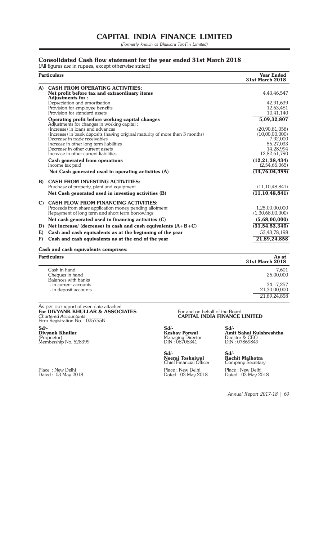*(Formerly known as Bhilwara Tex-Fin Limited)*

## Consolidated Cash flow statement for the year ended 31st March 2018

(All figures are in rupees, except otherwise stated)

#### Particulars Year Ended

|              |                                                                                                 | <b>31st March 2018</b>             |
|--------------|-------------------------------------------------------------------------------------------------|------------------------------------|
| A)           | <b>CASH FROM OPERATING ACTIVITIES:</b>                                                          |                                    |
|              | Net profit before tax and extraordinary items<br><b>Adiustments for:</b>                        | 4,43,46,547                        |
|              | Depreciation and amortisation                                                                   | 42,91,639                          |
|              | Provision for employee benefits                                                                 | 12,53,481                          |
|              | Provision for standard assets                                                                   | 10,41,140                          |
|              | Operating profit before working capital changes<br>Adjustments for changes in working capital : | 5,09,32,807                        |
|              | (Increase) in loans and advances                                                                | (20, 90, 81, 058)                  |
|              | (Increase) in bank deposits (having original maturity of more than 3 months)                    | (10,00,00,000)                     |
|              | Decrease in trade receivables<br>Increase in other long term liabilities                        | 7,92,000<br>55,27,033              |
|              | Decrease in other current assets                                                                | 14.28.994                          |
|              | Increase in other current liabilities                                                           | 12,82,61,790                       |
|              | <b>Cash generated from operations</b><br>Income tax paid                                        | (12, 21, 38, 434)<br>(2,54,66,065) |
|              | Net Cash generated used in operating activities (A)                                             | (14,76,04,499)                     |
| $\bf{B}$     | <b>CASH FROM INVESTING ACTIVITIES:</b>                                                          |                                    |
|              | Purchase of property, plant and equipment                                                       | (11, 10, 48, 841)                  |
|              | Net Cash generated used in investing activities (B)                                             | (11, 10, 48, 841)                  |
| $\mathbf{C}$ | <b>CASH FLOW FROM FINANCING ACTIVITIES:</b>                                                     |                                    |
|              | Proceeds from share application money pending allotment                                         | 1.25.00.00.000                     |
|              | Repayment of long term and short term borrowings                                                | (1,30,68,00,000)                   |
|              | Net cash generated used in financing activities (C)                                             | (5,68,00,000)                      |
| D)           | Net increase/ (decrease) in cash and cash equivalents $(A+B+C)$                                 | (31, 54, 53, 340)                  |
| E)           | Cash and cash equivalents as at the beginning of the year                                       | 53, 43, 78, 198                    |
| $\bf{F}$     | Cash and cash equivalents as at the end of the year                                             | 21,89,24,858                       |
|              | <b>Cash and cash equivalents comprises:</b>                                                     |                                    |
|              | <b>Particulars</b>                                                                              | As at<br>$0.4 + 2.5$ $1.6$         |

|                                                                       | <b>31st March 2018</b>    |
|-----------------------------------------------------------------------|---------------------------|
| Cash in hand<br>Cheques in hand                                       | 7.601<br>25,00,000        |
| Balances with banks<br>- in current accounts<br>- in deposit accounts | 34.17.257<br>21,30,00,000 |
|                                                                       | 21,89,24,858              |

As per our report of even date attached For DIVYANK KHULLAR & ASSOCIATES For and on behalf of the Board *Chartered Accountants* CAPITAL INDIA FINANCE LIMITED Firm Registration No. : 025755N

Sd/- Sd/- Sd/- Membership No. 528399

Dated: 03 May 2018

Managing Director<br>
DIN : 06706341<br>
DIN : 07869849

 $Sd$ /- $Sd$ /-Neeraj Toshniwal Rachit Malhotra Chief Financial Officer Company Secretary Place : New Delhi Place : New Delhi Place : New Delhi Place : New Delhi Place : New Delhi Place : New Delhi Place : New Delhi Place : New Delhi Place : New Delhi Place : New Delhi Place : New Delhi Place : 03 May 2018

Divyank Khullar **Keshav Porwal** Amit Sahai Kulshreshtha<br>(Proprietor) Managing Director Amit Sahai Kulshreshtha<br>Managing Director & CEO

*Annual Report 2017-18* | 69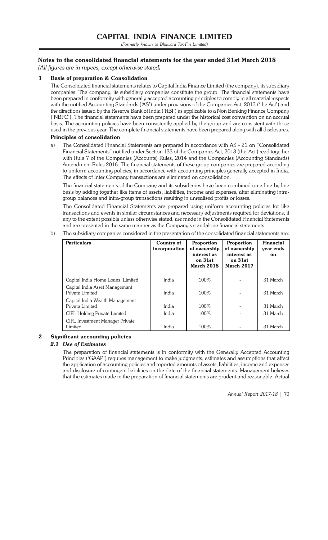*(Formerly known as Bhilwara Tex-Fin Limited)*

## Notes to the consolidated financial statements for the year ended 31st March 2018

*(All figures are in rupees, except otherwise stated)*

## 1 Basis of preparation & Consolidation

The Consolidated financial statements relates to Capital India Finance Limited (the company), its subsidiary companies. The company, its subsidiary companies constitute the group. The financial statements have been prepared in conformity with generally accepted accounting principles to comply in all material respects with the notified Accounting Standards ('AS') under provisions of the Companies Act, 2013 ('the Act') and the directions issued by the Reserve Bank of India ('RBI') as applicable to a Non Banking Finance Company ('NBFC'). The financial statements have been prepared under the historical cost convention on an accrual basis. The accounting policies have been consistently applied by the group and are consistent with those used in the previous year. The complete financial statements have been prepared along with all disclosures.

#### Principles of consolidation

a) The Consolidated Financial Statements are prepared in accordance with AS - 21 on "Consolidated Financial Statements" notified under Section 133 of the Companies Act, 2013 (the 'Act') read together with Rule 7 of the Companies (Accounts) Rules, 2014 and the Companies (Accounting Standards) Amendment Rules 2016. The financial statements of these group companies are prepared according to uniform accounting policies, in accordance with accounting principles generally accepted in India. The effects of Inter Company transactions are eliminated on consolidation.

The financial statements of the Company and its subsidiaries have been combined on a line-by-line basis by adding together like items of assets, liabilities, income and expenses, after eliminating intragroup balances and intra-group transactions resulting in unrealised profits or losses.

The Consolidated Financial Statements are prepared using uniform accounting policies for like transactions and events in similar circumstances and necessary adjustments required for deviations, if any to the extent possible unless otherwise stated, are made in the Consolidated Financial Statements and are presented in the same manner as the Company's standalone financial statements.

b) The subsidiary companies considered in the presentation of the consolidated financial statements are:

| <b>Particulars</b>                                 | Country of<br>incorporation | <b>Proportion</b><br>of ownership<br>interest as<br>on 31st<br><b>March 2018</b> | <b>Proportion</b><br>of ownership<br>interest as<br>on 31st<br><b>March 2017</b> | <b>Financial</b><br>year ends<br><b>on</b> |
|----------------------------------------------------|-----------------------------|----------------------------------------------------------------------------------|----------------------------------------------------------------------------------|--------------------------------------------|
| Capital India Home Loans Limited                   | India                       | 100%                                                                             |                                                                                  | 31 March                                   |
| Capital India Asset Management<br>Private Limited  | India                       | $100\%$                                                                          |                                                                                  | 31 March                                   |
| Capital India Wealth Management<br>Private Limited | India                       | $100\%$                                                                          |                                                                                  | 31 March                                   |
| CIFL Holding Private Limited                       | India                       | $100\%$                                                                          |                                                                                  | 31 March                                   |
| CIFL Investment Manager Private<br>Limited         | India                       | 100%                                                                             |                                                                                  | 31 March                                   |

#### 2 Significant accounting policies

#### *2.1 Use of Estimates*

The preparation of financial statements is in conformity with the Generally Accepted Accounting Principles ('GAAP') requires management to make judgments, estimates and assumptions that affect the application of accounting policies and reported amounts of assets, liabilities, income and expenses and disclosure of contingent liabilities on the date of the financial statements. Management believes that the estimates made in the preparation of financial statements are prudent and reasonable. Actual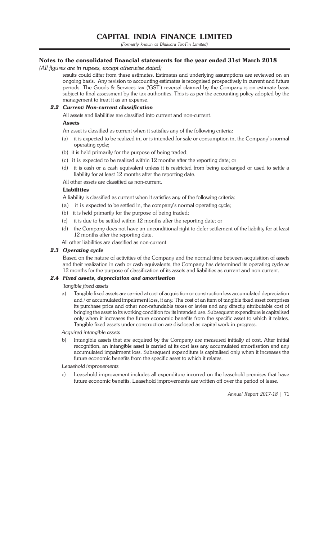*(Formerly known as Bhilwara Tex-Fin Limited)*

# Notes to the consolidated financial statements for the year ended 31st March 2018

*(All figures are in rupees, except otherwise stated)*

results could differ from these estimates. Estimates and underlying assumptions are reviewed on an ongoing basis. Any revision to accounting estimates is recognised prospectively in current and future periods. The Goods & Services tax ('GST') reversal claimed by the Company is on estimate basis subject to final assessment by the tax authorities. This is as per the accounting policy adopted by the management to treat it as an expense.

# *2.2 Current/ Non-current classification*

All assets and liabilities are classified into current and non-current.

# Assets

An asset is classified as current when it satisfies any of the following criteria:

- (a) it is expected to be realized in, or is intended for sale or consumption in, the Company's normal operating cycle;
- (b) it is held primarily for the purpose of being traded;
- (c) it is expected to be realized within 12 months after the reporting date; or
- (d) it is cash or a cash equivalent unless it is restricted from being exchanged or used to settle a liability for at least 12 months after the reporting date.

All other assets are classified as non-current.

# **Liabilities**

A liability is classified as current when it satisfies any of the following criteria:

- (a) it is expected to be settled in, the company's normal operating cycle;
- (b) it is held primarily for the purpose of being traded;
- (c) it is due to be settled within 12 months after the reporting date; or
- (d) the Company does not have an unconditional right to defer settlement of the liability for at least 12 months after the reporting date.

All other liabilities are classified as non-current.

# *2.3 Operating cycle*

Based on the nature of activities of the Company and the normal time between acquisition of assets and their realization in cash or cash equivalents, the Company has determined its operating cycle as 12 months for the purpose of classification of its assets and liabilities as current and non-current.

# *2.4 Fixed assets, depreciation and amortisation*

*Tangible fixed assets*

a) Tangible fixed assets are carried at cost of acquisition or construction less accumulated depreciation and / or accumulated impairment loss, if any. The cost of an item of tangible fixed asset comprises its purchase price and other non-refundable taxes or levies and any directly attributable cost of bringing the asset to its working condition for its intended use. Subsequent expenditure is capitalised only when it increases the future economic benefits from the specific asset to which it relates. Tangible fixed assets under construction are disclosed as capital work-in-progress.

#### *Acquired intangible assets*

b) Intangible assets that are acquired by the Company are measured initially at cost. After initial recognition, an intangible asset is carried at its cost less any accumulated amortisation and any accumulated impairment loss. Subsequent expenditure is capitalised only when it increases the future economic benefits from the specific asset to which it relates.

#### *Leasehold improvements*

Leasehold improvement includes all expenditure incurred on the leasehold premises that have future economic benefits. Leasehold improvements are written off over the period of lease.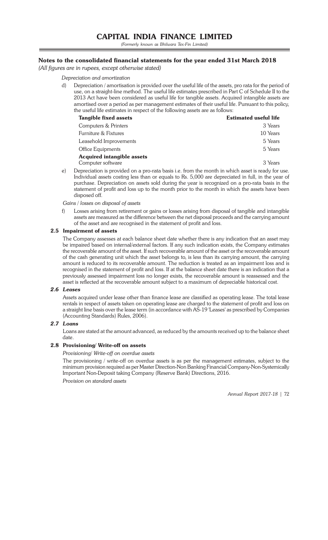*(Formerly known as Bhilwara Tex-Fin Limited)*

# Notes to the consolidated financial statements for the year ended 31st March 2018

*(All figures are in rupees, except otherwise stated)*

*Depreciation and amortization*

d) Depreciation / amortisation is provided over the useful life of the assets, pro rata for the period of use, on a straight-line method. The useful life estimates prescribed in Part C of Schedule II to the 2013 Act have been considered as useful life for tangible assets. Acquired intangible assets are amortised over a period as per management estimates of their useful life. Pursuant to this policy, the useful life estimates in respect of the following assets are as follows:

| <b>Tangible fixed assets</b>                           | <b>Estimated useful life</b> |
|--------------------------------------------------------|------------------------------|
| Computers & Printers                                   | 3 Years                      |
| Furniture & Fixtures                                   | 10 Years                     |
| Leasehold Improvements                                 | 5 Years                      |
| <b>Office Equipments</b>                               | 5 Years                      |
| <b>Acquired intangible assets</b><br>Computer software | 3 Years                      |

e) Depreciation is provided on a pro-rata basis i.e. from the month in which asset is ready for use. Individual assets costing less than or equals to Rs. 5,000 are depreciated in full, in the year of purchase. Depreciation on assets sold during the year is recognized on a pro-rata basis in the statement of profit and loss up to the month prior to the month in which the assets have been disposed off.

*Gains / losses on disposal of assets*

f) Losses arising from retirement or gains or losses arising from disposal of tangible and intangible assets are measured as the difference between the net disposal proceeds and the carrying amount of the asset and are recognised in the statement of profit and loss.

# 2.5 Impairment of assets

The Company assesses at each balance sheet date whether there is any indication that an asset may be impaired based on internal/external factors. If any such indication exists, the Company estimates the recoverable amount of the asset. If such recoverable amount of the asset or the recoverable amount of the cash generating unit which the asset belongs to, is less than its carrying amount, the carrying amount is reduced to its recoverable amount. The reduction is treated as an impairment loss and is recognised in the statement of profit and loss. If at the balance sheet date there is an indication that a previously assessed impairment loss no longer exists, the recoverable amount is reassessed and the asset is reflected at the recoverable amount subject to a maximum of depreciable historical cost.

# *2.6 Leases*

Assets acquired under lease other than finance lease are classified as operating lease. The total lease rentals in respect of assets taken on operating lease are charged to the statement of profit and loss on a straight line basis over the lease term (in accordance with AS-19 'Leases' as prescribed by Companies (Accounting Standards) Rules, 2006).

# *2.7 Loans*

Loans are stated at the amount advanced, as reduced by the amounts received up to the balance sheet date.

# 2.8 Provisioning/ Write-off on assets

*Provisioning/ Write-off on overdue assets*

The provisioning / write-off on overdue assets is as per the management estimates, subject to the minimum provision required as per Master Direction-Non Banking Financial Company-Non-Systemically Important Non-Deposit taking Company (Reserve Bank) Directions, 2016.

*Provision on standard assets*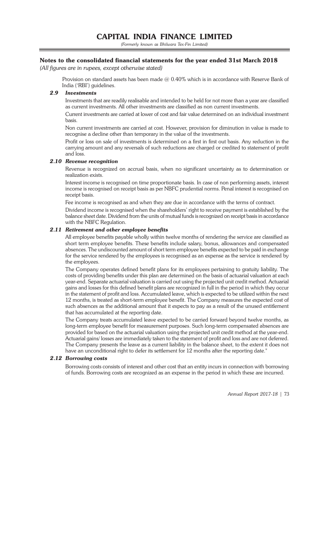*(Formerly known as Bhilwara Tex-Fin Limited)*

# Notes to the consolidated financial statements for the year ended 31st March 2018

*(All figures are in rupees, except otherwise stated)*

Provision on standard assets has been made  $@0.40\%$  which is in accordance with Reserve Bank of India ('RBI') guidelines.

#### *2.9 Investments*

Investments that are readily realisable and intended to be held for not more than a year are classified as current investments. All other investments are classified as non current investments.

Current investments are carried at lower of cost and fair value determined on an individual investment basis.

Non current investments are carried at cost. However, provision for diminution in value is made to recognise a decline other than temporary in the value of the investments.

Profit or loss on sale of investments is determined on a first in first out basis. Any reduction in the carrying amount and any reversals of such reductions are charged or credited to statement of profit and loss.

#### *2.10 Revenue recognition*

Revenue is recognized on accrual basis, when no significant uncertainty as to determination or realization exists.

Interest income is recognised on time proportionate basis. In case of non performing assets, interest income is recognised on receipt basis as per NBFC prudential norms. Penal interest is recognised on receipt basis.

Fee income is recognised as and when they are due in accordance with the terms of contract.

Dividend income is recognised when the shareholders' right to receive payment is established by the balance sheet date. Dividend from the units of mutual funds is recognized on receipt basis in accordance with the NBFC Regulation.

#### *2.11 Retirement and other employee benefits*

All employee benefits payable wholly within twelve months of rendering the service are classified as short term employee benefits. These benefits include salary, bonus, allowances and compensated absences. The undiscounted amount of short term employee benefits expected to be paid in exchange for the service rendered by the employees is recognised as an expense as the service is rendered by the employees.

The Company operates defined benefit plans for its employees pertaining to gratuity liability. The costs of providing benefits under this plan are determined on the basis of actuarial valuation at each year-end. Separate actuarial valuation is carried out using the projected unit credit method. Actuarial gains and losses for this defined benefit plans are recognized in full in the period in which they occur in the statement of profit and loss. Accumulated leave, which is expected to be utilized within the next 12 months, is treated as short-term employee benefit. The Company measures the expected cost of such absences as the additional amount that it expects to pay as a result of the unused entitlement that has accumulated at the reporting date.

The Company treats accumulated leave expected to be carried forward beyond twelve months, as long-term employee benefit for measurement purposes. Such long-term compensated absences are provided for based on the actuarial valuation using the projected unit credit method at the year-end. Actuarial gains/ losses are immediately taken to the statement of profit and loss and are not deferred. The Company presents the leave as a current liability in the balance sheet, to the extent it does not have an unconditional right to defer its settlement for 12 months after the reporting date."

#### *2.12 Borrowing costs*

Borrowing costs consists of interest and other cost that an entity incurs in connection with borrowing of funds. Borrowing costs are recognized as an expense in the period in which these are incurred.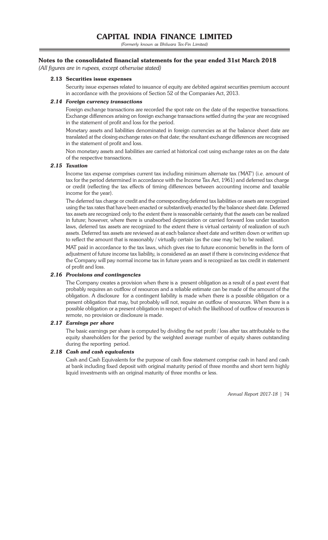*(Formerly known as Bhilwara Tex-Fin Limited)*

# Notes to the consolidated financial statements for the year ended 31st March 2018

*(All figures are in rupees, except otherwise stated)*

# 2.13 Securities issue expenses

Security issue expenses related to issuance of equity are debited against securities premium account in accordance with the provisions of Section 52 of the Companies Act, 2013.

# *2.14 Foreign currency transactions*

Foreign exchange transactions are recorded the spot rate on the date of the respective transactions. Exchange differences arising on foreign exchange transactions settled during the year are recognised in the statement of profit and loss for the period.

Monetary assets and liabilities denominated in foreign currencies as at the balance sheet date are translated at the closing exchange rates on that date; the resultant exchange differences are recognised in the statement of profit and loss.

Non monetary assets and liabilities are carried at historical cost using exchange rates as on the date of the respective transactions.

# *2.15 Taxation*

Income tax expense comprises current tax including minimum alternate tax ('MAT') (i.e. amount of tax for the period determined in accordance with the Income Tax Act, 1961) and deferred tax charge or credit (reflecting the tax effects of timing differences between accounting income and taxable income for the year).

The deferred tax charge or credit and the corresponding deferred tax liabilities or assets are recognized using the tax rates that have been enacted or substantively enacted by the balance sheet date. Deferred tax assets are recognized only to the extent there is reasonable certainty that the assets can be realized in future; however, where there is unabsorbed depreciation or carried forward loss under taxation laws, deferred tax assets are recognized to the extent there is virtual certainty of realization of such assets. Deferred tax assets are reviewed as at each balance sheet date and written down or written up to reflect the amount that is reasonably / virtually certain (as the case may be) to be realized.

MAT paid in accordance to the tax laws, which gives rise to future economic benefits in the form of adjustment of future income tax liability, is considered as an asset if there is convincing evidence that the Company will pay normal income tax in future years and is recognized as tax credit in statement of profit and loss.

#### *2.16 Provisions and contingencies*

The Company creates a provision when there is a present obligation as a result of a past event that probably requires an outflow of resources and a reliable estimate can be made of the amount of the obligation. A disclosure for a contingent liability is made when there is a possible obligation or a present obligation that may, but probably will not, require an outflow of resources. When there is a possible obligation or a present obligation in respect of which the likelihood of outflow of resources is remote, no provision or disclosure is made.

#### *2.17 Earnings per share*

The basic earnings per share is computed by dividing the net profit / loss after tax attributable to the equity shareholders for the period by the weighted average number of equity shares outstanding during the reporting period.

#### *2.18 Cash and cash equivalents*

Cash and Cash Equivalents for the purpose of cash flow statement comprise cash in hand and cash at bank including fixed deposit with original maturity period of three months and short term highly liquid investments with an original maturity of three months or less.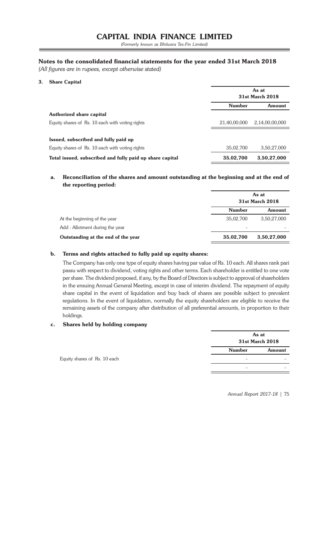*(Formerly known as Bhilwara Tex-Fin Limited)*

# Notes to the consolidated financial statements for the year ended 31st March 2018

*(All figures are in rupees, except otherwise stated)*

#### 3. Share Capital

|                                                          |               | As at<br><b>31st March 2018</b> |
|----------------------------------------------------------|---------------|---------------------------------|
|                                                          | <b>Number</b> | Amount                          |
| <b>Authorized share capital</b>                          |               |                                 |
| Equity shares of Rs. 10 each with voting rights          | 21,40,00,000  | 2,14,00,00,000                  |
|                                                          |               |                                 |
| Issued, subscribed and fully paid up                     |               |                                 |
| Equity shares of Rs. 10 each with voting rights          | 35,02,700     | 3,50,27,000                     |
| Total issued, subscribed and fully paid up share capital | 35,02,700     | 3,50,27,000                     |

# a. Reconciliation of the shares and amount outstanding at the beginning and at the end of the reporting period:

|                                    |               | As at<br><b>31st March 2018</b> |
|------------------------------------|---------------|---------------------------------|
|                                    | <b>Number</b> | <b>Amount</b>                   |
| At the beginning of the year       | 35,02,700     | 3,50,27,000                     |
| Add: Allotment during the year     |               |                                 |
| Outstanding at the end of the year | 35,02,700     | 3,50,27,000                     |

# b. Terms and rights attached to fully paid up equity shares:

The Company has only one type of equity shares having par value of Rs. 10 each. All shares rank pari passu with respect to dividend, voting rights and other terms. Each shareholder is entitled to one vote per share. The dividend proposed, if any, by the Board of Directors is subject to approval of shareholders in the ensuing Annual General Meeting, except in case of interim dividend. The repayment of equity share capital in the event of liquidation and buy back of shares are possible subject to prevalent regulations. In the event of liquidation, normally the equity shareholders are eligible to receive the remaining assets of the company after distribution of all preferential amounts, in proportion to their holdings.

#### c. Shares held by holding company

|                              | As at                    |               |
|------------------------------|--------------------------|---------------|
|                              | <b>31st March 2018</b>   |               |
|                              | <b>Number</b>            | <b>Amount</b> |
| Equity shares of Rs. 10 each | $\overline{\phantom{0}}$ |               |
|                              | $\overline{\phantom{0}}$ |               |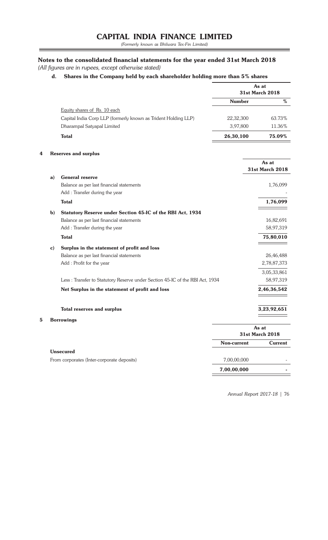*(Formerly known as Bhilwara Tex-Fin Limited)*

# Notes to the consolidated financial statements for the year ended 31st March 2018

*(All figures are in rupees, except otherwise stated)*

 $5$ 

# d. Shares in the Company held by each shareholder holding more than 5% shares

|   |              |                                                                               |               | As at<br><b>31st March 2018</b> |
|---|--------------|-------------------------------------------------------------------------------|---------------|---------------------------------|
|   |              |                                                                               | <b>Number</b> | %                               |
|   |              | Equity shares of Rs. 10 each                                                  |               |                                 |
|   |              | Capital India Corp LLP (formerly known as Trident Holding LLP)                | 22,32,300     | 63.73%                          |
|   |              | Dharampal Satyapal Limited                                                    | 3,97,800      | 11.36%                          |
|   |              | <b>Total</b>                                                                  | 26,30,100     | 75.09%                          |
| 4 |              | <b>Reserves and surplus</b>                                                   |               |                                 |
|   |              |                                                                               |               | As at<br><b>31st March 2018</b> |
|   | a)           | <b>General reserve</b>                                                        |               |                                 |
|   |              | Balance as per last financial statements                                      |               | 1,76,099                        |
|   |              | Add : Transfer during the year                                                |               |                                 |
|   |              | <b>Total</b>                                                                  |               | 1,76,099                        |
|   | $\mathbf{b}$ | Statutory Reserve under Section 45-IC of the RBI Act, 1934                    |               |                                 |
|   |              | Balance as per last financial statements                                      |               | 16,82,691                       |
|   |              | Add: Transfer during the year                                                 |               | 58,97,319                       |
|   |              | <b>Total</b>                                                                  |               | 75,80,010                       |
|   | $\bf c)$     | Surplus in the statement of profit and loss                                   |               |                                 |
|   |              | Balance as per last financial statements                                      |               | 26,46,488                       |
|   |              | Add : Profit for the year                                                     |               | 2,78,87,373                     |
|   |              |                                                                               |               | 3,05,33,861                     |
|   |              | Less : Transfer to Statutory Reserve under Section 45-IC of the RBI Act, 1934 |               | 58,97,319                       |
|   |              | Net Surplus in the statement of profit and loss                               |               | 2,46,36,542                     |
|   |              | <b>Total reserves and surplus</b>                                             |               | 3,23,92,651                     |
| 5 |              | <b>Borrowings</b>                                                             |               |                                 |
|   |              |                                                                               |               | As at<br><b>31st March 2018</b> |
|   |              |                                                                               | Non-current   | <b>Current</b>                  |
|   |              | <b>Unsecured</b>                                                              |               |                                 |
|   |              | From corporates (Inter-corporate deposits)                                    | 7,00,00,000   |                                 |
|   |              |                                                                               | 7,00,00,000   |                                 |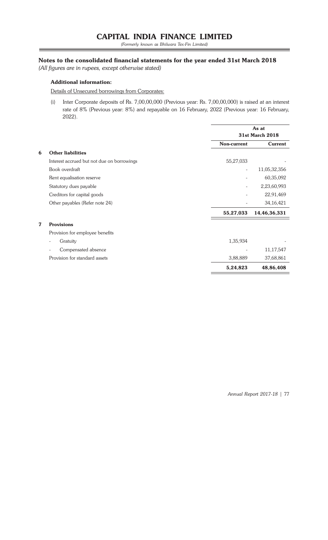*(Formerly known as Bhilwara Tex-Fin Limited)*

# Notes to the consolidated financial statements for the year ended 31st March 2018

*(All figures are in rupees, except otherwise stated)*

# Additional information:

Details of Unsecured borrowings from Corporates:

(i) Inter Corporate deposits of Rs. 7,00,00,000 (Previous year: Rs. 7,00,00,000) is raised at an interest rate of 8% (Previous year: 8%) and repayable on 16 February, 2022 (Previous year: 16 February, 2022).

|                                            |             | As at<br><b>31st March 2018</b> |
|--------------------------------------------|-------------|---------------------------------|
|                                            | Non-current | <b>Current</b>                  |
| <b>Other liabilities</b><br>6              |             |                                 |
| Interest accrued but not due on borrowings | 55,27,033   |                                 |
| Book overdraft                             |             | 11,05,32,356                    |
| Rent equalisation reserve                  |             | 60,35,092                       |
| Statutory dues payable                     |             | 2,23,60,993                     |
| Creditors for capital goods                |             | 22,91,469                       |
| Other payables (Refer note 24)             |             | 34, 16, 421                     |
|                                            | 55,27,033   | 14,46,36,331                    |
| 7<br><b>Provisions</b>                     |             |                                 |
| Provision for employee benefits            |             |                                 |
| Gratuity                                   | 1,35,934    |                                 |
| Compensated absence                        |             | 11,17,547                       |
| Provision for standard assets              | 3,88,889    | 37,68,861                       |
|                                            | 5,24,823    | 48,86,408                       |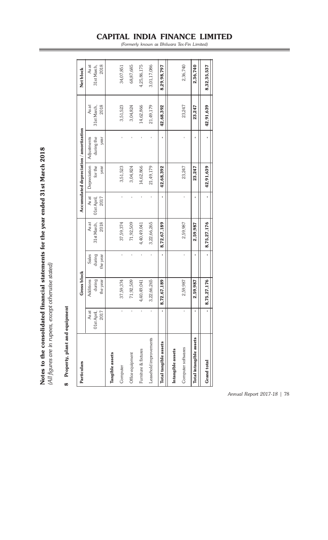| $\overline{J}$                                                                  |                                        |  |
|---------------------------------------------------------------------------------|----------------------------------------|--|
| Notes to the consolidated financial statements for the year ended 31st March 20 | figures are in rupees, except otherwit |  |

# Property, plant and equipment 8 Property, plant and equipment  $\infty$

| Particulars             |                              | <b>Gross block</b>              |                             |                              |                              |                                 | Accumulated depreciation / amortization |                              | Net block                    |
|-------------------------|------------------------------|---------------------------------|-----------------------------|------------------------------|------------------------------|---------------------------------|-----------------------------------------|------------------------------|------------------------------|
|                         | As at<br>01st April,<br>2017 | Additions<br>during<br>the year | Sales<br>during<br>the year | 31st March,<br>As at<br>2018 | As at<br>2017<br>01st April, | Depreciation<br>for the<br>year | Adjustments<br>during the<br>year       | As at<br>31st March,<br>2018 | 2018<br>As at<br>31st March, |
| Tangible assets         |                              |                                 |                             |                              |                              |                                 |                                         |                              |                              |
| Computer                | f,                           | 37,59,374                       |                             | 37,59,374                    |                              | 3,51,523                        |                                         | 3,51,523                     | 34,07,851                    |
| Office equipment        | ı                            | 71,92,509                       |                             | 71,92,509                    |                              | 3,04,824                        |                                         | 3,04,824                     | 68,87,685                    |
| Furniture & fixtures    | ï                            | 40,49,041<br>4.                 |                             | 4,40,49,041                  |                              | 14,62,866                       |                                         | 14,62,866                    | 4,25,86,175                  |
| Leasehold improvements  | ı                            | 3,22,66,265                     |                             | 3,22,66,265                  |                              | 21,49,179                       |                                         | 21,49,179                    | 3,01,17,086                  |
| Total tangible assets   |                              | 8,72,67,189                     |                             | 8,72,67,189                  |                              | 42,68,392                       |                                         | 42,68,392                    | 8,29,98,797                  |
| Intangible assets       |                              |                                 |                             |                              |                              |                                 |                                         |                              |                              |
| Computer softwares      | ı                            | 2,59,987                        |                             | 2,59,987                     |                              | 23,247                          |                                         | 23,247                       | 2,36,740                     |
| Total intangible assets |                              | 2,59,987                        |                             | 2,59,987                     |                              | 23,247                          |                                         | 23,247                       | 2,36,740                     |
| <b>Grand total</b>      |                              | 5,27,176<br>8,7                 |                             | 8,75,27,176                  |                              | 42,91,639                       |                                         | 42,91,639                    | 8,32,35,537                  |

# CAPITAL INDIA FINANCE LIMITED

*(Formerly known as Bhilwara Tex-Fin Limited)*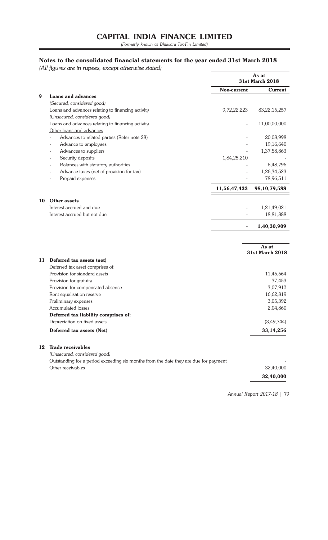*(Formerly known as Bhilwara Tex-Fin Limited)*

# Notes to the consolidated financial statements for the year ended 31st March 2018

*(All figures are in rupees, except otherwise stated)*

|    |                                                                                      |                          | As at<br><b>31st March 2018</b> |
|----|--------------------------------------------------------------------------------------|--------------------------|---------------------------------|
|    |                                                                                      | Non-current              | <b>Current</b>                  |
| 9  | <b>Loans and advances</b>                                                            |                          |                                 |
|    | (Secured, considered good)                                                           |                          |                                 |
|    | Loans and advances relating to financing activity                                    | 9,72,22,223              | 83, 22, 15, 257                 |
|    | (Unsecured, considered good)                                                         |                          |                                 |
|    | Loans and advances relating to financing activity                                    |                          | 11,00,00,000                    |
|    | Other loans and advances                                                             |                          |                                 |
|    | Advances to related parties (Refer note 28)                                          |                          | 20,08,998                       |
|    | Advance to employees                                                                 |                          | 19,16,640                       |
|    | Advances to suppliers                                                                |                          | 1,37,58,863                     |
|    | Security deposits<br>$\overline{a}$                                                  | 1,84,25,210              |                                 |
|    | Balances with statutory authorities                                                  |                          | 6,48,796                        |
|    | Advance taxes (net of provision for tax)                                             |                          | 1,26,34,523                     |
|    | Prepaid expenses                                                                     |                          | 78,96,511                       |
|    |                                                                                      | 11,56,47,433             | 98,10,79,588                    |
| 10 | <b>Other assets</b>                                                                  |                          |                                 |
|    | Interest accrued and due                                                             |                          | 1,21,49,021                     |
|    | Interest accrued but not due                                                         |                          | 18,81,888                       |
|    |                                                                                      | $\overline{\phantom{0}}$ | 1,40,30,909                     |
|    |                                                                                      |                          |                                 |
|    |                                                                                      |                          | As at<br><b>31st March 2018</b> |
| 11 | Deferred tax assets (net)                                                            |                          |                                 |
|    | Deferred tax asset comprises of:                                                     |                          |                                 |
|    | Provision for standard assets                                                        |                          | 11,45,564                       |
|    | Provision for gratuity                                                               |                          | 37,453                          |
|    | Provision for compensated absence                                                    |                          | 3,07,912                        |
|    | Rent equalisation reserve                                                            |                          | 16,62,819                       |
|    | Preliminary expenses                                                                 |                          | 3,05,392                        |
|    | <b>Accumulated losses</b>                                                            |                          | 2,04,860                        |
|    | Deferred tax liability comprises of:                                                 |                          |                                 |
|    | Depreciation on fixed assets                                                         |                          | (3, 49, 744)                    |
|    | <b>Deferred tax assets (Net)</b>                                                     |                          | 33, 14, 256                     |
|    |                                                                                      |                          |                                 |
| 12 | <b>Trade receivables</b><br>(Unsecured, considered good)                             |                          |                                 |
|    | Outstanding for a period exceeding six months from the date they are due for payment |                          |                                 |
|    | Other receivables                                                                    |                          | 32,40,000                       |
|    |                                                                                      |                          | 32,40,000                       |
|    |                                                                                      |                          |                                 |

*Annual Report 2017-18* | 79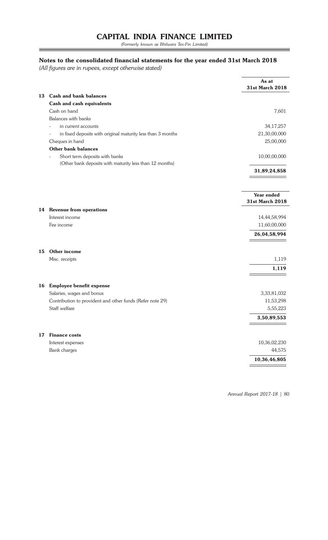*(Formerly known as Bhilwara Tex-Fin Limited)*

# Notes to the consolidated financial statements for the year ended 31st March 2018

*(All figures are in rupees, except otherwise stated)*

|    |                                                             | As at<br><b>31st March 2018</b> |
|----|-------------------------------------------------------------|---------------------------------|
| 13 | <b>Cash and bank balances</b>                               |                                 |
|    | <b>Cash and cash equivalents</b>                            |                                 |
|    | Cash on hand                                                | 7,601                           |
|    | Balances with banks                                         |                                 |
|    | in current accounts                                         | 34,17,257                       |
|    | in fixed deposits with original maturity less than 3 months | 21,30,00,000                    |
|    | Cheques in hand                                             | 25,00,000                       |
|    | <b>Other bank balances</b>                                  |                                 |
|    | Short term deposits with banks                              | 10,00,00,000                    |
|    | (Other bank deposits with maturity less than 12 months)     |                                 |
|    |                                                             | 31,89,24,858                    |
|    |                                                             |                                 |
|    |                                                             | <b>Year ended</b>               |
|    |                                                             | <b>31st March 2018</b>          |
|    | 14 Revenue from operations                                  |                                 |
|    | Interest income                                             | 14,44,58,994                    |
|    | Fee income                                                  | 11,60,00,000                    |
|    |                                                             | 26,04,58,994                    |
|    | 15 Other income                                             |                                 |
|    | Misc. receipts                                              | 1,119                           |
|    |                                                             | 1,119                           |
|    |                                                             |                                 |
| 16 | <b>Employee benefit expense</b>                             |                                 |
|    | Salaries, wages and bonus                                   | 3,33,81,032                     |
|    | Contribution to provident and other funds (Refer note 29)   | 11,53,298                       |
|    | Staff welfare                                               | 5,55,223                        |
|    |                                                             | 3,50,89,553                     |
| 17 | <b>Finance costs</b>                                        |                                 |
|    | Interest expenses                                           | 10,36,02,230                    |
|    | <b>Bank</b> charges                                         | 44,575                          |
|    |                                                             | 10,36,46,805                    |
|    |                                                             |                                 |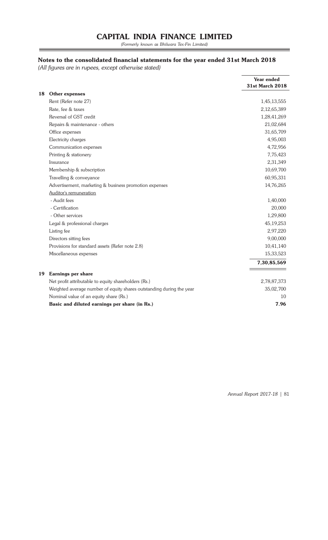*(Formerly known as Bhilwara Tex-Fin Limited)*

# Notes to the consolidated financial statements for the year ended 31st March 2018

*(All figures are in rupees, except otherwise stated)*

|    |                                                                      | <b>Year ended</b>      |
|----|----------------------------------------------------------------------|------------------------|
|    |                                                                      | <b>31st March 2018</b> |
| 18 | Other expenses                                                       |                        |
|    | Rent (Refer note 27)                                                 | 1,45,13,555            |
|    | Rate, fee & taxes                                                    | 2,12,65,389            |
|    | Reversal of GST credit                                               | 1,28,41,269            |
|    | Repairs & maintenance - others                                       | 21,02,684              |
|    | Office expenses                                                      | 31,65,709              |
|    | Electricity charges                                                  | 4,95,003               |
|    | Communication expenses                                               | 4,72,956               |
|    | Printing & stationery                                                | 7,75,423               |
|    | Insurance                                                            | 2,31,349               |
|    | Membership & subscription                                            | 10,69,700              |
|    | Travelling & conveyance                                              | 60,95,331              |
|    | Advertisement, marketing & business promotion expenses               | 14,76,265              |
|    | Auditor's remuneration                                               |                        |
|    | - Audit fees                                                         | 1,40,000               |
|    | - Certification                                                      | 20,000                 |
|    | - Other services                                                     | 1,29,800               |
|    | Legal & professional charges                                         | 45, 19, 253            |
|    | Listing fee                                                          | 2,97,220               |
|    | Directors sitting fees                                               | 9,00,000               |
|    | Provisions for standard assets (Refer note 2.8)                      | 10,41,140              |
|    | Miscellaneous expenses                                               | 15,33,523              |
|    |                                                                      | 7,30,85,569            |
| 19 | <b>Earnings per share</b>                                            |                        |
|    | Net profit attributable to equity shareholders (Rs.)                 | 2,78,87,373            |
|    | Weighted average number of equity shares outstanding during the year | 35,02,700              |
|    | Nominal value of an equity share (Rs.)                               | 10                     |
|    | Basic and diluted earnings per share (in Rs.)                        | 7.96                   |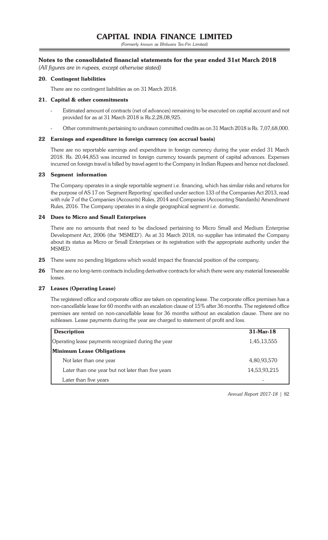*(Formerly known as Bhilwara Tex-Fin Limited)*

# Notes to the consolidated financial statements for the year ended 31st March 2018

*(All figures are in rupees, except otherwise stated)*

# 20. Contingent liabilities

There are no contingent liabilities as on 31 March 2018.

# 21. Capital & other commitments

- Estimated amount of contracts (net of advances) remaining to be executed on capital account and not provided for as at 31 March 2018 is Rs.2,28,08,925.
- Other commitments pertaining to undrawn committed credits as on 31 March 2018 is Rs. 7,07,68,000.

# 22 Earnings and expenditure in foreign currency (on accrual basis)

There are no reportable earnings and expenditure in foreign currency during the year ended 31 March 2018. Rs. 20,44,853 was incurred in foreign currency towards payment of capital advances. Expenses incurred on foreign travel is billed by travel agent to the Company in Indian Rupees and hence not disclosed.

#### 23 Segment information

The Company operates in a single reportable segment i.e. financing, which has similar risks and returns for the purpose of AS 17 on 'Segment Reporting' specified under section 133 of the Companies Act 2013, read with rule 7 of the Companies (Accounts) Rules, 2014 and Companies (Accounting Standards) Amendment Rules, 2016. The Company operates in a single geographical segment i.e. domestic.

#### 24 Dues to Micro and Small Enterprises

There are no amounts that need to be disclosed pertaining to Micro Small and Medium Enterprise Development Act, 2006 (the 'MSMED'). As at 31 March 2018, no supplier has intimated the Company about its status as Micro or Small Enterprises or its registration with the appropriate authority under the MSMED.

- **25** There were no pending litigations which would impact the financial position of the company.
- 26 There are no long-term contracts including derivative contracts for which there were any material foreseeable losses.

# 27 Leases (Operating Lease)

The registered office and corporate office are taken on operating lease. The corporate office premises has a non-cancellable lease for 60 months with an escalation clause of 15% after 36 months. The registered office premises are rented on non-cancellable lease for 36 months without an escalation clause. There are no subleases. Lease payments during the year are charged to statement of profit and loss.

| <b>Description</b>                                  | 31-Mar-18      |
|-----------------------------------------------------|----------------|
| Operating lease payments recognized during the year | 1, 45, 13, 555 |
| Minimum Lease Obligations                           |                |
| Not later than one year                             | 4,80,93,570    |
| Later than one year but not later than five years   | 14,53,93,215   |
| Later than five years                               |                |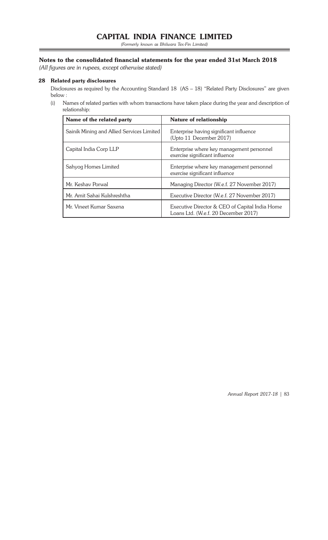*(Formerly known as Bhilwara Tex-Fin Limited)*

# Notes to the consolidated financial statements for the year ended 31st March 2018

*(All figures are in rupees, except otherwise stated)*

# 28 Related party disclosures

Disclosures as required by the Accounting Standard 18 (AS – 18) "Related Party Disclosures" are given below :

(i) Names of related parties with whom transactions have taken place during the year and description of relationship:

| Name of the related party                 | <b>Nature of relationship</b>                                                          |
|-------------------------------------------|----------------------------------------------------------------------------------------|
| Sainik Mining and Allied Services Limited | Enterprise having significant influence<br>(Upto 11 December 2017)                     |
| Capital India Corp LLP                    | Enterprise where key management personnel<br>exercise significant influence            |
| Sahyog Homes Limited                      | Enterprise where key management personnel<br>exercise significant influence            |
| Mr. Keshay Porwal                         | Managing Director (W.e.f. 27 November 2017)                                            |
| Mr. Amit Sahai Kulshreshtha               | Executive Director (W.e.f. 27 November 2017)                                           |
| Mr. Vineet Kumar Saxena                   | Executive Director & CEO of Capital India Home<br>Loans Ltd. (W.e.f. 20 December 2017) |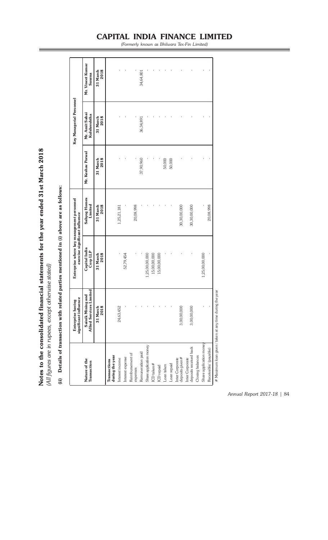Notes to the consolidated financial statements for the year ended 31st March 2018 Notes to the consolidated financial statements for the year ended 31st March 2018 (All figures are in rupees, except otherwise stated) *(All figures are in rupees, except otherwise stated)*

# (ii) Details of transaction with related parties mentioned in (i) above are as follows: (ii) Details of transaction with related parties mentioned in (i) above are as follows:

|                                           | significant influence<br><b>Enterprise having</b> | Enterprise where key management personnel<br>exercise significant influence |                                |                   | <b>Key Managerial Personnel</b> |                            |
|-------------------------------------------|---------------------------------------------------|-----------------------------------------------------------------------------|--------------------------------|-------------------|---------------------------------|----------------------------|
| Nature of the<br>Transaction              | Allied Services Limited<br>Sainik Mining and      | Capital India<br>$\text{Comp LLP}$                                          | <b>Sahyog Homes</b><br>Limited | Mr. Keshav Porwal | Mr. Amit Sahai<br>Kulshreshtha  | Mr. Vineet Kumar<br>Saxena |
|                                           | 2018<br>31 March                                  | 2018<br>31 March                                                            | 2018<br>31 March               | 2018<br>31 March  | 2018<br>31 March                | 2018<br>31 March           |
| during the year<br>Transactions           |                                                   |                                                                             |                                |                   |                                 |                            |
| Interest income                           | 24,63,452                                         |                                                                             | 1,25,21,181                    |                   |                                 |                            |
| Interest expense                          |                                                   | 52,79,454                                                                   |                                |                   |                                 |                            |
| Reimbursement of<br>expenses              |                                                   |                                                                             | 20,08,998                      |                   |                                 |                            |
| Remuneration paid                         |                                                   |                                                                             |                                | 37,90,960         | 36,34,891                       | 34,64,801                  |
| Share application money                   |                                                   | 1,25,00,00,000                                                              |                                |                   |                                 |                            |
| ICD taken#                                |                                                   | 15,00,00,000                                                                |                                |                   |                                 |                            |
| ICD repaid                                |                                                   | 15,00,00,000                                                                |                                |                   |                                 |                            |
| Loan taken                                |                                                   |                                                                             |                                | 50,000            |                                 |                            |
| Loan repaid                               |                                                   |                                                                             |                                | 50,000            |                                 |                            |
| Inter Corporate<br>deposits given#        | 3,00,00,000                                       |                                                                             | 30,30,00,000                   |                   |                                 |                            |
| deposits received back<br>Inter Corporate | 3,00,00,000                                       |                                                                             | 30,30,00,000                   |                   |                                 |                            |
| Closing balances                          |                                                   |                                                                             |                                |                   |                                 |                            |
| Share application money                   |                                                   | 1,25,00,00,000                                                              |                                |                   |                                 |                            |
| Receivable/ (payable)                     |                                                   |                                                                             | 20,08,998                      |                   |                                 |                            |

# Maximum loan given / taken at any time during the year  $\#$  Maximum loan given / taken at any time during the year

# CAPITAL INDIA FINANCE LIMITED

*(Formerly known as Bhilwara Tex-Fin Limited)*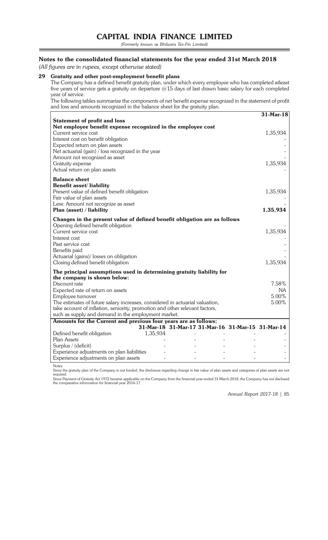*(Formerly known as Bhilwara Tex-Fin Limited)*

# Notes to the consolidated financial statements for the year ended 31st March 2018

*(All figures are in rupees, except otherwise stated)*

# 29 Gratuity and other post-employment benefit plans

The Company has a defined benefit gratuity plan, under which every employee who has completed atleast five years of service gets a gratuity on departure @15 days of last drawn basic salary for each completed year of service.

The following tables summarize the components of net benefit expense recognized in the statement of profit and loss and amounts recognized in the balance sheet for the gratuity plan.

|                                                                                      |          |                                                   |  | 31-Mar-18    |
|--------------------------------------------------------------------------------------|----------|---------------------------------------------------|--|--------------|
| <b>Statement of profit and loss</b>                                                  |          |                                                   |  |              |
| Net employee benefit expense recognized in the employee cost<br>Current service cost |          |                                                   |  | 1,35,934     |
| Interest cost on benefit obligation                                                  |          |                                                   |  |              |
| Expected return on plan assets                                                       |          |                                                   |  |              |
| Net actuarial (gain) / loss recognized in the year                                   |          |                                                   |  |              |
| Amount not recognized as asset                                                       |          |                                                   |  |              |
| Gratuity expense<br>Actual return on plan assets                                     |          |                                                   |  | 1,35,934     |
|                                                                                      |          |                                                   |  |              |
| <b>Balance sheet</b><br><b>Benefit asset/liability</b>                               |          |                                                   |  |              |
| Present value of defined benefit obligation                                          |          |                                                   |  | 1,35,934     |
| Fair value of plan assets                                                            |          |                                                   |  |              |
| Less: Amount not recognize as asset                                                  |          |                                                   |  |              |
| Plan (asset) / liability                                                             |          |                                                   |  | 1,35,934     |
| Changes in the present value of defined benefit obligation are as follows            |          |                                                   |  |              |
| Opening defined benefit obligation                                                   |          |                                                   |  |              |
| Current service cost                                                                 |          |                                                   |  | 1,35,934     |
| Interest cost<br>Past service cost                                                   |          |                                                   |  |              |
| Benefits paid                                                                        |          |                                                   |  |              |
| Actuarial (gains)/ losses on obligation                                              |          |                                                   |  |              |
| Closing defined benefit obligation                                                   |          |                                                   |  | 1,35,934     |
| The principal assumptions used in determining gratuity liability for                 |          |                                                   |  |              |
| the company is shown below:                                                          |          |                                                   |  |              |
| Discount rate                                                                        |          |                                                   |  | 7.58%<br>NA. |
| Expected rate of return on assets<br>Employee turnover                               |          |                                                   |  | 5.00%        |
| The estimates of future salary increases, considered in actuarial valuation,         |          |                                                   |  | 5.00%        |
| take account of inflation, seniority, promotion and other relevant factors,          |          |                                                   |  |              |
| such as supply and demand in the employment market.                                  |          |                                                   |  |              |
| Amounts for the Current and previous four years are as follows:                      |          | 31-Mar-18 31-Mar-17 31-Mar-16 31-Mar-15 31-Mar-14 |  |              |
| Defined benefit obligation                                                           | 1,35,934 |                                                   |  |              |
| Plan Assets                                                                          |          |                                                   |  |              |
| Surplus / (deficit)                                                                  |          |                                                   |  |              |
| Experience adjustments on plan liabilities                                           |          |                                                   |  |              |
| Experience adjustments on plan assets                                                |          |                                                   |  |              |

Notes:

Since the gratuity plan of the Company is not funded, the disclosure regarding change in fair value of plan assets and categories of plan assets are not required.

Since Payment of Gratuity Act 1972 became applicable on the Company from the financial year ended 31 March 2018, the Company has not disclosed the comparative information for financial year 2016-17.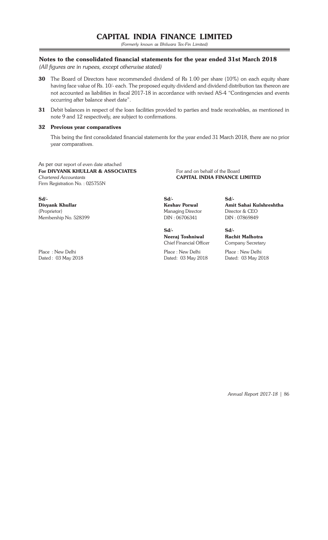*(Formerly known as Bhilwara Tex-Fin Limited)*

# Notes to the consolidated financial statements for the year ended 31st March 2018

*(All figures are in rupees, except otherwise stated)*

- 30 The Board of Directors have recommended dividend of Rs 1.00 per share (10%) on each equity share having face value of Rs. 10/- each. The proposed equity dividend and dividend distribution tax thereon are not accounted as liabilities in fiscal 2017-18 in accordance with revised AS-4 "Contingencies and events occurring after balance sheet date".
- 31 Debit balances in respect of the loan facilities provided to parties and trade receivables, as mentioned in note 9 and 12 respectively, are subject to confirmations.

#### 32 Previous year comparatives

This being the first consolidated financial statements for the year ended 31 March 2018, there are no prior year comparatives.

As per our report of even date attached For DIVYANK KHULLAR & ASSOCIATES For and on behalf of the Board *Chartered Accountants* CAPITAL INDIA FINANCE LIMITED Firm Registration No. : 025755N

(Proprietor) Managing Director Director & CEO Membership No. 528399 **DIN** : 06706341 **DIN** : 07869849

Place : New Delhi Place : New Delhi Place : New Delhi Place : New Delhi

 $Sd$   $\sim$   $Sd$   $\sim$   $Sd$   $\sim$ 

 $Sd$ - $Sd$ -Neeraj Toshniwal Rachit Malhotra Chief Financial Officer Company Secretary

Divyank Khullar Keshav Porwal Amit Sahai Kulshreshtha

Dated : 03 May 2018 Dated: 03 May 2018 Dated: 03 May 2018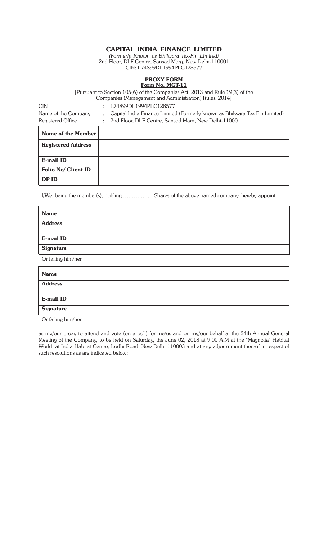*(Formerly Known as Bhilwara Tex-Fin Limited)* 2nd Floor, DLF Centre, Sansad Marg, New Delhi-110001 CIN: L74899DL1994PLC128577

#### PROXY FORM Form No. MGT-11

[Pursuant to Section 105(6) of the Companies Act, 2013 and Rule 19(3) of the Companies (Management and Administration) Rules, 2014]

CIN : L74899DL1994PLC128577

Name of the Company : Capital India Finance Limited (Formerly known as Bhilwara Tex-Fin Limited) Registered Office : 2nd Floor, DLF Centre, Sansad Marg, New Delhi-110001

| Name of the Member        |  |
|---------------------------|--|
| <b>Registered Address</b> |  |
| E-mail ID                 |  |
| Folio No/ Client ID       |  |
| DP ID                     |  |

I/We, being the member(s), holding ………….…. Shares of the above named company, hereby appoint

| <b>Name</b>    |  |
|----------------|--|
| <b>Address</b> |  |
| E-mail ID      |  |
| Signature      |  |

Or failing him/her

| <b>Name</b>    |  |
|----------------|--|
| <b>Address</b> |  |
| $E$ -mail ID   |  |
| Signature      |  |

Or failing him/her

as my/our proxy to attend and vote (on a poll) for me/us and on my/our behalf at the 24th Annual General Meeting of the Company, to be held on Saturday, the June 02, 2018 at 9.00 A.M at the "Magnolia" Habitat World, at India Habitat Centre, Lodhi Road, New Delhi-110003 and at any adjournment thereof in respect of such resolutions as are indicated below: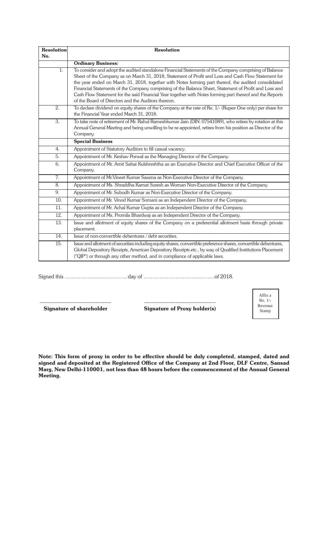| <b>Resolution</b><br>No. | <b>Resolution</b>                                                                                                                                                                                                                                                                                                                                                                                                                                                                                                                                                                                 |  |
|--------------------------|---------------------------------------------------------------------------------------------------------------------------------------------------------------------------------------------------------------------------------------------------------------------------------------------------------------------------------------------------------------------------------------------------------------------------------------------------------------------------------------------------------------------------------------------------------------------------------------------------|--|
|                          | <b>Ordinary Business:</b>                                                                                                                                                                                                                                                                                                                                                                                                                                                                                                                                                                         |  |
| 1.                       | To consider and adopt the audited standalone Financial Statements of the Company comprising of Balance<br>Sheet of the Company as on March 31, 2018, Statement of Profit and Loss and Cash Flow Statement for<br>the year ended on March 31, 2018, together with Notes forming part thereof, the audited consolidated<br>Financial Statements of the Company comprising of the Balance Sheet, Statement of Profit and Loss and<br>Cash Flow Statement for the said Financial Year together with Notes forming part thereof and the Reports<br>of the Board of Directors and the Auditors thereon. |  |
| 2.                       | To declare dividend on equity shares of the Company at the rate of Re. 1/- (Rupee One only) per share for<br>the Financial Year ended March 31, 2018.                                                                                                                                                                                                                                                                                                                                                                                                                                             |  |
| $\overline{3}$ .         | To take note of retirement of Mr. Rahul Rameshkumar Jain (DIN: 07541089), who retires by rotation at this<br>Annual General Meeting and being unwilling to be re-appointed, retires from his position as Director of the<br>Company.                                                                                                                                                                                                                                                                                                                                                              |  |
|                          | <b>Special Business</b>                                                                                                                                                                                                                                                                                                                                                                                                                                                                                                                                                                           |  |
| 4.                       | Appointment of Statutory Auditors to fill casual vacancy.                                                                                                                                                                                                                                                                                                                                                                                                                                                                                                                                         |  |
| 5.                       | Appointment of Mr. Keshav Porwal as the Managing Director of the Company.                                                                                                                                                                                                                                                                                                                                                                                                                                                                                                                         |  |
| 6.                       | Appointment of Mr. Amit Sahai Kulshreshtha as an Executive Director and Chief Executive Officer of the<br>Company.                                                                                                                                                                                                                                                                                                                                                                                                                                                                                |  |
| $\overline{7}$ .         | Appointment of Mr. Vineet Kumar Saxena as Non-Executive Director of the Company.                                                                                                                                                                                                                                                                                                                                                                                                                                                                                                                  |  |
| 8.                       | Appointment of Ms. Shraddha Kamat Suresh as Woman Non-Executive Director of the Company.                                                                                                                                                                                                                                                                                                                                                                                                                                                                                                          |  |
| 9.                       | Appointment of Mr. Subodh Kumar as Non-Executive Director of the Company.                                                                                                                                                                                                                                                                                                                                                                                                                                                                                                                         |  |
| 10.                      | Appointment of Mr. Vinod Kumar Somani as an Independent Director of the Company.                                                                                                                                                                                                                                                                                                                                                                                                                                                                                                                  |  |
| 11.                      | Appointment of Mr. Achal Kumar Gupta as an Independent Director of the Company.                                                                                                                                                                                                                                                                                                                                                                                                                                                                                                                   |  |
| $\overline{12}$ .        | Appointment of Ms. Promila Bhardwaj as an Independent Director of the Company.                                                                                                                                                                                                                                                                                                                                                                                                                                                                                                                    |  |
| 13.                      | Issue and allotment of equity shares of the Company on a preferential allotment basis through private<br>placement.                                                                                                                                                                                                                                                                                                                                                                                                                                                                               |  |
| 14.                      | Issue of non-convertible debentures / debt securities.                                                                                                                                                                                                                                                                                                                                                                                                                                                                                                                                            |  |
| $\overline{15}$ .        | Issue and allotment of securities including equity shares, convertible preference shares, convertible debentures,<br>Global Depository Receipts, American Depository Receipts etc., by way of Qualified Institutions Placement<br>("QIP") or through any other method, and in compliance of applicable laws.                                                                                                                                                                                                                                                                                      |  |

Signed this …………………………….. day of ………………………………….of 2018.

----------------------------------------- -----------------------------------------

Signature of shareholder Signature of Proxy holder(s)

Affix a Re. 1/- Revenue Stamp

Note: This form of proxy in order to be effective should be duly completed, stamped, dated and signed and deposited at the Registered Office of the Company at 2nd Floor, DLF Centre, Sansad Marg, New Delhi-110001, not less than 48 hours before the commencement of the Annual General Meeting.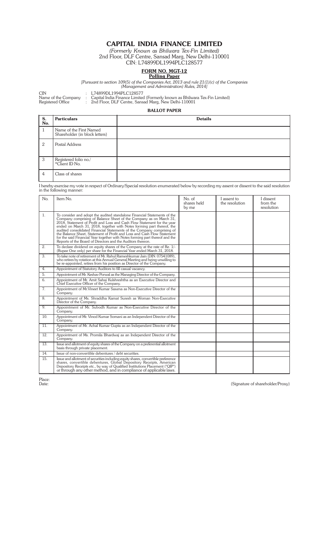*(Formerly Known as Bhilwara Tex-Fin Limited)* 2nd Floor, DLF Centre, Sansad Marg, New Delhi-110001 CIN: L74899DL1994PLC128577

#### FORM NO. MGT-12 Polling Paper

*[Pursuant to section 109(5) of the Companies Act, 2013 and rule 21(1)(c) of the Companies (Management and Administration) Rules, 2014]*

CIN : L74899DL1994PLC128577<br>Name of the Company : Capital India Finance Limited

Registered Office : 2nd Floor, DLF Centre, Sansad Marg, New Delhi-110001

Name of the Company : Capital India Finance Limited (Formerly known as Bhilwara Tex-Fin Limited)

BALLOT PAPER

| S.<br>No. | <b>Particulars</b>                                        | <b>Details</b> |
|-----------|-----------------------------------------------------------|----------------|
|           | Name of the First Named<br>Shareholder (in block letters) |                |
| 2         | Postal Address                                            |                |
| 3         | Registered folio no./<br>*Client ID No.                   |                |
| 4         | Class of shares                                           |                |

I hereby exercise my vote in respect of Ordinary/Special resolution enumerated below by recording my assent or dissent to the said resolution in the following manner:

| No.               | Item No.                                                                                                                                                                                                                                                                                                                                                                                                                                                                                                                                                                                             | No. of<br>shares held<br>by me | I assent to<br>the resolution | I dissent<br>from the<br>resolution |
|-------------------|------------------------------------------------------------------------------------------------------------------------------------------------------------------------------------------------------------------------------------------------------------------------------------------------------------------------------------------------------------------------------------------------------------------------------------------------------------------------------------------------------------------------------------------------------------------------------------------------------|--------------------------------|-------------------------------|-------------------------------------|
| 1.                | To consider and adopt the audited standalone Financial Statements of the<br>Company comprising of Balance Sheet of the Company as on March 31, 2018, Statement of Profit and Loss and Cash Flow Statement for the year<br>ended on March 31, 2018, together with Notes forming part thereof, the<br>audited consolidated Financial Statements of the Company comprising of<br>the Balance Sheet. Statement of Profit and Loss and Cash Flow Statement<br>for the said Financial Year together with Notes forming part thereof and the<br>Reports of the Board of Directors and the Auditors thereon. |                                |                               |                                     |
| $\overline{2}$ .  | To declare dividend on equity shares of the Company at the rate of Re. 1/-<br>(Rupee One only) per share for the Financial Year ended March 31, 2018.                                                                                                                                                                                                                                                                                                                                                                                                                                                |                                |                               |                                     |
| $\overline{3}$ .  | To take note of retirement of Mr. Rahul Rameshkumar Jain (DIN: 07541089),<br>who retires by rotation at this Annual General Meeting and being unwilling to<br>be re-appointed, retires from his position as Director of the Company.                                                                                                                                                                                                                                                                                                                                                                 |                                |                               |                                     |
| 4.                | Appointment of Statutory Auditors to fill casual vacancy.                                                                                                                                                                                                                                                                                                                                                                                                                                                                                                                                            |                                |                               |                                     |
| 5.                | Appointment of Mr. Keshav Porwal as the Managing Director of the Company.                                                                                                                                                                                                                                                                                                                                                                                                                                                                                                                            |                                |                               |                                     |
| 6.                | Appointment of Mr. Amit Sahai Kulshreshtha as an Executive Director and<br>Chief Executive Officer of the Company.                                                                                                                                                                                                                                                                                                                                                                                                                                                                                   |                                |                               |                                     |
| 7 <sub>1</sub>    | Appointment of Mr. Vineet Kumar Saxena as Non-Executive Director of the<br>Company.                                                                                                                                                                                                                                                                                                                                                                                                                                                                                                                  |                                |                               |                                     |
| 8.                | Appointment of Ms. Shraddha Kamat Suresh as Woman Non-Executive<br>Director of the Company.                                                                                                                                                                                                                                                                                                                                                                                                                                                                                                          |                                |                               |                                     |
| 9.                | Appointment of Mr. Subodh Kumar as Non-Executive Director of the<br>Company.                                                                                                                                                                                                                                                                                                                                                                                                                                                                                                                         |                                |                               |                                     |
| 10.               | Appointment of Mr. Vinod Kumar Somani as an Independent Director of the<br>Company.                                                                                                                                                                                                                                                                                                                                                                                                                                                                                                                  |                                |                               |                                     |
| 11.               | Appointment of Mr. Achal Kumar Gupta as an Independent Director of the<br>Company.                                                                                                                                                                                                                                                                                                                                                                                                                                                                                                                   |                                |                               |                                     |
| 12.               | Appointment of Ms. Promila Bhardwaj as an Independent Director of the<br>Company.                                                                                                                                                                                                                                                                                                                                                                                                                                                                                                                    |                                |                               |                                     |
| 13.               | Issue and allotment of equity shares of the Company on a preferential allotment<br>basis through private placement.                                                                                                                                                                                                                                                                                                                                                                                                                                                                                  |                                |                               |                                     |
| 14.               | Issue of non-convertible debentures / debt securities.                                                                                                                                                                                                                                                                                                                                                                                                                                                                                                                                               |                                |                               |                                     |
| $\overline{15}$ . | Issue and allotment of securities including equity shares, convertible preference<br>shares, convertible debentures, Global Depository Receipts, American<br>Depository Receipts etc., by way of Qualified Institutions Placement ("QIP")<br>or through any other method, and in compliance of applicable laws.                                                                                                                                                                                                                                                                                      |                                |                               |                                     |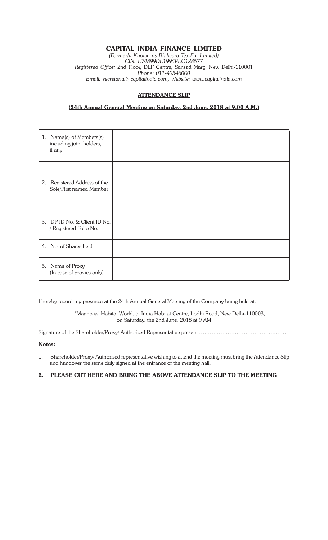*(Formerly Known as Bhilwara Tex-Fin Limited) CIN: L74899DL1994PLC128577 Registered Office:* 2nd Floor, DLF Centre, Sansad Marg, New Delhi-110001 *Phone: 011-49546000 Email: secretarial@capitalindia.com, Website: www.capitalindia.com*

# ATTENDANCE SLIP

# (24th Annual General Meeting on Saturday, 2nd June, 2018 at 9.00 A.M.)

| 1. Name(s) of Members(s)<br>including joint holders,<br>if any |  |
|----------------------------------------------------------------|--|
| 2. Registered Address of the<br>Sole/First named Member        |  |
| 3. DP ID No. & Client ID No.<br>/ Registered Folio No.         |  |
| 4. No. of Shares held                                          |  |
| 5. Name of Proxy<br>(In case of proxies only)                  |  |

I hereby record my presence at the 24th Annual General Meeting of the Company being held at:

"Magnolia" Habitat World, at India Habitat Centre, Lodhi Road, New Delhi-110003, on Saturday, the 2nd June, 2018 at 9 AM

Signature of the Shareholder/Proxy/ Authorized Representative present …………………………………….……

# Notes:

1. Shareholder/Proxy/ Authorized representative wishing to attend the meeting must bring the Attendance Slip and handover the same duly signed at the entrance of the meeting hall.

# 2. PLEASE CUT HERE AND BRING THE ABOVE ATTENDANCE SLIP TO THE MEETING